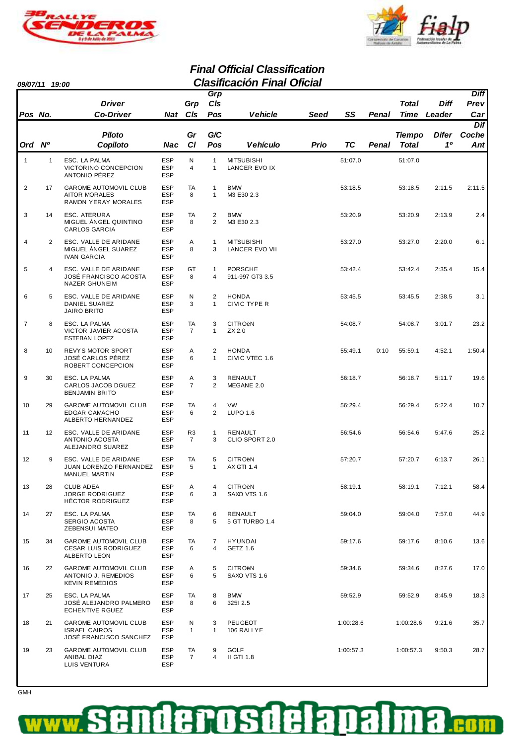



#### **Final Official Classification 09/07/11 19:00 Clasificación Final Oficial**

| <i>UYJU II</i> |                | טט:נו                                                                                 |                                        |                                  |                                  | UNUSINGGUUT LINGI UNUGI                        |      |           |       |                      |                       |                            |
|----------------|----------------|---------------------------------------------------------------------------------------|----------------------------------------|----------------------------------|----------------------------------|------------------------------------------------|------|-----------|-------|----------------------|-----------------------|----------------------------|
| Pos No.        |                | <b>Driver</b><br><b>Co-Driver</b>                                                     |                                        | Grp<br>Nat Cls                   | Grp<br>C/s<br>Pos                | <b>Vehicle</b>                                 | Seed | SS        | Penal | Total<br><b>Time</b> | <b>Diff</b><br>Leader | <b>Diff</b><br>Prev<br>Car |
|                |                | <b>Piloto</b>                                                                         |                                        | Gr                               | G/C                              |                                                |      |           |       | <b>Tiempo</b>        | Difer                 | <b>Dif</b><br>Coche        |
| Ord Nº         |                | Copiloto                                                                              | Nac                                    | CI                               | Pos                              | <b>Vehículo</b>                                | Prio | TC        | Penal | <b>Total</b>         | 10                    | <b>Ant</b>                 |
| $\mathbf{1}$   | $\mathbf{1}$   | ESC. LA PALMA<br>VICTORINO CONCEPCION<br>ANTONIO PÉREZ                                | <b>ESP</b><br><b>ESP</b><br><b>ESP</b> | N<br>4                           | $\mathbf{1}$<br>$\mathbf{1}$     | <b>MITSUBISHI</b><br>LANCER EVO IX             |      | 51:07.0   |       | 51:07.0              |                       |                            |
| $\overline{2}$ | 17             | <b>GAROME AUTOMOVIL CLUB</b><br><b>AITOR MORALES</b><br>RAMON YERAY MORALES           | <b>ESP</b><br><b>ESP</b><br><b>ESP</b> | TA<br>8                          | $\mathbf{1}$<br>$\mathbf{1}$     | <b>BMW</b><br>M3 E30 2.3                       |      | 53:18.5   |       | 53:18.5              | 2:11.5                | 2:11.5                     |
| 3              | 14             | ESC. ATERURA<br>MIGUEL ÁNGEL QUINTINO<br><b>CARLOS GARCIA</b>                         | <b>ESP</b><br><b>ESP</b><br><b>ESP</b> | TA<br>8                          | $\overline{2}$<br>2              | <b>BMW</b><br>M3 E30 2.3                       |      | 53:20.9   |       | 53:20.9              | 2:13.9                | 2.4                        |
| 4              | 2              | ESC. VALLE DE ARIDANE<br>MIGUEL ÁNGEL SUAREZ<br><b>IVAN GARCIA</b>                    | <b>ESP</b><br><b>ESP</b><br><b>ESP</b> | Α<br>8                           | $\mathbf{1}$<br>3                | <b>MITSUBISHI</b><br><b>LANCER EVO VII</b>     |      | 53:27.0   |       | 53:27.0              | 2:20.0                | 6.1                        |
| 5              | $\overline{4}$ | ESC. VALLE DE ARIDANE<br>JOSÉ FRANCISCO ACOSTA<br><b>NAZER GHUNEIM</b>                | <b>ESP</b><br><b>ESP</b><br><b>ESP</b> | GT<br>8                          | $\mathbf{1}$<br>$\overline{4}$   | <b>PORSCHE</b><br>911-997 GT3 3.5              |      | 53:42.4   |       | 53:42.4              | 2:35.4                | 15.4                       |
| 6              | 5              | ESC. VALLE DE ARIDANE<br>DANIEL SUAREZ<br><b>JAIRO BRITO</b>                          | <b>ESP</b><br><b>ESP</b><br><b>ESP</b> | N<br>3                           | 2<br>$\mathbf{1}$                | <b>HONDA</b><br><b>CIVIC TYPE R</b>            |      | 53:45.5   |       | 53:45.5              | 2:38.5                | 3.1                        |
| $\overline{7}$ | 8              | ESC. LA PALMA<br>VICTOR JAVIER ACOSTA<br><b>ESTEBAN LOPEZ</b>                         | <b>ESP</b><br><b>ESP</b><br><b>ESP</b> | TA<br>$\overline{7}$             | 3<br>$\mathbf{1}$                | <b>CITRO<sub>ëN</sub></b><br>ZX 2.0            |      | 54:08.7   |       | 54:08.7              | 3:01.7                | 23.2                       |
| 8              | 10             | REVYS MOTOR SPORT<br>JOSÉ CARLOS PÉREZ<br>ROBERT CONCEPCION                           | <b>ESP</b><br><b>ESP</b><br><b>ESP</b> | Α<br>6                           | 2<br>$\mathbf{1}$                | <b>HONDA</b><br>CIVIC VTEC 1.6                 |      | 55:49.1   | 0:10  | 55:59.1              | 4:52.1                | 1:50.4                     |
| 9              | 30             | ESC. LA PALMA<br>CARLOS JACOB DGUEZ<br><b>BENJAMIN BRITO</b>                          | <b>ESP</b><br><b>ESP</b><br><b>ESP</b> | Α<br>$\overline{7}$              | 3<br>2                           | <b>RENAULT</b><br>MEGANE 2.0                   |      | 56:18.7   |       | 56:18.7              | 5:11.7                | 19.6                       |
| 10             | 29             | <b>GAROME AUTOMOVIL CLUB</b><br><b>EDGAR CAMACHO</b><br>ALBERTO HERNANDEZ             | <b>ESP</b><br><b>ESP</b><br><b>ESP</b> | TA<br>6                          | $\overline{4}$<br>$\overline{2}$ | <b>VW</b><br><b>LUPO 1.6</b>                   |      | 56:29.4   |       | 56:29.4              | 5:22.4                | 10.7                       |
| 11             | 12             | ESC. VALLE DE ARIDANE<br>ANTONIO ACOSTA<br>ALEJANDRO SUAREZ                           | <b>ESP</b><br><b>ESP</b><br><b>ESP</b> | R <sub>3</sub><br>$\overline{7}$ | $\mathbf{1}$<br>3                | RENAULT<br>CLIO SPORT 2.0                      |      | 56:54.6   |       | 56:54.6              | 5:47.6                | 25.2                       |
| 12             | 9              | ESC. VALLE DE ARIDANE<br><b>JUAN LORENZO FERNANDEZ</b><br><b>MANUEL MARTIN</b>        | <b>ESP</b><br><b>ESP</b><br><b>ESP</b> | TA<br>5                          | 5<br>$\mathbf{1}$                | <b>CITRO<sub>ë</sub>N</b><br><b>AX GTI 1.4</b> |      | 57:20.7   |       | 57:20.7              | 6:13.7                | 26.1                       |
| 13             | 28             | <b>CLUB ADEA</b><br><b>JORGE RODRIGUEZ</b><br>HÉCTOR RODRIGUEZ                        | <b>ESP</b><br><b>ESP</b><br><b>ESP</b> | Α<br>6                           | 4<br>3                           | <b>CITRO<sub>ë</sub>N</b><br>SAXO VTS 1.6      |      | 58:19.1   |       | 58:19.1              | 7:12.1                | 58.4                       |
| 14             | 27             | ESC. LA PALMA<br>SERGIO ACOSTA<br><b>ZEBENSUI MATEO</b>                               | <b>ESP</b><br><b>ESP</b><br><b>ESP</b> | TA<br>8                          | 6<br>5                           | RENAULT<br>5 GT TURBO 1.4                      |      | 59:04.0   |       | 59:04.0              | 7:57.0                | 44.9                       |
| 15             | 34             | <b>GAROME AUTOMOVIL CLUB</b><br><b>CESAR LUIS RODRIGUEZ</b><br>ALBERTO LEON           | <b>ESP</b><br><b>ESP</b><br><b>ESP</b> | TA<br>6                          | 7<br>4                           | <b>HYUNDAI</b><br>GETZ 1.6                     |      | 59:17.6   |       | 59:17.6              | 8:10.6                | 13.6                       |
| 16             | 22             | <b>GAROME AUTOMOVIL CLUB</b><br>ANTONIO J. REMEDIOS<br><b>KEVIN REMEDIOS</b>          | <b>ESP</b><br><b>ESP</b><br><b>ESP</b> | Α<br>6                           | 5<br>5                           | <b>CITRO<sub>ë</sub>N</b><br>SAXO VTS 1.6      |      | 59:34.6   |       | 59:34.6              | 8:27.6                | 17.0                       |
| 17             | 25             | ESC. LA PALMA<br>JOSÉ ALEJANDRO PALMERO<br><b>ECHENTIVE RGUEZ</b>                     | <b>ESP</b><br><b>ESP</b><br><b>ESP</b> | TA<br>8                          | 8<br>6                           | <b>BMW</b><br>325I 2.5                         |      | 59:52.9   |       | 59:52.9              | 8:45.9                | 18.3                       |
| 18             | 21             | <b>GAROME AUTOMOVIL CLUB</b><br><b>ISRAEL CAIROS</b><br><b>JOSÉ FRANCISCO SANCHEZ</b> | <b>ESP</b><br><b>ESP</b><br><b>ESP</b> | N<br>$\mathbf{1}$                | 3<br>$\mathbf{1}$                | PEUGEOT<br>106 RALLYE                          |      | 1:00:28.6 |       | 1:00:28.6            | 9:21.6                | 35.7                       |
| 19             | 23             | <b>GAROME AUTOMOVIL CLUB</b><br>ANIBAL DIAZ<br>LUIS VENTURA                           | <b>ESP</b><br><b>ESP</b><br><b>ESP</b> | TA<br>$\overline{7}$             | 9<br>4                           | <b>GOLF</b><br>II GTI 1.8                      |      | 1:00:57.3 |       | 1:00:57.3            | 9:50.3                | 28.7                       |

**GMH** 

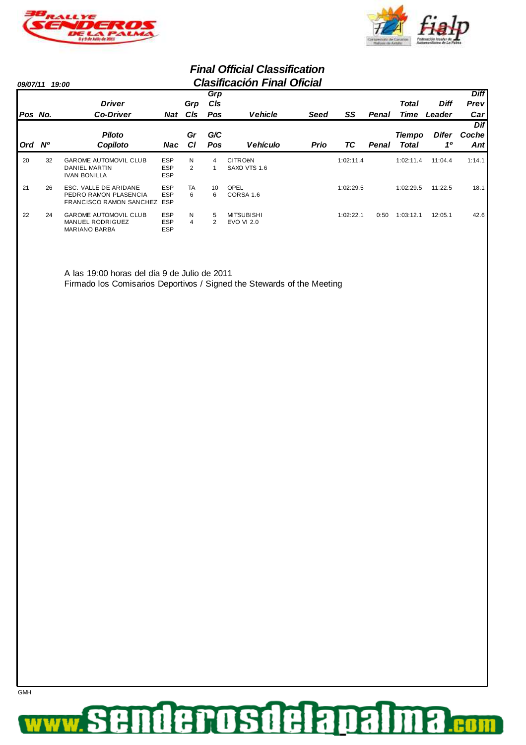



#### **Final Official Classification 09/07/11 19:00 Clasificación Final Oficial**

| <i><b>09/07/11</b></i> |    | 19:00                                                                           |                                        |                    |            | Gidalikacibii Filidi Olicidi              |      |           |              |               |              |             |
|------------------------|----|---------------------------------------------------------------------------------|----------------------------------------|--------------------|------------|-------------------------------------------|------|-----------|--------------|---------------|--------------|-------------|
|                        |    |                                                                                 |                                        |                    | Grp        |                                           |      |           |              |               |              | <b>Diff</b> |
|                        |    | <b>Driver</b>                                                                   |                                        | Grp                | <b>CIs</b> |                                           |      |           |              | Total         | <b>Diff</b>  | Prevl       |
| Pos No.                |    | <b>Co-Driver</b>                                                                | Nat                                    | CIs                | Pos        | <b>Vehicle</b>                            | Seed | SS        | Penal        | Time          | Leader       | Carl        |
|                        |    |                                                                                 |                                        |                    |            |                                           |      |           |              |               |              | <b>Dif</b>  |
|                        |    | <b>Piloto</b>                                                                   |                                        | Gr                 | G/C        |                                           |      |           |              | <b>Tiempo</b> | <b>Difer</b> | Cochel      |
| <b>Ord</b>             | N° | Copiloto                                                                        | Nac                                    | <b>CI</b>          | Pos        | <b>Vehículo</b>                           | Prio | ТC        | <b>Penal</b> | <b>Total</b>  | 10           | Antl        |
| 20                     | 32 | <b>GAROME AUTOMOVIL CLUB</b><br><b>DANIEL MARTIN</b><br><b>IVAN BONILLA</b>     | <b>ESP</b><br><b>ESP</b><br><b>ESP</b> | N<br>$\mathcal{P}$ | 4          | <b>CITRO<sub>ë</sub>N</b><br>SAXO VTS 1.6 |      | 1:02:11.4 |              | 1:02:11.4     | 11:04.4      | 1:14.1      |
| 21                     | 26 | ESC. VALLE DE ARIDANE<br>PEDRO RAMON PLASENCIA<br>FRANCISCO RAMON SANCHEZ ESP   | <b>ESP</b><br><b>ESP</b>               | TA<br>6            | 10<br>6    | OPEL<br>CORSA 1.6                         |      | 1:02:29.5 |              | 1:02:29.5     | 11:22.5      | 18.1        |
| 22                     | 24 | <b>GAROME AUTOMOVIL CLUB</b><br><b>MANUEL RODRIGUEZ</b><br><b>MARIANO BARBA</b> | <b>ESP</b><br><b>ESP</b><br><b>ESP</b> | N<br>4             | 5<br>2     | <b>MITSUBISHI</b><br><b>EVO VI 2.0</b>    |      | 1:02:22.1 | 0:50         | 1:03:12.1     | 12:05.1      | 42.6        |

A las 19:00 horas del día 9 de Julio de 2011 Firmado los Comisarios Deportivos / Signed the Stewards of the Meeting

#### derosdela **Da** 7 .eo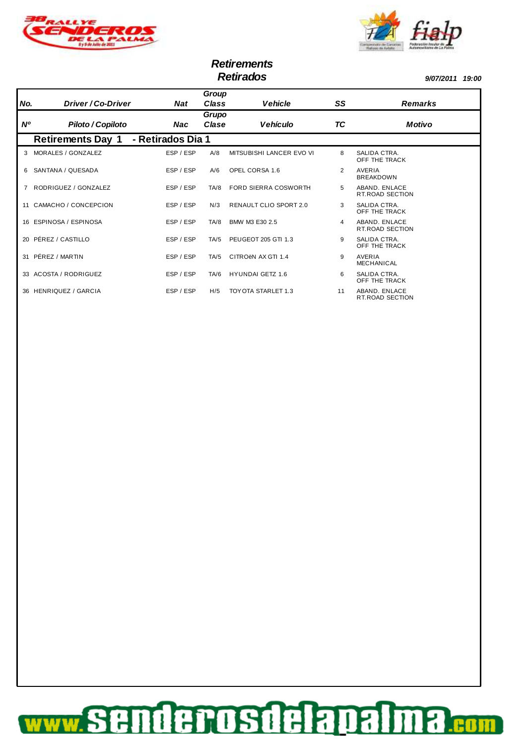



# **Retirements**

**Retirados 9/07/2011 19:00**

| No.       | Driver / Co-Driver       | Nat               | Group<br>Class | <b>Vehicle</b>           | SS | <b>Remarks</b>                          |
|-----------|--------------------------|-------------------|----------------|--------------------------|----|-----------------------------------------|
| <b>N°</b> | Piloto / Copiloto        | Nac               | Grupo<br>Clase | <b>Vehículo</b>          | ТC | <b>Motivo</b>                           |
|           | <b>Retirements Day 1</b> | - Retirados Dia 1 |                |                          |    |                                         |
| 3         | MORALES / GONZALEZ       | ESP / ESP         | A/8            | MITSUBISHI LANCER EVO VI | 8  | SALIDA CTRA.<br>OFF THE TRACK           |
| 6         | SANTANA / QUESADA        | ESP / ESP         | A/6            | OPEL CORSA 1.6           | 2  | AVERIA<br><b>BREAKDOWN</b>              |
|           | RODRIGUEZ / GONZALEZ     | ESP / ESP         | TA/8           | FORD SIERRA COSWORTH     | 5  | ABAND, ENLACE<br><b>RT.ROAD SECTION</b> |
| 11        | CAMACHO / CONCEPCION     | ESP / ESP         | N/3            | RENAULT CLIO SPORT 2.0   | 3  | SALIDA CTRA.<br>OFF THE TRACK           |
|           | ESPINOSA / ESPINOSA      | ESP / ESP         | TA/8           | BMW M3 E30 2.5           | 4  | ABAND, ENLACE<br><b>RT.ROAD SECTION</b> |
| 20        | PÉREZ / CASTILLO         | ESP / ESP         | TA/5           | PEUGEOT 205 GTI 1.3      | 9  | SALIDA CTRA.<br>OFF THE TRACK           |
| 31        | PÉREZ / MARTIN           | ESP / ESP         | TA/5           | CITROËN AX GTI 1.4       | 9  | AVERIA<br><b>MECHANICAL</b>             |
|           | 33 ACOSTA / RODRIGUEZ    | ESP / ESP         | TA/6           | <b>HYUNDAI GETZ 1.6</b>  | 6  | SALIDA CTRA.<br>OFF THE TRACK           |
|           | 36 HENRIQUEZ / GARCIA    | ESP / ESP         | H/5            | TOY OTA STARLET 1.3      | 11 | ABAND, ENLACE<br><b>RT.ROAD SECTION</b> |

#### nderosdelapalma S £ **CON WW**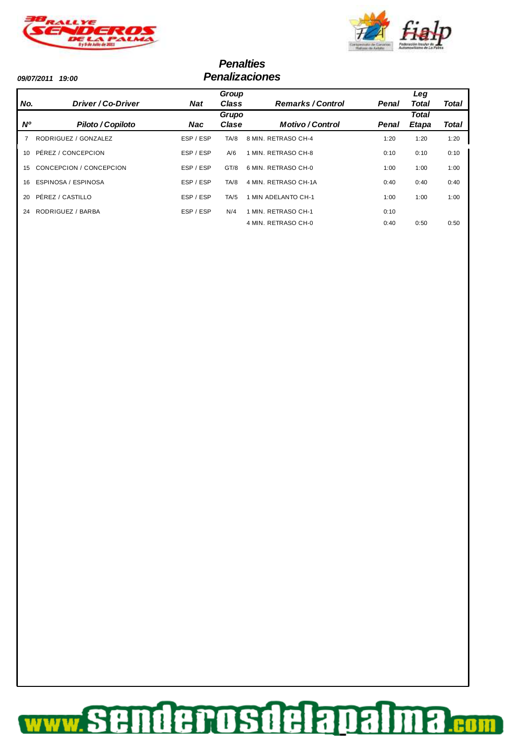



#### **Penalties 09/07/2011 19:00 Penalizaciones**

|                 |                         |           | Group |                          |       | Leg          |       |
|-----------------|-------------------------|-----------|-------|--------------------------|-------|--------------|-------|
| No.             | Driver/Co-Driver        | Nat       | Class | <b>Remarks / Control</b> | Penal | Total        | Total |
|                 |                         |           | Grupo |                          |       | <b>Total</b> |       |
| <b>N°</b>       | Piloto / Copiloto       | Nac       | Clase | <b>Motivo/Control</b>    | Penal | <b>Etapa</b> | Total |
|                 | RODRIGUEZ / GONZALEZ    | ESP / ESP | TA/8  | 8 MIN. RETRASO CH-4      | 1:20  | 1:20         | 1:20  |
| $10^{-1}$       | PÉREZ / CONCEPCION      | ESP / ESP | A/6   | 1 MIN. RETRASO CH-8      | 0:10  | 0:10         | 0:10  |
| 15 <sub>1</sub> | CONCEPCION / CONCEPCION | ESP / ESP | GT/8  | 6 MIN. RETRASO CH-0      | 1:00  | 1:00         | 1:00  |
| 16              | ESPINOSA / ESPINOSA     | ESP / ESP | TA/8  | 4 MIN. RETRASO CH-1A     | 0:40  | 0:40         | 0:40  |
| 20 <sup>°</sup> | PÉREZ / CASTILLO        | ESP / ESP | TA/5  | MIN ADELANTO CH-1        | 1:00  | 1:00         | 1:00  |
| 24              | RODRIGUEZ / BARBA       | ESP / ESP | N/4   | MIN. RETRASO CH-1        | 0:10  |              |       |
|                 |                         |           |       | 4 MIN. RETRASO CH-0      | 0:40  | 0:50         | 0:50  |

#### nderosdelapalma...... ww.S £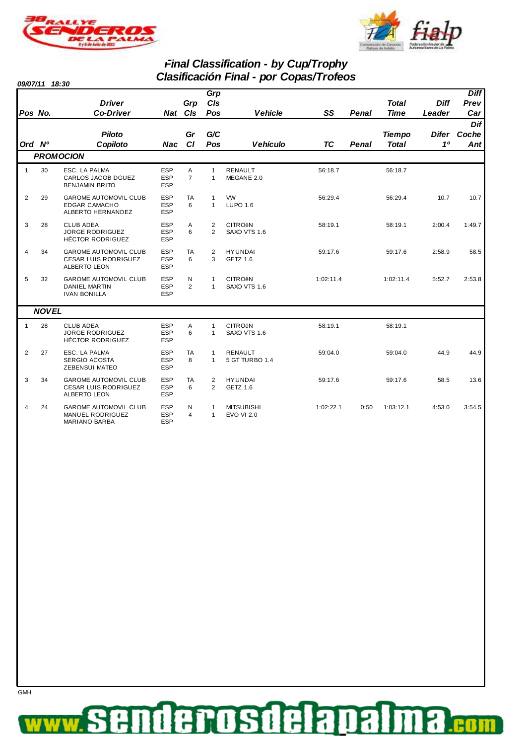



### **Final Classification - by Cup/Trophy Clasificación Final - por Copas/Trofeos**

**09/07/11 18:30**

| Pos No.      |              | <b>Driver</b><br><b>Co-Driver</b>                                           |                                        | Grp<br>Nat Cls      | Grp<br>CIs<br>Pos            | <b>Vehicle</b>                            | SS        | <b>Penal</b> | <b>Total</b><br><b>Time</b>   | <b>Diff</b><br>Leader | <b>Diff</b><br>Prev<br>Car |
|--------------|--------------|-----------------------------------------------------------------------------|----------------------------------------|---------------------|------------------------------|-------------------------------------------|-----------|--------------|-------------------------------|-----------------------|----------------------------|
| Ord Nº       |              | <b>Piloto</b><br>Copiloto                                                   | <b>Nac</b>                             | Gr<br>CI            | G/C<br>Pos                   | <b>Vehículo</b>                           | <b>TC</b> | Penal        | <b>Tiempo</b><br><b>Total</b> | 10                    | Dif<br>Difer Coche<br>Ant  |
|              |              | <b>PROMOCION</b>                                                            |                                        |                     |                              |                                           |           |              |                               |                       |                            |
| $\mathbf{1}$ | 30           | ESC. LA PALMA<br>CARLOS JACOB DGUEZ<br><b>BENJAMIN BRITO</b>                | <b>ESP</b><br><b>ESP</b><br><b>ESP</b> | Α<br>$\overline{7}$ | $\mathbf{1}$<br>$\mathbf{1}$ | <b>RENAULT</b><br>MEGANE 2.0              | 56:18.7   |              | 56:18.7                       |                       |                            |
| 2            | 29           | <b>GAROME AUTOMOVIL CLUB</b><br><b>EDGAR CAMACHO</b><br>ALBERTO HERNANDEZ   | <b>ESP</b><br><b>ESP</b><br><b>ESP</b> | TA<br>6             | $\mathbf{1}$<br>$\mathbf{1}$ | <b>VW</b><br><b>LUPO 1.6</b>              | 56:29.4   |              | 56:29.4                       | 10.7                  | 10.7                       |
| 3            | 28           | <b>CLUB ADEA</b><br><b>JORGE RODRIGUEZ</b><br><b>HÉCTOR RODRIGUEZ</b>       | <b>ESP</b><br><b>ESP</b><br><b>ESP</b> | A<br>6              | $\overline{2}$<br>2          | <b>CITRO<sub>ëN</sub></b><br>SAXO VTS 1.6 | 58:19.1   |              | 58:19.1                       | 2:00.4                | 1:49.7                     |
| 4            | 34           | <b>GAROME AUTOMOVIL CLUB</b><br><b>CESAR LUIS RODRIGUEZ</b><br>ALBERTO LEON | <b>ESP</b><br><b>ESP</b><br><b>ESP</b> | TA<br>6             | $\overline{2}$<br>3          | <b>HYUNDAI</b><br>GETZ 1.6                | 59:17.6   |              | 59:17.6                       | 2:58.9                | 58.5                       |
| 5            | 32           | <b>GAROME AUTOMOVIL CLUB</b><br><b>DANIEL MARTIN</b><br><b>IVAN BONILLA</b> | <b>ESP</b><br><b>ESP</b><br><b>ESP</b> | N<br>$\overline{2}$ | $\mathbf{1}$<br>$\mathbf{1}$ | <b>CITRO<sub>ëN</sub></b><br>SAXO VTS 1.6 | 1:02:11.4 |              | 1:02:11.4                     | 5:52.7                | 2:53.8                     |
|              | <b>NOVEL</b> |                                                                             |                                        |                     |                              |                                           |           |              |                               |                       |                            |
| $\mathbf{1}$ | 28           | <b>CLUB ADEA</b><br><b>JORGE RODRIGUEZ</b><br><b>HÉCTOR RODRIGUEZ</b>       | <b>ESP</b><br><b>ESP</b><br><b>ESP</b> | Α<br>6              | $\mathbf{1}$<br>$\mathbf{1}$ | <b>CITRO<sub>ëN</sub></b><br>SAXO VTS 1.6 | 58:19.1   |              | 58:19.1                       |                       |                            |
| 2            | 27           | ESC. LA PALMA<br>SERGIO ACOSTA<br><b>ZEBENSUI MATEO</b>                     | <b>ESP</b><br><b>ESP</b><br><b>ESP</b> | TA<br>8             | $\mathbf{1}$<br>$\mathbf{1}$ | <b>RENAULT</b><br>5 GT TURBO 1.4          | 59:04.0   |              | 59:04.0                       | 44.9                  | 44.9                       |
| 3            | 34           | <b>GAROME AUTOMOVIL CLUB</b><br><b>CESAR LUIS RODRIGUEZ</b><br>ALBERTO LEON | <b>ESP</b><br><b>ESP</b><br><b>ESP</b> | TA<br>6             | 2<br>$\overline{2}$          | <b>HYUNDAI</b><br>GETZ 1.6                | 59:17.6   |              | 59:17.6                       | 58.5                  | 13.6                       |
| 4            | 24           | <b>GAROME AUTOMOVIL CLUB</b><br><b>MANUEL RODRIGUEZ</b><br>MARIANO BARBA    | <b>ESP</b><br><b>ESP</b><br><b>ESP</b> | N<br>$\overline{4}$ | $\mathbf{1}$<br>$\mathbf{1}$ | <b>MITSUBISHI</b><br><b>EVO VI 2.0</b>    | 1:02:22.1 | 0:50         | 1:03:12.1                     | 4:53.0                | 3:54.5                     |



derosdela F 8 D .eo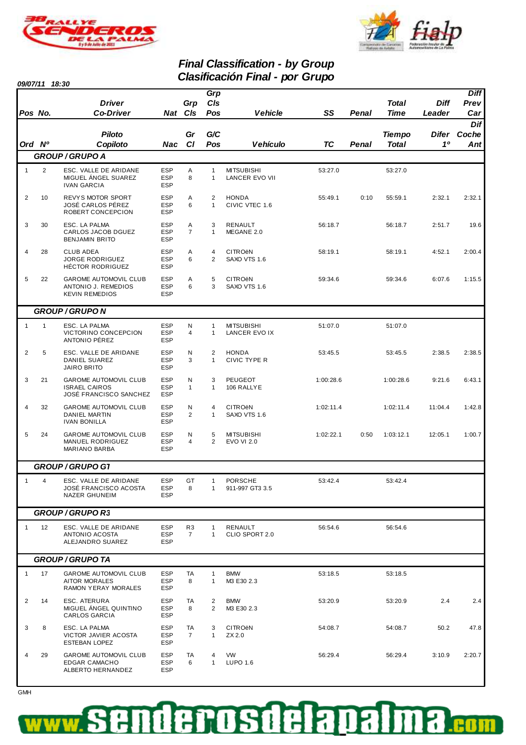



8

**CON** 

## **Final Classification - by Group Clasificación Final - por Grupo**

|                | 09/07/11 18:30 |                                                                              |                                        |                                  |                                | Ulasilikakibi i Filial - juli Ulupu       |           |              |                               |                       |                            |
|----------------|----------------|------------------------------------------------------------------------------|----------------------------------------|----------------------------------|--------------------------------|-------------------------------------------|-----------|--------------|-------------------------------|-----------------------|----------------------------|
| Pos No.        |                | <b>Driver</b><br><b>Co-Driver</b>                                            |                                        | Grp<br>Nat Cls                   | Grp<br>C/s<br>Pos              | <b>Vehicle</b>                            | SS        | <b>Penal</b> | <b>Total</b><br>Time          | <b>Diff</b><br>Leader | <b>Diff</b><br>Prev<br>Car |
| Ord Nº         |                | <b>Piloto</b><br>Copiloto                                                    | Nac                                    | Gr<br>C1                         | G/C<br>Pos                     | <b>Vehículo</b>                           | <b>TC</b> | <b>Penal</b> | <b>Tiempo</b><br><b>Total</b> | Difer<br>10           | Dif<br>Coche<br>Ant        |
|                |                | <b>GROUP/GRUPO A</b>                                                         |                                        |                                  |                                |                                           |           |              |                               |                       |                            |
| $\mathbf{1}$   | $\overline{2}$ | ESC. VALLE DE ARIDANE<br>MIGUEL ÁNGEL SUAREZ<br><b>IVAN GARCIA</b>           | <b>ESP</b><br><b>ESP</b><br><b>ESP</b> | Α<br>8                           | $\mathbf{1}$<br>$\mathbf{1}$   | <b>MITSUBISHI</b><br>LANCER EVO VII       | 53:27.0   |              | 53:27.0                       |                       |                            |
| $\overline{2}$ | 10             | REVYS MOTOR SPORT<br>JOSÉ CARLOS PÉREZ<br>ROBERT CONCEPCION                  | <b>ESP</b><br><b>ESP</b><br><b>ESP</b> | Α<br>6                           | $\overline{2}$<br>$\mathbf{1}$ | <b>HONDA</b><br>CIVIC VTEC 1.6            | 55:49.1   | 0:10         | 55:59.1                       | 2:32.1                | 2:32.1                     |
| 3              | 30             | ESC. LA PALMA<br>CARLOS JACOB DGUEZ<br><b>BENJAMIN BRITO</b>                 | <b>ESP</b><br><b>ESP</b><br><b>ESP</b> | Α<br>$\overline{7}$              | 3<br>$\mathbf{1}$              | RENAULT<br>MEGANE 2.0                     | 56:18.7   |              | 56:18.7                       | 2:51.7                | 19.6                       |
| 4              | 28             | <b>CLUB ADEA</b><br><b>JORGE RODRIGUEZ</b><br><b>HÉCTOR RODRIGUEZ</b>        | <b>ESP</b><br><b>ESP</b><br><b>ESP</b> | Α<br>6                           | $\overline{4}$<br>2            | <b>CITRO<sub>ë</sub>N</b><br>SAXO VTS 1.6 | 58:19.1   |              | 58:19.1                       | 4:52.1                | 2:00.4                     |
| 5              | 22             | <b>GAROME AUTOMOVIL CLUB</b><br>ANTONIO J. REMEDIOS<br><b>KEVIN REMEDIOS</b> | <b>ESP</b><br><b>ESP</b><br><b>ESP</b> | Α<br>6                           | 5<br>3                         | <b>CITRO<sub>ë</sub>N</b><br>SAXO VTS 1.6 | 59:34.6   |              | 59:34.6                       | 6:07.6                | 1:15.5                     |
|                |                | <b>GROUP / GRUPO N</b>                                                       |                                        |                                  |                                |                                           |           |              |                               |                       |                            |
| $\mathbf{1}$   | $\mathbf{1}$   | ESC. LA PALMA<br>VICTORINO CONCEPCION<br>ANTONIO PÉREZ                       | <b>ESP</b><br><b>ESP</b><br><b>ESP</b> | N<br>4                           | $\mathbf{1}$<br>$\mathbf{1}$   | <b>MITSUBISHI</b><br>LANCER EVO IX        | 51:07.0   |              | 51:07.0                       |                       |                            |
| $\overline{2}$ | 5              | ESC. VALLE DE ARIDANE<br>DANIEL SUAREZ<br><b>JAIRO BRITO</b>                 | <b>ESP</b><br><b>ESP</b><br><b>ESP</b> | N<br>3                           | $\overline{2}$<br>$\mathbf{1}$ | <b>HONDA</b><br>CIVIC TYPE R              | 53:45.5   |              | 53:45.5                       | 2:38.5                | 2:38.5                     |
| 3              | 21             | GAROME AUTOMOVIL CLUB<br><b>ISRAEL CAIROS</b><br>JOSÉ FRANCISCO SANCHEZ      | <b>ESP</b><br><b>ESP</b><br><b>ESP</b> | N<br>$\mathbf{1}$                | 3<br>$\mathbf{1}$              | PEUGEOT<br>106 RALLYE                     | 1:00:28.6 |              | 1:00:28.6                     | 9:21.6                | 6:43.1                     |
| 4              | 32             | GAROME AUTOMOVIL CLUB<br><b>DANIEL MARTIN</b><br><b>IVAN BONILLA</b>         | <b>ESP</b><br><b>ESP</b><br><b>ESP</b> | N<br>2                           | 4<br>$\mathbf{1}$              | <b>CITRO<sub>ë</sub>N</b><br>SAXO VTS 1.6 | 1:02:11.4 |              | 1:02:11.4                     | 11:04.4               | 1:42.8                     |
| 5              | 24             | GAROME AUTOMOVIL CLUB<br>MANUEL RODRIGUEZ<br>MARIANO BARBA                   | <b>ESP</b><br><b>ESP</b><br><b>ESP</b> | N<br>4                           | 5<br>$\overline{2}$            | <b>MITSUBISHI</b><br><b>EVO VI 2.0</b>    | 1:02:22.1 | 0:50         | 1:03:12.1                     | 12:05.1               | 1:00.7                     |
|                |                | GROUP / GRUPO G1                                                             |                                        |                                  |                                |                                           |           |              |                               |                       |                            |
| $\mathbf{1}$   | 4              | ESC. VALLE DE ARIDANE<br>JOSÉ FRANCISCO ACOSTA<br>NAZER GHUNEIM              | <b>ESP</b><br><b>ESP</b><br><b>ESP</b> | GT<br>8                          | $\mathbf{1}$<br>1              | <b>PORSCHE</b><br>911-997 GT3 3.5         | 53:42.4   |              | 53:42.4                       |                       |                            |
|                |                | <b>GROUP/GRUPO R3</b>                                                        |                                        |                                  |                                |                                           |           |              |                               |                       |                            |
| $\mathbf{1}$   | 12             | ESC. VALLE DE ARIDANE<br>ANTONIO ACOSTA<br>ALEJANDRO SUAREZ                  | <b>ESP</b><br><b>ESP</b><br><b>ESP</b> | R <sub>3</sub><br>$\overline{7}$ | 1<br>$\mathbf{1}$              | RENAULT<br>CLIO SPORT 2.0                 | 56:54.6   |              | 56:54.6                       |                       |                            |
|                |                | <b>GROUP / GRUPO TA</b>                                                      |                                        |                                  |                                |                                           |           |              |                               |                       |                            |
| $\mathbf{1}$   | 17             | GAROME AUTOMOVIL CLUB<br><b>AITOR MORALES</b><br>RAMON YERAY MORALES         | <b>ESP</b><br><b>ESP</b><br><b>ESP</b> | TA<br>8                          | $\mathbf{1}$<br>1              | <b>BMW</b><br>M3 E30 2.3                  | 53:18.5   |              | 53:18.5                       |                       |                            |
| $\overline{2}$ | 14             | ESC. ATERURA<br>MIGUEL ANGEL QUINTINO<br><b>CARLOS GARCIA</b>                | <b>ESP</b><br><b>ESP</b><br><b>ESP</b> | TA<br>8                          | 2<br>2                         | <b>BMW</b><br>M3 E30 2.3                  | 53:20.9   |              | 53:20.9                       | 2.4                   | 2.4                        |
| 3              | 8              | ESC. LA PALMA<br>VICTOR JAVIER ACOSTA<br>ESTEBAN LOPEZ                       | <b>ESP</b><br><b>ESP</b><br><b>ESP</b> | TA<br>$\overline{7}$             | 3<br>$\mathbf{1}$              | <b>CITRO<sub>ë</sub>N</b><br>ZX 2.0       | 54:08.7   |              | 54:08.7                       | 50.2                  | 47.8                       |
| 4              | 29             | <b>GAROME AUTOMOVIL CLUB</b><br><b>EDGAR CAMACHO</b><br>ALBERTO HERNANDEZ    | <b>ESP</b><br><b>ESP</b><br><b>ESP</b> | TA<br>6                          | 4<br>1                         | <b>VW</b><br>LUPO 1.6                     | 56:29.4   |              | 56:29.4                       | 3:10.9                | 2:20.7                     |
|                |                |                                                                              |                                        |                                  |                                |                                           |           |              |                               |                       |                            |

derosdelanal

 $\frac{1}{\frac{1}{\frac{1}{\sqrt{1}}}}$ 

Ŧ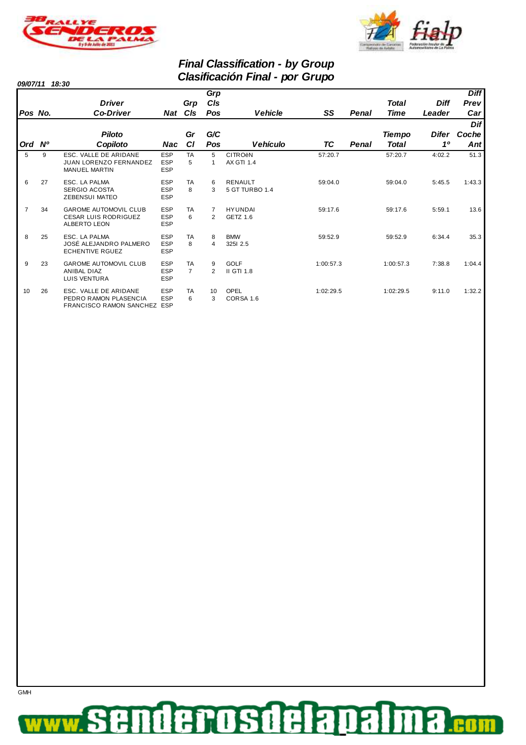



### **Final Classification - by Group Clasificación Final - por Grupo**

**09/07/11 18:30**

**GMH** 

|                |    | <b>Driver</b>                                                                      |                                        | Grp                         | Grp<br>CIs         |                                                |           |       | <b>Total</b>  | <b>Diff</b> | <b>Diff</b><br>Prev |
|----------------|----|------------------------------------------------------------------------------------|----------------------------------------|-----------------------------|--------------------|------------------------------------------------|-----------|-------|---------------|-------------|---------------------|
| Pos No.        |    | <b>Co-Driver</b>                                                                   | Nat CIs                                |                             | Pos                | <b>Vehicle</b>                                 | SS        | Penal | Time          | Leader      | Car                 |
|                |    |                                                                                    |                                        |                             |                    |                                                |           |       |               |             | Dif                 |
|                |    | <b>Piloto</b>                                                                      |                                        | Gr                          | G/C                |                                                |           |       | <b>Tiempo</b> | Difer       | Coche               |
| Ord Nº         |    | Copiloto                                                                           | Nac                                    | <b>CI</b>                   | Pos                | <b>Vehículo</b>                                | ТC        | Penal | <b>Total</b>  | 10          | Ant                 |
| 5              | 9  | ESC. VALLE DE ARIDANE<br><b>JUAN LORENZO FERNANDEZ</b><br><b>MANUEL MARTIN</b>     | <b>ESP</b><br><b>ESP</b><br><b>ESP</b> | <b>TA</b><br>5              | 5                  | <b>CITRO<sub>ëN</sub></b><br><b>AX GTI 1.4</b> | 57:20.7   |       | 57:20.7       | 4:02.2      | 51.3                |
| 6              | 27 | ESC. LA PALMA<br><b>SERGIO ACOSTA</b><br><b>ZEBENSUI MATEO</b>                     | <b>ESP</b><br><b>ESP</b><br><b>ESP</b> | <b>TA</b><br>8              | 6<br>3             | <b>RENAULT</b><br>5 GT TURBO 1.4               | 59:04.0   |       | 59:04.0       | 5:45.5      | 1:43.3              |
| $\overline{7}$ | 34 | <b>GAROME AUTOMOVIL CLUB</b><br><b>CESAR LUIS RODRIGUEZ</b><br><b>ALBERTO LEON</b> | <b>ESP</b><br><b>ESP</b><br><b>ESP</b> | <b>TA</b><br>6              | 2                  | <b>HYUNDAI</b><br>GETZ 1.6                     | 59:17.6   |       | 59:17.6       | 5:59.1      | 13.6                |
| 8              | 25 | ESC. LA PALMA<br>JOSÉ ALEJANDRO PALMERO<br><b>ECHENTIVE RGUEZ</b>                  | <b>ESP</b><br><b>ESP</b><br><b>ESP</b> | <b>TA</b><br>8              | 8<br>4             | <b>BMW</b><br>3251 2.5                         | 59:52.9   |       | 59:52.9       | 6:34.4      | 35.3                |
| 9              | 23 | <b>GAROME AUTOMOVIL CLUB</b><br>ANIBAL DIAZ<br>LUIS VENTURA                        | <b>ESP</b><br><b>ESP</b><br><b>ESP</b> | <b>TA</b><br>$\overline{7}$ | 9<br>$\mathcal{P}$ | <b>GOLF</b><br>II GTI 1.8                      | 1:00:57.3 |       | 1:00:57.3     | 7:38.8      | 1:04.4              |
| 10             | 26 | ESC. VALLE DE ARIDANE<br>PEDRO RAMON PLASENCIA<br>FRANCISCO RAMON SANCHEZ          | <b>ESP</b><br><b>ESP</b><br><b>ESP</b> | <b>TA</b><br>6              | 10<br>3            | OPEL<br>CORSA 1.6                              | 1:02:29.5 |       | 1:02:29.5     | 9:11.0      | 1:32.2              |

#### denosdela Da 3 .eo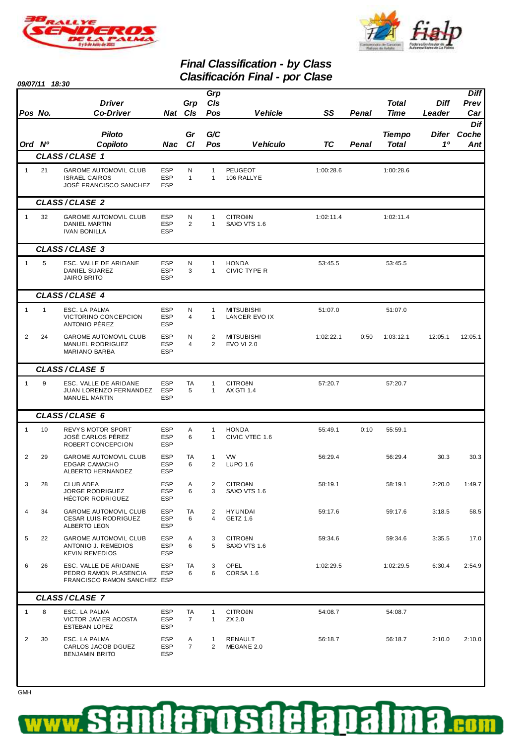



### **Final Classification - by Class Clasificación Final - por Clase**

|                | 09/07/11 18:30 |                                                                                |                                        |                      |                              | Gasiliyayiyii Filial - pul Giast          |           |              |                               |                       |                            |
|----------------|----------------|--------------------------------------------------------------------------------|----------------------------------------|----------------------|------------------------------|-------------------------------------------|-----------|--------------|-------------------------------|-----------------------|----------------------------|
| Pos No.        |                | <b>Driver</b><br><b>Co-Driver</b>                                              |                                        | Grp<br>Nat Cls       | Grp<br>C/s<br>Pos            | <b>Vehicle</b>                            | SS        | Penal        | <b>Total</b><br>Time          | <b>Diff</b><br>Leader | <b>Diff</b><br>Prev<br>Car |
| Ord Nº         |                | <b>Piloto</b><br>Copiloto                                                      | Nac                                    | Gr<br><b>CI</b>      | G/C<br>Pos                   | <b>Vehículo</b>                           | <b>TC</b> | <b>Penal</b> | <b>Tiempo</b><br><b>Total</b> | Difer<br>10           | Dif<br>Coche<br>Ant        |
|                |                | CLASS/CLASE 1                                                                  |                                        |                      |                              |                                           |           |              |                               |                       |                            |
| $\mathbf{1}$   | 21             | GAROME AUTOMOVIL CLUB<br><b>ISRAEL CAIROS</b><br><b>JOSÉ FRANCISCO SANCHEZ</b> | <b>ESP</b><br><b>ESP</b><br><b>ESP</b> | N<br>$\mathbf{1}$    | $\mathbf{1}$<br>1            | PEUGEOT<br>106 RALLYE                     | 1:00:28.6 |              | 1:00:28.6                     |                       |                            |
|                |                | CLASS/CLASE 2                                                                  |                                        |                      |                              |                                           |           |              |                               |                       |                            |
| $\mathbf{1}$   | 32             | GAROME AUTOMOVIL CLUB<br><b>DANIEL MARTIN</b><br><b>IVAN BONILLA</b>           | <b>ESP</b><br><b>ESP</b><br><b>ESP</b> | N<br>$\overline{2}$  | $\mathbf{1}$<br>1            | <b>CITRO<sub>ë</sub>N</b><br>SAXO VTS 1.6 | 1:02:11.4 |              | 1:02:11.4                     |                       |                            |
|                |                | CLASS/CLASE 3                                                                  |                                        |                      |                              |                                           |           |              |                               |                       |                            |
| $\mathbf{1}$   | 5              | ESC. VALLE DE ARIDANE<br>DANIEL SUAREZ<br><b>JAIRO BRITO</b>                   | <b>ESP</b><br><b>ESP</b><br><b>ESP</b> | N<br>3               | $\mathbf{1}$<br>$\mathbf{1}$ | <b>HONDA</b><br>CIVIC TYPE R              | 53:45.5   |              | 53:45.5                       |                       |                            |
|                |                | <b>CLASS/CLASE 4</b>                                                           |                                        |                      |                              |                                           |           |              |                               |                       |                            |
| $\mathbf{1}$   | $\mathbf{1}$   | ESC. LA PALMA<br>VICTORINO CONCEPCION<br>ANTONIO PÉREZ                         | <b>ESP</b><br><b>ESP</b><br><b>ESP</b> | N<br>4               | $\mathbf{1}$<br>1            | <b>MITSUBISHI</b><br>LANCER EVO IX        | 51:07.0   |              | 51:07.0                       |                       |                            |
| 2              | 24             | <b>GAROME AUTOMOVIL CLUB</b><br>MANUEL RODRIGUEZ<br>MARIANO BARBA              | <b>ESP</b><br><b>ESP</b><br><b>ESP</b> | N<br>4               | $\overline{c}$<br>2          | <b>MITSUBISHI</b><br><b>EVO VI 2.0</b>    | 1:02:22.1 | 0:50         | 1:03:12.1                     | 12:05.1               | 12:05.1                    |
|                |                | CLASS/CLASE 5                                                                  |                                        |                      |                              |                                           |           |              |                               |                       |                            |
| $\mathbf{1}$   | 9              | ESC. VALLE DE ARIDANE<br>JUAN LORENZO FERNANDEZ<br><b>MANUEL MARTIN</b>        | <b>ESP</b><br><b>ESP</b><br><b>ESP</b> | TA<br>5              | $\mathbf{1}$<br>1            | <b>CITRO<sub>ë</sub>N</b><br>AX GTI 1.4   | 57:20.7   |              | 57:20.7                       |                       |                            |
|                |                | CLASS/CLASE 6                                                                  |                                        |                      |                              |                                           |           |              |                               |                       |                            |
| $\mathbf{1}$   | 10             | REVYS MOTOR SPORT<br>JOSÉ CARLOS PÉREZ<br>ROBERT CONCEPCION                    | <b>ESP</b><br><b>ESP</b><br><b>ESP</b> | Α<br>6               | $\mathbf{1}$<br>1            | <b>HONDA</b><br>CIVIC VTEC 1.6            | 55:49.1   | 0:10         | 55:59.1                       |                       |                            |
| 2              | 29             | <b>GAROME AUTOMOVIL CLUB</b><br><b>EDGAR CAMACHO</b><br>ALBERTO HERNANDEZ      | <b>ESP</b><br><b>ESP</b><br><b>ESP</b> | TA<br>6              | 1<br>$\overline{2}$          | VW<br>LUPO 1.6                            | 56:29.4   |              | 56:29.4                       | 30.3                  | 30.3                       |
| 3              | 28             | <b>CLUB ADEA</b><br>JORGE RODRIGUEZ<br><b>HÉCTOR RODRIGUEZ</b>                 | <b>ESP</b><br><b>ESP</b><br><b>ESP</b> | Α<br>6               | $\overline{c}$<br>3          | <b>CITRO<sub>ë</sub>N</b><br>SAXO VTS 1.6 | 58:19.1   |              | 58:19.1                       | 2:20.0                | 1:49.7                     |
| $\overline{4}$ | 34             | GAROME AUTOMOVIL CLUB<br>CESAR LUIS RODRIGUEZ<br>ALBERTO LEON                  | <b>ESP</b><br><b>ESP</b><br><b>ESP</b> | TA<br>6              | 2<br>4                       | HYUNDAI<br>GETZ 1.6                       | 59:17.6   |              | 59:17.6                       | 3:18.5                | 58.5                       |
| 5              | 22             | <b>GAROME AUTOMOVIL CLUB</b><br>ANTONIO J. REMEDIOS<br><b>KEVIN REMEDIOS</b>   | <b>ESP</b><br><b>ESP</b><br><b>ESP</b> | A<br>6               | 3<br>5                       | <b>CITRO<sub>ë</sub>N</b><br>SAXO VTS 1.6 | 59:34.6   |              | 59:34.6                       | 3:35.5                | 17.0                       |
| 6              | 26             | ESC. VALLE DE ARIDANE<br>PEDRO RAMON PLASENCIA<br>FRANCISCO RAMON SANCHEZ ESP  | <b>ESP</b><br><b>ESP</b>               | TA<br>6              | 3<br>6                       | OPEL<br>CORSA 1.6                         | 1:02:29.5 |              | 1:02:29.5                     | 6:30.4                | 2:54.9                     |
|                |                | CLASS/CLASE 7                                                                  |                                        |                      |                              |                                           |           |              |                               |                       |                            |
| $\mathbf{1}$   | 8              | ESC. LA PALMA<br>VICTOR JAVIER ACOSTA<br><b>ESTEBAN LOPEZ</b>                  | <b>ESP</b><br><b>ESP</b><br><b>ESP</b> | TA<br>$\overline{7}$ | $\mathbf{1}$<br>$\mathbf{1}$ | <b>CITRO<sub>ë</sub>N</b><br>ZX 2.0       | 54:08.7   |              | 54:08.7                       |                       |                            |
| $\overline{2}$ | 30             | ESC. LA PALMA<br>CARLOS JACOB DGUEZ<br><b>BENJAMIN BRITO</b>                   | <b>ESP</b><br><b>ESP</b><br><b>ESP</b> | A<br>$\overline{7}$  | $\mathbf{1}$<br>2            | RENAULT<br>MEGANE 2.0                     | 56:18.7   |              | 56:18.7                       | 2:10.0                | 2:10.0                     |

derosdela

3

D

F

**.eo** 

**GMH**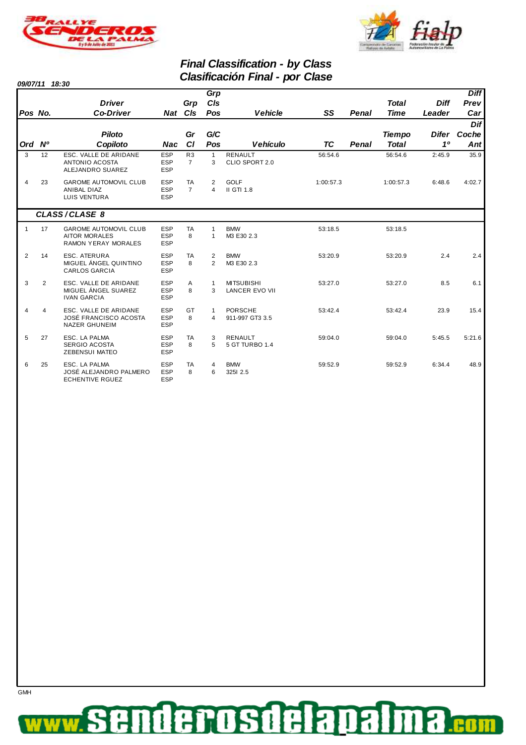



### **Final Classification - by Class Clasificación Final - por Clase**

**09/07/11 18:30**

**GMH** 

|              |    |                                                                                    |                                        |                                  | Grp                          |                                            |           |       |               |                | <b>Diff</b> |
|--------------|----|------------------------------------------------------------------------------------|----------------------------------------|----------------------------------|------------------------------|--------------------------------------------|-----------|-------|---------------|----------------|-------------|
|              |    | <b>Driver</b>                                                                      |                                        | Grp                              | CIs                          |                                            |           |       | <b>Total</b>  | <b>Diff</b>    | Prev        |
| Pos No.      |    | <b>Co-Driver</b>                                                                   | Nat                                    | CIs                              | Pos                          | <b>Vehicle</b>                             | SS        | Penal | <b>Time</b>   | Leader         | Car         |
|              |    |                                                                                    |                                        |                                  |                              |                                            |           |       |               |                | Dif         |
|              |    | <b>Piloto</b>                                                                      |                                        | Gr                               | G/C                          |                                            |           |       | <b>Tiempo</b> | Difer          | Coche       |
| Ord Nº       |    | Copiloto                                                                           | <b>Nac</b>                             | <b>CI</b>                        | Pos                          | <b>Vehículo</b>                            | <b>TC</b> | Penal | <b>Total</b>  | 1 <sup>0</sup> | Ant         |
| 3            | 12 | ESC. VALLE DE ARIDANE<br><b>ANTONIO ACOSTA</b><br>ALEJANDRO SUAREZ                 | <b>ESP</b><br><b>ESP</b><br><b>ESP</b> | R <sub>3</sub><br>$\overline{7}$ | $\mathbf{1}$<br>3            | <b>RENAULT</b><br>CLIO SPORT 2.0           | 56:54.6   |       | 56:54.6       | 2:45.9         | 35.9        |
| 4            | 23 | <b>GAROME AUTOMOVIL CLUB</b><br><b>ANIBAL DIAZ</b><br><b>LUIS VENTURA</b>          | <b>ESP</b><br><b>ESP</b><br><b>ESP</b> | <b>TA</b><br>$\overline{7}$      | 2<br>$\overline{\mathbf{A}}$ | <b>GOLF</b><br>II GTI 1.8                  | 1:00:57.3 |       | 1:00:57.3     | 6:48.6         | 4:02.7      |
|              |    | CLASS/CLASE 8                                                                      |                                        |                                  |                              |                                            |           |       |               |                |             |
| $\mathbf{1}$ | 17 | <b>GAROME AUTOMOVIL CLUB</b><br><b>AITOR MORALES</b><br><b>RAMON YERAY MORALES</b> | <b>ESP</b><br><b>ESP</b><br><b>ESP</b> | <b>TA</b><br>8                   | $\mathbf{1}$<br>$\mathbf{1}$ | <b>BMW</b><br>M3 E30 2.3                   | 53:18.5   |       | 53:18.5       |                |             |
| 2            | 14 | <b>ESC. ATERURA</b><br>MIGUEL ÁNGEL QUINTINO<br><b>CARLOS GARCIA</b>               | <b>ESP</b><br><b>ESP</b><br><b>ESP</b> | <b>TA</b><br>8                   | $\overline{2}$<br>2          | <b>BMW</b><br>M3 E30 2.3                   | 53:20.9   |       | 53:20.9       | 2.4            | 2.4         |
| 3            | 2  | ESC. VALLE DE ARIDANE<br>MIGUEL ÁNGEL SUAREZ<br><b>IVAN GARCIA</b>                 | <b>ESP</b><br><b>ESP</b><br><b>ESP</b> | A<br>8                           | $\mathbf{1}$<br>3            | <b>MITSUBISHI</b><br><b>LANCER EVO VII</b> | 53:27.0   |       | 53:27.0       | 8.5            | 6.1         |
| 4            | 4  | ESC. VALLE DE ARIDANE<br>JOSÉ FRANCISCO ACOSTA<br><b>NAZER GHUNEIM</b>             | <b>ESP</b><br><b>ESP</b><br><b>ESP</b> | GT<br>8                          | 1<br>$\overline{4}$          | <b>PORSCHE</b><br>911-997 GT3 3.5          | 53:42.4   |       | 53:42.4       | 23.9           | 15.4        |
| 5            | 27 | ESC. LA PALMA<br>SERGIO ACOSTA<br><b>ZEBENSUI MATEO</b>                            | <b>ESP</b><br><b>ESP</b><br><b>ESP</b> | TA<br>8                          | 3<br>5                       | <b>RENAULT</b><br>5 GT TURBO 1.4           | 59:04.0   |       | 59:04.0       | 5:45.5         | 5:21.6      |
| 6            | 25 | ESC. LA PALMA<br>JOSÉ ALEJANDRO PALMERO<br><b>ECHENTIVE RGUEZ</b>                  | <b>ESP</b><br><b>ESP</b><br><b>ESP</b> | TA<br>8                          | 4<br>6                       | <b>BMW</b><br>3251 2.5                     | 59:52.9   |       | 59:52.9       | 6:34.4         | 48.9        |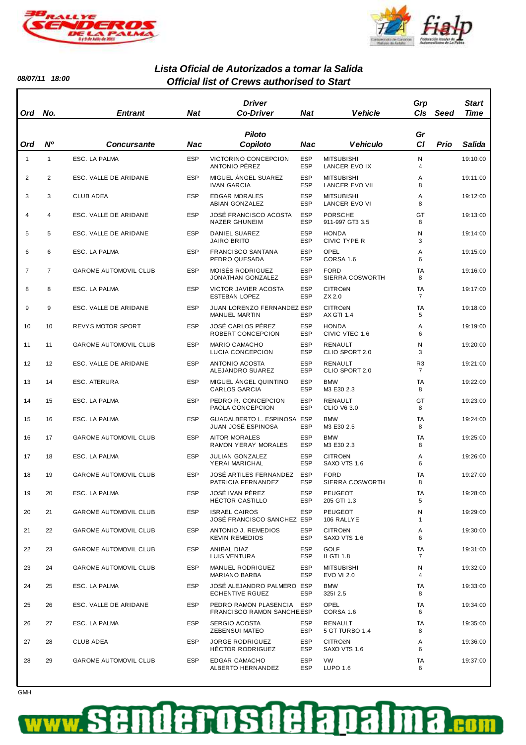



ı

**08/07/11 18:00**

#### **Official list of Crews authorised to Start Lista Oficial de Autorizados a tomar la Salida**

| Ord            | No.            | <b>Entrant</b>               | <b>Nat</b> | <b>Driver</b><br>Co-Driver                             | Nat                      | Vehicle                                        | Grp<br><b>CIs</b>                | Seed | Start<br>Time |
|----------------|----------------|------------------------------|------------|--------------------------------------------------------|--------------------------|------------------------------------------------|----------------------------------|------|---------------|
| Ord            | N°             | <b>Concursante</b>           | Nac        | <b>Piloto</b><br>Copiloto                              | Nac                      | <b>Vehiculo</b>                                | Gr<br>C1                         | Prio | Salida        |
| $\mathbf{1}$   | $\mathbf{1}$   | ESC. LA PALMA                | <b>ESP</b> | VICTORINO CONCEPCION<br>ANTONIO PÉREZ                  | <b>ESP</b><br><b>ESP</b> | <b>MITSUBISHI</b><br>LANCER EVO IX             | N<br>4                           |      | 19:10:00      |
| $\overline{2}$ | 2              | ESC. VALLE DE ARIDANE        | <b>ESP</b> | MIGUEL ÁNGEL SUAREZ<br><b>IVAN GARCIA</b>              | <b>ESP</b><br><b>ESP</b> | <b>MITSUBISHI</b><br><b>LANCER EVO VII</b>     | Α<br>8                           |      | 19:11:00      |
| 3              | 3              | <b>CLUB ADEA</b>             | <b>ESP</b> | <b>EDGAR MORALES</b><br>ABIAN GONZALEZ                 | <b>ESP</b><br><b>ESP</b> | <b>MITSUBISHI</b><br><b>LANCER EVO VI</b>      | Α<br>8                           |      | 19:12:00      |
| 4              | 4              | ESC. VALLE DE ARIDANE        | <b>ESP</b> | JOSÉ FRANCISCO ACOSTA<br><b>NAZER GHUNEIM</b>          | <b>ESP</b><br><b>ESP</b> | <b>PORSCHE</b><br>911-997 GT3 3.5              | GT<br>8                          |      | 19:13:00      |
| 5              | 5              | ESC. VALLE DE ARIDANE        | <b>ESP</b> | DANIEL SUAREZ<br><b>JAIRO BRITO</b>                    | <b>ESP</b><br><b>ESP</b> | <b>HONDA</b><br>CIVIC TYPE R                   | Ν<br>3                           |      | 19:14:00      |
| 6              | 6              | ESC. LA PALMA                | <b>ESP</b> | FRANCISCO SANTANA<br>PEDRO QUESADA                     | <b>ESP</b><br><b>ESP</b> | OPEL<br>CORSA 1.6                              | Α<br>6                           |      | 19:15:00      |
| $\overline{7}$ | $\overline{7}$ | <b>GAROME AUTOMOVIL CLUB</b> | <b>ESP</b> | <b>MOISÉS RODRIGUEZ</b><br>JONATHAN GONZALEZ           | <b>ESP</b><br><b>ESP</b> | <b>FORD</b><br>SIERRA COSWORTH                 | TA<br>8                          |      | 19:16:00      |
| 8              | 8              | ESC. LA PALMA                | <b>ESP</b> | VICTOR JAVIER ACOSTA<br><b>ESTEBAN LOPEZ</b>           | <b>ESP</b><br><b>ESP</b> | <b>CITRO<sub>ëN</sub></b><br>ZX 2.0            | TA<br>$\overline{7}$             |      | 19:17:00      |
| 9              | 9              | ESC. VALLE DE ARIDANE        | <b>ESP</b> | JUAN LORENZO FERNANDEZ ESP<br><b>MANUEL MARTIN</b>     | <b>ESP</b>               | <b>CITRO<sub>ë</sub>N</b><br><b>AX GTI 1.4</b> | TA<br>5                          |      | 19:18:00      |
| 10             | 10             | REVYS MOTOR SPORT            | <b>ESP</b> | JOSÉ CARLOS PÉREZ<br>ROBERT CONCEPCION                 | <b>ESP</b><br><b>ESP</b> | <b>HONDA</b><br>CIVIC VTEC 1.6                 | Α<br>6                           |      | 19:19:00      |
| 11             | 11             | GAROME AUTOMOVIL CLUB        | <b>ESP</b> | MARIO CAMACHO<br>LUCIA CONCEPCION                      | <b>ESP</b><br><b>ESP</b> | RENAULT<br>CLIO SPORT 2.0                      | Ν<br>3                           |      | 19:20:00      |
| 12             | 12             | ESC. VALLE DE ARIDANE        | <b>ESP</b> | ANTONIO ACOSTA<br>ALEJANDRO SUAREZ                     | <b>ESP</b><br><b>ESP</b> | RENAULT<br>CLIO SPORT 2.0                      | R <sub>3</sub><br>$\overline{7}$ |      | 19:21:00      |
| 13             | 14             | ESC. ATERURA                 | <b>ESP</b> | MIGUEL ANGEL QUINTINO<br><b>CARLOS GARCIA</b>          | <b>ESP</b><br><b>ESP</b> | <b>BMW</b><br>M3 E30 2.3                       | TA<br>8                          |      | 19:22:00      |
| 14             | 15             | ESC. LA PALMA                | <b>ESP</b> | PEDRO R. CONCEPCION<br>PAOLA CONCEPCION                | <b>ESP</b><br><b>ESP</b> | RENAULT<br><b>CLIO V6 3.0</b>                  | GT<br>8                          |      | 19:23:00      |
| 15             | 16             | ESC. LA PALMA                | <b>ESP</b> | GUADALBERTO L. ESPINOSA ESP<br>JUAN JOSÉ ESPINOSA      | <b>ESP</b>               | <b>BMW</b><br>M3 E30 2.5                       | TA<br>8                          |      | 19:24:00      |
| 16             | 17             | <b>GAROME AUTOMOVIL CLUB</b> | <b>ESP</b> | <b>AITOR MORALES</b><br>RAMON YERAY MORALES            | <b>ESP</b><br><b>ESP</b> | <b>BMW</b><br>M3 E30 2.3                       | TA<br>8                          |      | 19:25:00      |
| 17             | 18             | ESC. LA PALMA                | <b>ESP</b> | <b>JULIAN GONZALEZ</b><br>YERAI MARICHAL               | <b>ESP</b><br><b>ESP</b> | <b>CITRO<sub>ëN</sub></b><br>SAXO VTS 1.6      | Α<br>6                           |      | 19:26:00      |
| 18             | 19             | <b>GAROME AUTOMOVIL CLUB</b> | <b>ESP</b> | JOSÉ ARTILES FERNANDEZ<br>PATRICIA FERNANDEZ           | <b>ESP</b><br><b>ESP</b> | <b>FORD</b><br>SIERRA COSWORTH                 | TA<br>8                          |      | 19:27:00      |
| 19             | 20             | ESC. LA PALMA                | <b>ESP</b> | JOSÉ IVAN PÉREZ<br><b>HÉCTOR CASTILLO</b>              | <b>ESP</b><br><b>ESP</b> | <b>PEUGEOT</b><br>205 GTI 1.3                  | TA<br>5                          |      | 19:28:00      |
| 20             | 21             | GAROME AUTOMOVIL CLUB        | <b>ESP</b> | <b>ISRAEL CAIROS</b><br>JOSÉ FRANCISCO SANCHEZ ESP     | <b>ESP</b>               | <b>PEUGEOT</b><br>106 RALLYE                   | Ν<br>1                           |      | 19:29:00      |
| 21             | 22             | GAROME AUTOMOVIL CLUB        | <b>ESP</b> | ANTONIO J. REMEDIOS<br><b>KEVIN REMEDIOS</b>           | <b>ESP</b><br><b>ESP</b> | <b>CITRO<sub>ëN</sub></b><br>SAXO VTS 1.6      | Α<br>6                           |      | 19:30:00      |
| 22             | 23             | GAROME AUTOMOVIL CLUB        | <b>ESP</b> | ANIBAL DIAZ<br>LUIS VENTURA                            | <b>ESP</b><br><b>ESP</b> | <b>GOLF</b><br>II GTI 1.8                      | TA<br>$\overline{7}$             |      | 19:31:00      |
| 23             | 24             | <b>GAROME AUTOMOVIL CLUB</b> | <b>ESP</b> | MANUEL RODRIGUEZ<br>MARIANO BARBA                      | <b>ESP</b><br><b>ESP</b> | <b>MITSUBISHI</b><br><b>EVO VI 2.0</b>         | N<br>4                           |      | 19:32:00      |
| 24             | 25             | ESC. LA PALMA                | <b>ESP</b> | JOSÉ ALEJANDRO PALMERO ESP<br><b>ECHENTIVE RGUEZ</b>   | <b>ESP</b>               | <b>BMW</b><br>3251 2.5                         | TA<br>8                          |      | 19:33:00      |
| 25             | 26             | ESC. VALLE DE ARIDANE        | <b>ESP</b> | PEDRO RAMON PLASENCIA ESP<br>FRANCISCO RAMON SANCHEESP |                          | <b>OPEL</b><br>CORSA 1.6                       | TA<br>6                          |      | 19:34:00      |
| 26             | 27             | ESC. LA PALMA                | <b>ESP</b> | SERGIO ACOSTA<br>ZEBENSUI MATEO                        | ESP<br><b>ESP</b>        | RENAULT<br>5 GT TURBO 1.4                      | TA<br>8                          |      | 19:35:00      |
| 27             | 28             | CLUB ADEA                    | <b>ESP</b> | <b>JORGE RODRIGUEZ</b><br>HÉCTOR RODRIGUEZ             | <b>ESP</b><br><b>ESP</b> | <b>CITRO<sub>ëN</sub></b><br>SAXO VTS 1.6      | Α<br>6                           |      | 19:36:00      |
| 28             | 29             | GAROME AUTOMOVIL CLUB        | <b>ESP</b> | EDGAR CAMACHO<br>ALBERTO HERNANDEZ                     | <b>ESP</b><br><b>ESP</b> | <b>VW</b><br>LUPO 1.6                          | TA<br>6                          |      | 19:37:00      |

#### **GMH**

#### denosdela ₹ Da P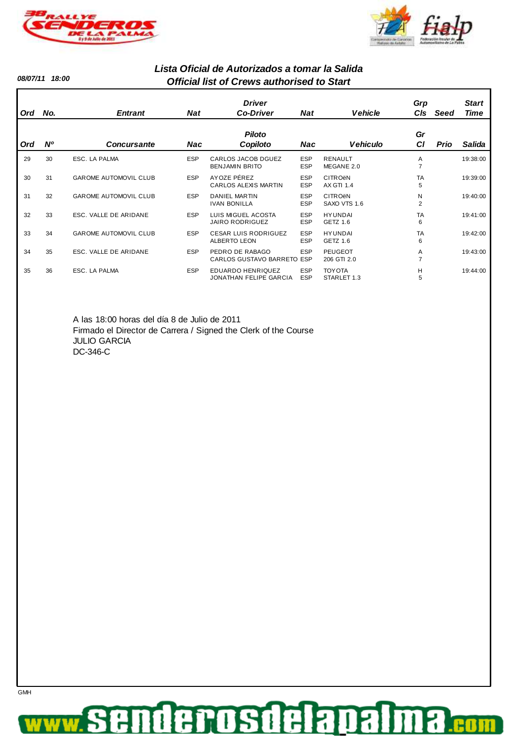



**08/07/11 18:00**

**GMH** 

#### **Official list of Crews authorised to Start Lista Oficial de Autorizados a tomar la Salida**

| Ord | No.         | <b>Entrant</b>               | <b>Nat</b> | <b>Driver</b><br><b>Co-Driver</b>                  | <b>Nat</b>               | <b>Vehicle</b>                            | Grp<br><b>CIs</b>   | Seed | <b>Start</b><br>Time |
|-----|-------------|------------------------------|------------|----------------------------------------------------|--------------------------|-------------------------------------------|---------------------|------|----------------------|
| Ord | $N^{\rm o}$ | <b>Concursante</b>           | Nac        | <b>Piloto</b><br>Copiloto                          | Nac                      | Vehiculo                                  | Gr<br><b>CI</b>     | Prio | Salida               |
| 29  | 30          | ESC. LA PALMA                | <b>ESP</b> | <b>CARLOS JACOB DGUEZ</b><br><b>BENJAMIN BRITO</b> | <b>ESP</b><br><b>ESP</b> | <b>RENAULT</b><br>MEGANE 2.0              | A<br>7              |      | 19:38:00             |
| 30  | 31          | <b>GAROME AUTOMOVIL CLUB</b> | <b>ESP</b> | AYOZE PÉREZ<br>CARLOS ALEXIS MARTIN                | <b>ESP</b><br><b>ESP</b> | <b>CITRO<sub>ëN</sub></b><br>AX GTI 1.4   | <b>TA</b><br>5      |      | 19:39:00             |
| 31  | 32          | <b>GAROME AUTOMOVIL CLUB</b> | <b>ESP</b> | <b>DANIEL MARTIN</b><br><b>IVAN BONILLA</b>        | <b>ESP</b><br><b>ESP</b> | <b>CITRO<sub>ëN</sub></b><br>SAXO VTS 1.6 | N<br>$\overline{2}$ |      | 19:40:00             |
| 32  | 33          | ESC. VALLE DE ARIDANE        | <b>ESP</b> | LUIS MIGUEL ACOSTA<br><b>JAIRO RODRIGUEZ</b>       | <b>ESP</b><br><b>ESP</b> | <b>HYUNDAI</b><br><b>GETZ 1.6</b>         | <b>TA</b><br>6      |      | 19:41:00             |
| 33  | 34          | <b>GAROME AUTOMOVIL CLUB</b> | <b>ESP</b> | <b>CESAR LUIS RODRIGUEZ</b><br><b>ALBERTO LEON</b> | <b>ESP</b><br><b>ESP</b> | <b>HYUNDAI</b><br>GETZ 1.6                | <b>TA</b><br>6      |      | 19:42:00             |
| 34  | 35          | ESC. VALLE DE ARIDANE        | <b>ESP</b> | PEDRO DE RABAGO<br>CARLOS GUSTAVO BARRETO          | <b>ESP</b><br>ESP        | <b>PEUGEOT</b><br>206 GTI 2.0             | A<br>7              |      | 19:43:00             |
| 35  | 36          | ESC. LA PALMA                | <b>ESP</b> | EDUARDO HENRIQUEZ<br>JONATHAN FELIPE GARCIA        | <b>ESP</b><br><b>ESP</b> | <b>TOY OTA</b><br>STARLET 1.3             | H<br>5              |      | 19:44:00             |

A las 18:00 horas del día 8 de Julio de 2011 Firmado el Director de Carrera / Signed the Clerk of the Course JULIO GARCIA DC-346-C

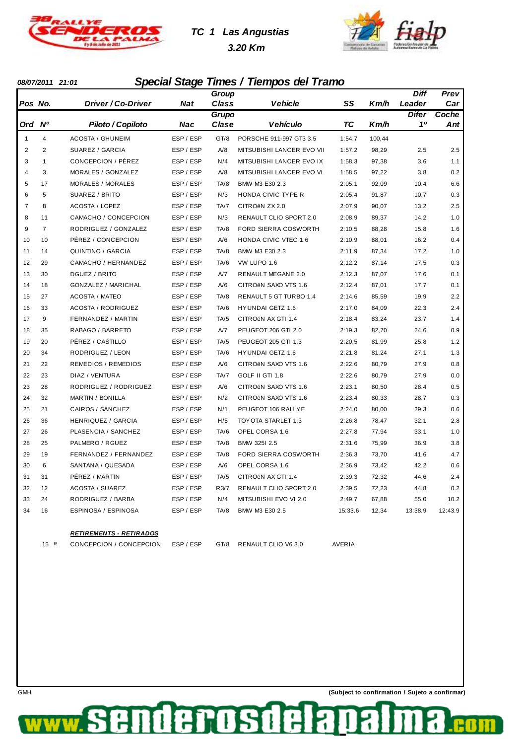

# **TC 1 Las Angustias 3.20 Km**



#### **08/07/2011 21:01 Special Stage Times / Tiempos del Tramo**

|                |                |                            |           | Group |                           |         |        | Diff         | Prev    |
|----------------|----------------|----------------------------|-----------|-------|---------------------------|---------|--------|--------------|---------|
| Pos No.        |                | <i>Driver / Co-Driver</i>  | Nat       | Class | Vehicle                   | SS      | Km/h   | Leader       | Car     |
|                |                |                            |           | Grupo |                           |         |        | <b>Difer</b> | Coche   |
| Ord Nº         |                | Piloto / Copiloto          | Nac       | Clase | <b>Vehículo</b>           | ТC      | Km/h   | 10           | Ant     |
| 1              | 4              | <b>ACOSTA / GHUNEIM</b>    | ESP / ESP | GT/8  | PORSCHE 911-997 GT3 3.5   | 1:54.7  | 100,44 |              |         |
| 2              | $\overline{2}$ | SUAREZ / GARCIA            | ESP / ESP | A/8   | MITSUBISHI LANCER EVO VII | 1:57.2  | 98,29  | 2.5          | 2.5     |
| 3              | $\mathbf{1}$   | CONCEPCION / PÉREZ         | ESP / ESP | N/4   | MITSUBISHI LANCER EVO IX  | 1:58.3  | 97,38  | 3.6          | 1.1     |
| $\overline{4}$ | 3              | MORALES / GONZALEZ         | ESP / ESP | A/8   | MITSUBISHI LANCER EVO VI  | 1:58.5  | 97,22  | 3.8          | 0.2     |
| 5              | 17             | <b>MORALES / MORALES</b>   | ESP / ESP | TA/8  | BMW M3 E30 2.3            | 2:05.1  | 92,09  | 10.4         | 6.6     |
| 6              | 5              | SUAREZ / BRITO             | ESP / ESP | N/3   | HONDA CIVIC TYPE R        | 2:05.4  | 91,87  | 10.7         | 0.3     |
| $\overline{7}$ | 8              | <b>ACOSTA / LOPEZ</b>      | ESP / ESP | TA/7  | CITROËN ZX 2.0            | 2:07.9  | 90,07  | 13.2         | 2.5     |
| 8              | 11             | CAMACHO / CONCEPCION       | ESP / ESP | N/3   | RENAULT CLIO SPORT 2.0    | 2:08.9  | 89,37  | 14.2         | 1.0     |
| 9              | $\overline{7}$ | RODRIGUEZ / GONZALEZ       | ESP / ESP | TA/8  | FORD SIERRA COSWORTH      | 2:10.5  | 88,28  | 15.8         | 1.6     |
| 10             | 10             | PÉREZ / CONCEPCION         | ESP / ESP | A/6   | HONDA CIVIC VTEC 1.6      | 2:10.9  | 88,01  | 16.2         | 0.4     |
| 11             | 14             | QUINTINO / GARCIA          | ESP / ESP | TA/8  | BMW M3 E30 2.3            | 2:11.9  | 87,34  | 17.2         | 1.0     |
| 12             | 29             | CAMACHO / HERNANDEZ        | ESP / ESP | TA/6  | VW LUPO 1.6               | 2:12.2  | 87,14  | 17.5         | 0.3     |
| 13             | 30             | DGUEZ / BRITO              | ESP / ESP | A/7   | <b>RENAULT MEGANE 2.0</b> | 2:12.3  | 87,07  | 17.6         | 0.1     |
| 14             | 18             | <b>GONZALEZ / MARICHAL</b> | ESP / ESP | A/6   | CITROËN SAXO VTS 1.6      | 2:12.4  | 87,01  | 17.7         | 0.1     |
| 15             | 27             | <b>ACOSTA / MATEO</b>      | ESP / ESP | TA/8  | RENAULT 5 GT TURBO 1.4    | 2:14.6  | 85,59  | 19.9         | 2.2     |
| 16             | 33             | <b>ACOSTA / RODRIGUEZ</b>  | ESP / ESP | TA/6  | HYUNDAI GETZ 1.6          | 2:17.0  | 84,09  | 22.3         | 2.4     |
| 17             | 9              | FERNANDEZ / MARTIN         | ESP / ESP | TA/5  | CITROËN AX GTI 1.4        | 2:18.4  | 83,24  | 23.7         | 1.4     |
| 18             | 35             | RABAGO / BARRETO           | ESP / ESP | A/7   | PEUGEOT 206 GTI 2.0       | 2:19.3  | 82,70  | 24.6         | 0.9     |
| 19             | 20             | PÉREZ / CASTILLO           | ESP / ESP | TA/5  | PEUGEOT 205 GTI 1.3       | 2:20.5  | 81,99  | 25.8         | 1.2     |
| 20             | 34             | RODRIGUEZ / LEON           | ESP / ESP | TA/6  | <b>HYUNDAI GETZ 1.6</b>   | 2:21.8  | 81,24  | 27.1         | 1.3     |
| 21             | 22             | <b>REMEDIOS / REMEDIOS</b> | ESP / ESP | A/6   | CITROËN SAXO VTS 1.6      | 2:22.6  | 80,79  | 27.9         | 0.8     |
| 22             | 23             | DIAZ / VENTURA             | ESP / ESP | TA/7  | GOLF II GTI 1.8           | 2:22.6  | 80,79  | 27.9         | 0.0     |
| 23             | 28             | RODRIGUEZ / RODRIGUEZ      | ESP / ESP | A/6   | CITROËN SAXO VTS 1.6      | 2:23.1  | 80,50  | 28.4         | 0.5     |
| 24             | 32             | <b>MARTIN / BONILLA</b>    | ESP / ESP | N/2   | CITROËN SAXO VTS 1.6      | 2:23.4  | 80,33  | 28.7         | 0.3     |
| 25             | 21             | CAIROS / SANCHEZ           | ESP / ESP | N/1   | PEUGEOT 106 RALLYE        | 2:24.0  | 80,00  | 29.3         | 0.6     |
| 26             | 36             | HENRIQUEZ / GARCIA         | ESP / ESP | H/5   | TOYOTA STARLET 1.3        | 2:26.8  | 78,47  | 32.1         | 2.8     |
| 27             | 26             | PLASENCIA / SANCHEZ        | ESP / ESP | TA/6  | OPEL CORSA 1.6            | 2:27.8  | 77,94  | 33.1         | 1.0     |
| 28             | 25             | PALMERO / RGUEZ            | ESP / ESP | TA/8  | BMW 325I 2.5              | 2:31.6  | 75,99  | 36.9         | 3.8     |
| 29             | 19             | FERNANDEZ / FERNANDEZ      | ESP / ESP | TA/8  | FORD SIERRA COSWORTH      | 2:36.3  | 73,70  | 41.6         | 4.7     |
| 30             | 6              | SANTANA / QUESADA          | ESP / ESP | A/6   | OPEL CORSA 1.6            | 2:36.9  | 73,42  | 42.2         | 0.6     |
| 31             | 31             | PÊREZ / MARTIN             | ESP / ESP | TA/5  | CITROEN AX GTI 1.4        | 2:39.3  | 72,32  | 44.6         | 2.4     |
| 32             | 12             | <b>ACOSTA / SUAREZ</b>     | ESP / ESP | R3/7  | RENAULT CLIO SPORT 2.0    | 2:39.5  | 72,23  | 44.8         | 0.2     |
| 33             | 24             | RODRIGUEZ / BARBA          | ESP / ESP | N/4   | MITSUBISHI EVO VI 2.0     | 2:49.7  | 67,88  | 55.0         | 10.2    |
| 34             | 16             | ESPINOSA / ESPINOSA        | ESP / ESP | TA/8  | BMW M3 E30 2.5            | 15:33.6 | 12,34  | 13:38.9      | 12:43.9 |
|                |                |                            |           |       |                           |         |        |              |         |

#### **RETIREMENTS - RETIRADOS**

15 R CONCEPCION / CONCEPCION ESP / ESP GT/8 RENAULT CLIO V6 3.0 AVERIA

Œ

derosa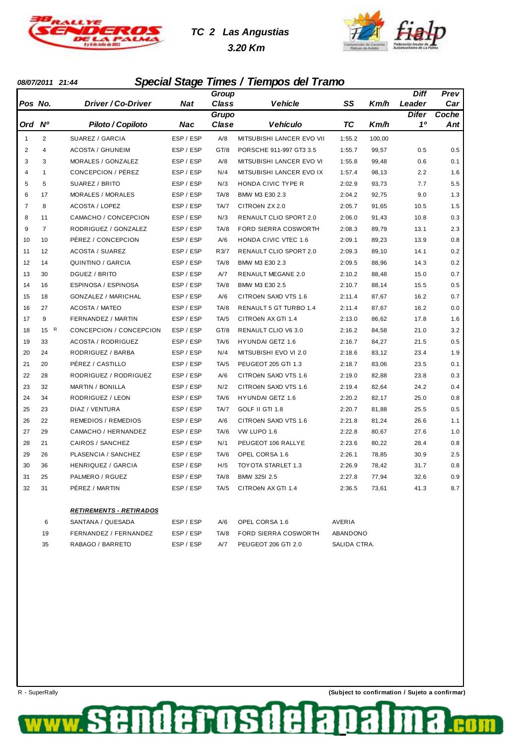

# **TC 2 Las Angustias 3.20 Km**



### **08/07/2011 21:44 Special Stage Times / Tiempos del Tramo**

|                         |                |                                |           | Group |                             |        |        | <b>Diff</b>  | Prev  |
|-------------------------|----------------|--------------------------------|-----------|-------|-----------------------------|--------|--------|--------------|-------|
| Pos No.                 |                | Driver / Co-Driver             | Nat       | Class | <b>Vehicle</b>              | SS     | Km/h   | Leader       | Car   |
|                         |                |                                |           | Grupo |                             |        |        | <b>Difer</b> | Coche |
| Ord Nº                  |                | Piloto / Copiloto              | Nac       | Clase | Vehículo                    | ТC     | Km/h   | 10           | Ant   |
| 1                       | $\overline{2}$ | SUAREZ / GARCIA                | ESP / ESP | A/8   | MITSUBISHI LANCER EVO VII   | 1:55.2 | 100,00 |              |       |
| $\overline{\mathbf{c}}$ | $\overline{4}$ | <b>ACOSTA / GHUNEIM</b>        | ESP / ESP | GT/8  | PORSCHE 911-997 GT3 3.5     | 1:55.7 | 99,57  | 0.5          | 0.5   |
| 3                       | 3              | MORALES / GONZALEZ             | ESP / ESP | A/8   | MITSUBISHI LANCER EVO VI    | 1:55.8 | 99,48  | 0.6          | 0.1   |
| 4                       | $\mathbf{1}$   | CONCEPCION / PÉREZ             | ESP / ESP | N/4   | MITSUBISHI LANCER EVO IX    | 1:57.4 | 98,13  | 2.2          | 1.6   |
| 5                       | 5              | SUAREZ / BRITO                 | ESP / ESP | N/3   | HONDA CIVIC TYPE R          | 2:02.9 | 93,73  | 7.7          | 5.5   |
| 6                       | 17             | <b>MORALES / MORALES</b>       | ESP / ESP | TA/8  | BMW M3 E30 2.3              | 2:04.2 | 92,75  | 9.0          | 1.3   |
| $\overline{7}$          | 8              | <b>ACOSTA / LOPEZ</b>          | ESP / ESP | TA/7  | CITROËN ZX 2.0              | 2:05.7 | 91,65  | 10.5         | 1.5   |
| 8                       | 11             | CAMACHO / CONCEPCION           | ESP / ESP | N/3   | RENAULT CLIO SPORT 2.0      | 2:06.0 | 91,43  | 10.8         | 0.3   |
| 9                       | $\overline{7}$ | RODRIGUEZ / GONZALEZ           | ESP / ESP | TA/8  | FORD SIERRA COSWORTH        | 2:08.3 | 89,79  | 13.1         | 2.3   |
| 10                      | 10             | PÉREZ / CONCEPCION             | ESP / ESP | A/6   | <b>HONDA CIVIC VTEC 1.6</b> | 2:09.1 | 89,23  | 13.9         | 0.8   |
| 11                      | 12             | <b>ACOSTA / SUAREZ</b>         | ESP / ESP | R3/7  | RENAULT CLIO SPORT 2.0      | 2:09.3 | 89,10  | 14.1         | 0.2   |
| 12                      | 14             | QUINTINO / GARCIA              | ESP / ESP | TA/8  | BMW M3 E30 2.3              | 2:09.5 | 88,96  | 14.3         | 0.2   |
| 13                      | 30             | DGUEZ / BRITO                  | ESP / ESP | A/7   | <b>RENAULT MEGANE 2.0</b>   | 2:10.2 | 88,48  | 15.0         | 0.7   |
| 14                      | 16             | ESPINOSA / ESPINOSA            | ESP / ESP | TA/8  | BMW M3 E30 2.5              | 2:10.7 | 88,14  | 15.5         | 0.5   |
| 15                      | 18             | <b>GONZALEZ / MARICHAL</b>     | ESP / ESP | A/6   | CITROËN SAXO VTS 1.6        | 2:11.4 | 87,67  | 16.2         | 0.7   |
| 16                      | 27             | <b>ACOSTA / MATEO</b>          | ESP / ESP | TA/8  | RENAULT 5 GT TURBO 1.4      | 2:11.4 | 87,67  | 16.2         | 0.0   |
| 17                      | 9              | FERNANDEZ / MARTIN             | ESP / ESP | TA/5  | CITROËN AX GTI 1.4          | 2:13.0 | 86,62  | 17.8         | 1.6   |
| 18                      | 15 R           | CONCEPCION / CONCEPCION        | ESP / ESP | GT/8  | <b>RENAULT CLIO V6 3.0</b>  | 2:16.2 | 84,58  | 21.0         | 3.2   |
| 19                      | 33             | <b>ACOSTA / RODRIGUEZ</b>      | ESP / ESP | TA/6  | <b>HYUNDAI GETZ 1.6</b>     | 2:16.7 | 84,27  | 21.5         | 0.5   |
| 20                      | 24             | RODRIGUEZ / BARBA              | ESP / ESP | N/4   | MITSUBISHI EVO VI 2.0       | 2:18.6 | 83,12  | 23.4         | 1.9   |
| 21                      | 20             | PÉREZ / CASTILLO               | ESP / ESP | TA/5  | PEUGEOT 205 GTI 1.3         | 2:18.7 | 83,06  | 23.5         | 0.1   |
| 22                      | 28             | RODRIGUEZ / RODRIGUEZ          | ESP / ESP | A/6   | CITROËN SAXO VTS 1.6        | 2:19.0 | 82,88  | 23.8         | 0.3   |
| 23                      | 32             | <b>MARTIN / BONILLA</b>        | ESP / ESP | N/2   | CITROËN SAXO VTS 1.6        | 2:19.4 | 82,64  | 24.2         | 0.4   |
| 24                      | 34             | RODRIGUEZ / LEON               | ESP / ESP | TA/6  | <b>HYUNDAI GETZ 1.6</b>     | 2:20.2 | 82,17  | 25.0         | 0.8   |
| 25                      | 23             | DIAZ / VENTURA                 | ESP / ESP | TA/7  | GOLF II GTI 1.8             | 2:20.7 | 81,88  | 25.5         | 0.5   |
| 26                      | 22             | <b>REMEDIOS / REMEDIOS</b>     | ESP / ESP | A/6   | CITROËN SAXO VTS 1.6        | 2:21.8 | 81,24  | 26.6         | 1.1   |
| 27                      | 29             | CAMACHO / HERNANDEZ            | ESP / ESP | TA/6  | VW LUPO 1.6                 | 2:22.8 | 80,67  | 27.6         | 1.0   |
| 28                      | 21             | CAIROS / SANCHEZ               | ESP / ESP | N/1   | PEUGEOT 106 RALLYE          | 2:23.6 | 80,22  | 28.4         | 0.8   |
| 29                      | 26             | PLASENCIA / SANCHEZ            | ESP / ESP | TA/6  | OPEL CORSA 1.6              | 2:26.1 | 78,85  | 30.9         | 2.5   |
| 30                      | 36             | HENRIQUEZ / GARCIA             | ESP / ESP | H/5   | TOYOTA STARLET 1.3          | 2:26.9 | 78,42  | 31.7         | 0.8   |
| 31                      | 25             | PALMERO / RGUEZ                | ESP / ESP | TA/8  | BMW 325I 2.5                | 2:27.8 | 77,94  | 32.6         | 0.9   |
| 32                      | 31             | PÉREZ / MARTIN                 | ESP / ESP | TA/5  | CITROËN AX GTI 1.4          | 2:36.5 | 73,61  | 41.3         | 8.7   |
|                         |                |                                |           |       |                             |        |        |              |       |
|                         |                | <b>RETIREMENTS - RETIRADOS</b> |           |       |                             |        |        |              |       |

| - 6 | SANTANA / QUESADA     | ESP / ESP | A/6 OPEL CORSA 1.6        | AVERIA       |
|-----|-----------------------|-----------|---------------------------|--------------|
| 19  | FERNANDEZ / FERNANDEZ | ESP / ESP | TA/8 FORD SIERRA COSWORTH | ABANDONO     |
| 35  | RABAGO / BARRETO      | ESP / ESP | A/7 PEUGEOT 206 GTI 2.0   | SALIDA CTRA. |

de

**10S1** 

f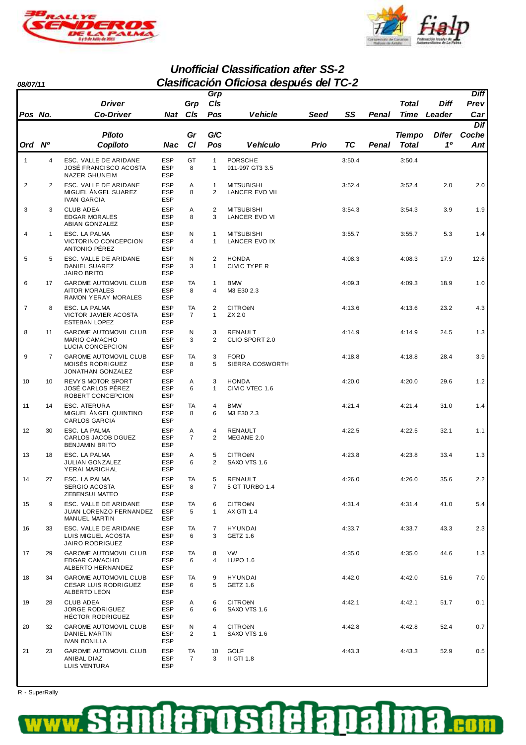



### **Unofficial Classification after SS-2 08/07/11 Clasificación Oficiosa después del TC-2**

|                |                | <b>Driver</b>                                                                 |                                        | Grp                  | Grp<br>CIs                     |                                                |      |        |       | Total         | Diff         | <b>Diff</b><br>Prev |
|----------------|----------------|-------------------------------------------------------------------------------|----------------------------------------|----------------------|--------------------------------|------------------------------------------------|------|--------|-------|---------------|--------------|---------------------|
| Pos No.        |                | <b>Co-Driver</b>                                                              | Nat                                    | Cls                  | Pos                            | Vehicle                                        | Seed | SS     | Penal | <b>Time</b>   | Leader       | Car                 |
|                |                |                                                                               |                                        |                      |                                |                                                |      |        |       |               |              | Dif                 |
|                |                | <b>Piloto</b>                                                                 |                                        | Gr                   | G/C                            |                                                |      |        |       | <b>Tiempo</b> | <b>Difer</b> | Coche               |
| Ord Nº         |                | Copiloto                                                                      | Nac                                    | <b>CI</b>            | Pos                            | <b>Vehículo</b>                                | Prio | ТC     | Penal | Total         | 10           | Ant                 |
| $\mathbf{1}$   | 4              | ESC. VALLE DE ARIDANE<br><b>JOSÉ FRANCISCO ACOSTA</b><br><b>NAZER GHUNEIM</b> | <b>ESP</b><br><b>ESP</b><br><b>ESP</b> | GT<br>8              | $\mathbf{1}$<br>1              | <b>PORSCHE</b><br>911-997 GT3 3.5              |      | 3:50.4 |       | 3:50.4        |              |                     |
| $\overline{2}$ | $\overline{2}$ | ESC. VALLE DE ARIDANE<br>MIGUEL ANGEL SUAREZ<br><b>IVAN GARCIA</b>            | <b>ESP</b><br><b>ESP</b><br><b>ESP</b> | Α<br>8               | $\mathbf{1}$<br>2              | <b>MITSUBISHI</b><br>LANCER EVO VII            |      | 3:52.4 |       | 3:52.4        | 2.0          | 2.0                 |
| 3              | 3              | <b>CLUB ADEA</b><br><b>EDGAR MORALES</b><br><b>ABIAN GONZALEZ</b>             | <b>ESP</b><br>ESP<br><b>ESP</b>        | Α<br>8               | 2<br>3                         | <b>MITSUBISHI</b><br>LANCER EVO VI             |      | 3:54.3 |       | 3:54.3        | 3.9          | 1.9                 |
| $\overline{4}$ | $\mathbf{1}$   | ESC. LA PALMA<br>VICTORINO CONCEPCION<br>ANTONIO PÉREZ                        | <b>ESP</b><br><b>ESP</b><br>ESP        | N<br>$\overline{4}$  | $\mathbf{1}$<br>$\mathbf{1}$   | <b>MITSUBISHI</b><br>LANCER EVO IX             |      | 3:55.7 |       | 3:55.7        | 5.3          | 1.4                 |
| 5              | 5              | ESC. VALLE DE ARIDANE<br><b>DANIEL SUAREZ</b><br><b>JAIRO BRITO</b>           | <b>ESP</b><br><b>ESP</b><br><b>ESP</b> | N<br>3               | 2<br>$\mathbf{1}$              | <b>HONDA</b><br>CIVIC TYPE R                   |      | 4:08.3 |       | 4:08.3        | 17.9         | 12.6                |
| 6              | 17             | <b>GAROME AUTOMOVIL CLUB</b><br><b>AITOR MORALES</b><br>RAMON YERAY MORALES   | <b>ESP</b><br><b>ESP</b><br><b>ESP</b> | TA<br>8              | $\mathbf{1}$<br>$\overline{4}$ | <b>BMW</b><br>M3 E30 2.3                       |      | 4:09.3 |       | 4:09.3        | 18.9         | 1.0                 |
| $\overline{7}$ | 8              | ESC. LA PALMA<br>VICTOR JAVIER ACOSTA<br><b>ESTEBAN LOPEZ</b>                 | <b>ESP</b><br><b>ESP</b><br><b>ESP</b> | TA<br>$\overline{7}$ | $\overline{2}$<br>$\mathbf{1}$ | <b>CITRO<sub>ë</sub>N</b><br>ZX 2.0            |      | 4:13.6 |       | 4:13.6        | 23.2         | 4.3                 |
| 8              | 11             | <b>GAROME AUTOMOVIL CLUB</b><br><b>MARIO CAMACHO</b><br>LUCIA CONCEPCION      | <b>ESP</b><br><b>ESP</b><br><b>ESP</b> | N<br>3               | 3<br>$\overline{2}$            | RENAULT<br>CLIO SPORT 2.0                      |      | 4:14.9 |       | 4:14.9        | 24.5         | 1.3                 |
| 9              | $\overline{7}$ | <b>GAROME AUTOMOVIL CLUB</b><br>MOISÉS RODRIGUEZ<br>JONATHAN GONZALEZ         | <b>ESP</b><br><b>ESP</b><br><b>ESP</b> | TA<br>8              | 3<br>5                         | <b>FORD</b><br>SIERRA COSWORTH                 |      | 4:18.8 |       | 4:18.8        | 28.4         | 3.9                 |
| 10             | 10             | <b>REVYS MOTOR SPORT</b><br>JOSÉ CARLOS PÉREZ<br>ROBERT CONCEPCION            | <b>ESP</b><br><b>ESP</b><br><b>ESP</b> | Α<br>6               | 3<br>$\mathbf{1}$              | <b>HONDA</b><br>CIVIC VTEC 1.6                 |      | 4:20.0 |       | 4:20.0        | 29.6         | 1.2                 |
| 11             | 14             | ESC. ATERURA<br>MIGUEL ÁNGEL QUINTINO<br><b>CARLOS GARCIA</b>                 | <b>ESP</b><br><b>ESP</b><br><b>ESP</b> | TA<br>8              | $\overline{4}$<br>6            | <b>BMW</b><br>M3 E30 2.3                       |      | 4:21.4 |       | 4:21.4        | 31.0         | 1.4                 |
| 12             | 30             | ESC. LA PALMA<br>CARLOS JACOB DGUEZ<br><b>BENJAMIN BRITO</b>                  | <b>ESP</b><br><b>ESP</b><br>ESP        | Α<br>$\overline{7}$  | 4<br>2                         | <b>RENAULT</b><br>MEGANE 2.0                   |      | 4:22.5 |       | 4:22.5        | 32.1         | 1.1                 |
| 13             | 18             | ESC. LA PALMA<br><b>JULIAN GONZALEZ</b><br>YERAI MARICHAL                     | <b>ESP</b><br><b>ESP</b><br><b>ESP</b> | Α<br>6               | 5<br>2                         | <b>CITRO<sub>ë</sub>N</b><br>SAXO VTS 1.6      |      | 4:23.8 |       | 4:23.8        | 33.4         | 1.3                 |
| 14             | 27             | ESC. LA PALMA<br>SERGIO ACOSTA<br><b>ZEBENSUI MATEO</b>                       | <b>ESP</b><br>ESP<br>ESP               | TA<br>8              | 5<br>7                         | RENAULT<br>5 GT TURBO 1.4                      |      | 4:26.0 |       | 4:26.0        | 35.6         | 2.2                 |
| 15             | 9              | ESC. VALLE DE ARIDANE<br>JUAN LORENZO FERNANDEZ<br>MANUEL MARTIN              | <b>ESP</b><br>ESP<br><b>ESP</b>        | TA<br>5              | 6<br>$\mathbf{1}$              | <b>CITRO<sub>ëN</sub></b><br><b>AX GTI 1.4</b> |      | 4:31.4 |       | 4:31.4        | 41.0         | 5.4                 |
| 16             | 33             | ESC. VALLE DE ARIDANE<br>LUIS MIGUEL ACOSTA<br><b>JAIRO RODRIGUEZ</b>         | <b>ESP</b><br><b>ESP</b><br>ESP        | TA<br>6              | 7<br>3                         | <b>HYUNDAI</b><br>GETZ 1.6                     |      | 4:33.7 |       | 4:33.7        | 43.3         | 2.3                 |
| 17             | 29             | <b>GAROME AUTOMOVIL CLUB</b><br><b>EDGAR CAMACHO</b><br>ALBERTO HERNANDEZ     | <b>ESP</b><br><b>ESP</b><br><b>ESP</b> | TA<br>6              | 8<br>4                         | <b>VW</b><br>LUPO 1.6                          |      | 4:35.0 |       | 4:35.0        | 44.6         | 1.3                 |
| 18             | 34             | <b>GAROME AUTOMOVIL CLUB</b><br><b>CESAR LUIS RODRIGUEZ</b><br>ALBERTO LEON   | <b>ESP</b><br><b>ESP</b><br><b>ESP</b> | TA<br>6              | 9<br>5                         | <b>HYUNDAI</b><br>GETZ 1.6                     |      | 4:42.0 |       | 4:42.0        | 51.6         | 7.0                 |
| 19             | 28             | <b>CLUB ADEA</b><br>JORGE RODRIGUEZ<br>HÉCTOR RODRIGUEZ                       | <b>ESP</b><br><b>ESP</b><br><b>ESP</b> | A<br>6               | 6<br>6                         | <b>CITRO<sub>ë</sub>N</b><br>SAXO VTS 1.6      |      | 4:42.1 |       | 4:42.1        | 51.7         | 0.1                 |
| 20             | 32             | <b>GAROME AUTOMOVIL CLUB</b><br>DANIEL MARTIN<br>IVAN BONILLA                 | <b>ESP</b><br><b>ESP</b><br>ESP        | N<br>2               | 4<br>$\mathbf{1}$              | <b>CITRO<sub>ë</sub>N</b><br>SAXO VTS 1.6      |      | 4:42.8 |       | 4:42.8        | 52.4         | 0.7                 |
| 21             | 23             | <b>GAROME AUTOMOVIL CLUB</b><br>ANIBAL DIAZ<br>LUIS VENTURA                   | <b>ESP</b><br>ESP<br><b>ESP</b>        | TA<br>$\overline{7}$ | 10<br>3                        | <b>GOLF</b><br>II GTI 1.8                      |      | 4:43.3 |       | 4:43.3        | 52.9         | 0.5                 |

R - SuperRally

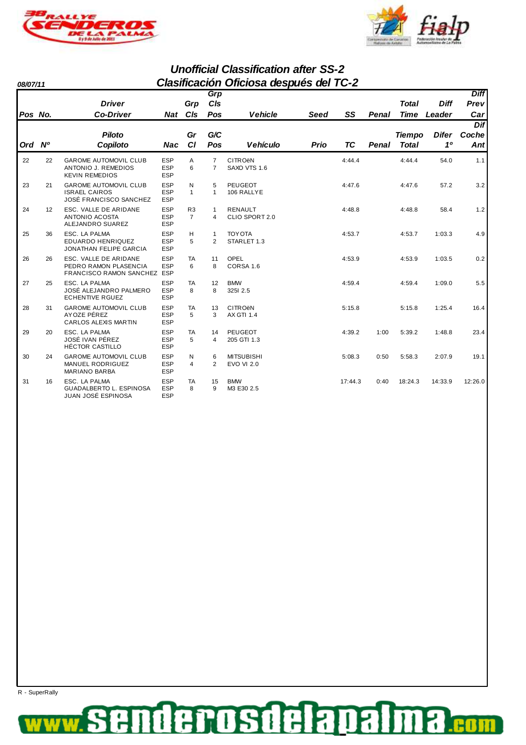



**Unofficial Classification after SS-2 08/07/11 Clasificación Oficiosa después del TC-2**

|         |    |                                                                                       |                                        |                                  | Grp                              |                                                |             |         |       |               |              | <b>Diff</b> |
|---------|----|---------------------------------------------------------------------------------------|----------------------------------------|----------------------------------|----------------------------------|------------------------------------------------|-------------|---------|-------|---------------|--------------|-------------|
|         |    | <b>Driver</b>                                                                         |                                        | Grp                              | CIs                              |                                                |             |         |       | <b>Total</b>  | <b>Diff</b>  | Prev        |
| Pos No. |    | <b>Co-Driver</b>                                                                      | <b>Nat</b>                             | C/s                              | Pos                              | <b>Vehicle</b>                                 | Seed        | SS      | Penal | <b>Time</b>   | Leader       | Car         |
|         |    |                                                                                       |                                        |                                  |                                  |                                                |             |         |       |               |              | Dif         |
|         |    | <b>Piloto</b>                                                                         |                                        | Gr                               | G/C                              |                                                |             |         |       | <b>Tiempo</b> | <b>Difer</b> | Coche       |
| Ord Nº  |    | Copiloto                                                                              | <b>Nac</b>                             | CI                               | Pos                              | <b>Vehículo</b>                                | <b>Prio</b> | TC      | Penal | <b>Total</b>  | 10           | Ant         |
| 22      | 22 | <b>GAROME AUTOMOVIL CLUB</b><br>ANTONIO J. REMEDIOS<br><b>KEVIN REMEDIOS</b>          | <b>ESP</b><br><b>ESP</b><br><b>ESP</b> | A<br>6                           | $\overline{7}$<br>$\overline{7}$ | <b>CITROËN</b><br>SAXO VTS 1.6                 |             | 4:44.4  |       | 4:44.4        | 54.0         | 1.1         |
| 23      | 21 | <b>GAROME AUTOMOVIL CLUB</b><br><b>ISRAEL CAIROS</b><br><b>JOSÉ FRANCISCO SANCHEZ</b> | <b>ESP</b><br><b>ESP</b><br><b>ESP</b> | N<br>$\mathbf{1}$                | 5<br>$\mathbf{1}$                | <b>PEUGEOT</b><br>106 RALLYE                   |             | 4:47.6  |       | 4:47.6        | 57.2         | 3.2         |
| 24      | 12 | ESC. VALLE DE ARIDANE<br><b>ANTONIO ACOSTA</b><br>ALEJANDRO SUAREZ                    | <b>ESP</b><br><b>ESP</b><br><b>ESP</b> | R <sub>3</sub><br>$\overline{7}$ | $\mathbf{1}$<br>$\overline{4}$   | <b>RENAULT</b><br>CLIO SPORT 2.0               |             | 4:48.8  |       | 4:48.8        | 58.4         | 1.2         |
| 25      | 36 | ESC. LA PALMA<br><b>EDUARDO HENRIQUEZ</b><br>JONATHAN FELIPE GARCIA                   | <b>ESP</b><br><b>ESP</b><br><b>ESP</b> | н<br>5                           | $\mathbf{1}$<br>2                | <b>TOY OTA</b><br>STARLET 1.3                  |             | 4:53.7  |       | 4:53.7        | 1:03.3       | 4.9         |
| 26      | 26 | ESC. VALLE DE ARIDANE<br>PEDRO RAMON PLASENCIA<br>FRANCISCO RAMON SANCHEZ ESP         | <b>ESP</b><br><b>ESP</b>               | <b>TA</b><br>6                   | 11<br>8                          | <b>OPEL</b><br>CORSA 1.6                       |             | 4:53.9  |       | 4:53.9        | 1:03.5       | 0.2         |
| 27      | 25 | ESC. LA PALMA<br>JOSÉ ALEJANDRO PALMERO<br><b>ECHENTIVE RGUEZ</b>                     | <b>ESP</b><br><b>ESP</b><br><b>ESP</b> | TA<br>8                          | 12<br>8                          | <b>BMW</b><br>3251 2.5                         |             | 4:59.4  |       | 4:59.4        | 1:09.0       | 5.5         |
| 28      | 31 | <b>GAROME AUTOMOVIL CLUB</b><br>AYOZE PÉREZ<br>CARLOS ALEXIS MARTIN                   | <b>ESP</b><br><b>ESP</b><br><b>ESP</b> | <b>TA</b><br>5                   | 13<br>3                          | <b>CITRO<sub>ë</sub>N</b><br><b>AX GTI 1.4</b> |             | 5:15.8  |       | 5:15.8        | 1:25.4       | 16.4        |
| 29      | 20 | ESC. LA PALMA<br>JOSÉ IVAN PÉREZ<br><b>HÉCTOR CASTILLO</b>                            | <b>ESP</b><br><b>ESP</b><br><b>ESP</b> | <b>TA</b><br>5                   | 14<br>4                          | <b>PEUGEOT</b><br>205 GTI 1.3                  |             | 4:39.2  | 1:00  | 5:39.2        | 1:48.8       | 23.4        |
| 30      | 24 | <b>GAROME AUTOMOVIL CLUB</b><br><b>MANUEL RODRIGUEZ</b><br>MARIANO BARBA              | <b>ESP</b><br><b>ESP</b><br><b>ESP</b> | N<br>$\overline{4}$              | 6<br>2                           | <b>MITSUBISHI</b><br><b>EVO VI 2.0</b>         |             | 5:08.3  | 0:50  | 5:58.3        | 2:07.9       | 19.1        |
| 31      | 16 | ESC. LA PALMA<br>GUADALBERTO L. ESPINOSA<br>JUAN JOSÉ ESPINOSA                        | <b>ESP</b><br><b>ESP</b><br><b>ESP</b> | <b>TA</b><br>8                   | 15<br>9                          | <b>BMW</b><br>M3 E30 2.5                       |             | 17:44.3 | 0:40  | 18:24.3       | 14:33.9      | 12:26.0     |

R - SuperRally

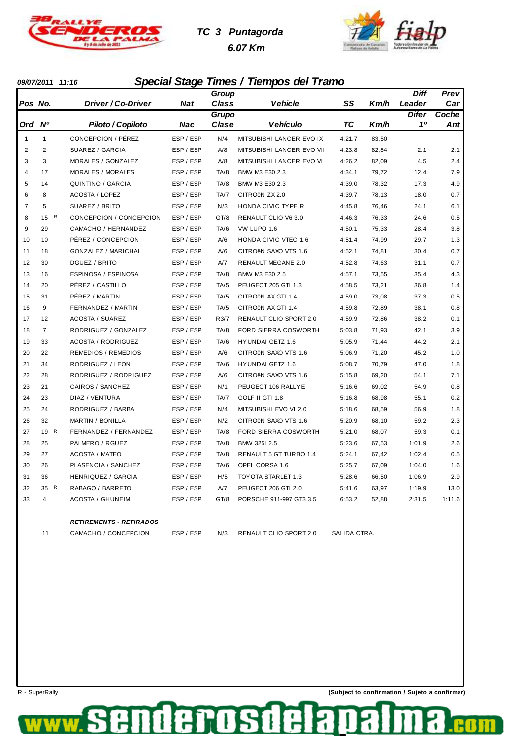

# **TC 3 Puntagorda 6.07 Km**



### **09/07/2011 11:16 Special Stage Times / Tiempos del Tramo**

|                |                |                                 |            | Group        |                               |              |       | <b>Diff</b>    | Prev   |
|----------------|----------------|---------------------------------|------------|--------------|-------------------------------|--------------|-------|----------------|--------|
| Pos No.        |                | Driver / Co-Driver              | <b>Nat</b> | <b>Class</b> | <b>Vehicle</b>                | SS           | Km/h  | Leader         | Car    |
|                |                |                                 |            | Grupo        |                               |              |       | Difer          | Coche  |
| Ord Nº         |                | Piloto / Copiloto               | Nac        | Clase        | <b>Vehículo</b>               | ТC           | Km/h  | 1 <sup>0</sup> | Ant    |
| $\mathbf{1}$   | $\mathbf{1}$   | CONCEPCION / PÉREZ              | ESP / ESP  | N/4          | MITSUBISHI LANCER EVO IX      | 4:21.7       | 83,50 |                |        |
| $\overline{2}$ | $\overline{2}$ | SUAREZ / GARCIA                 | ESP / ESP  | A/8          | MITSUBISHI LANCER EVO VII     | 4:23.8       | 82,84 | 2.1            | 2.1    |
| 3              | 3              | MORALES / GONZALEZ              | ESP / ESP  | A/8          | MITSUBISHI LANCER EVO VI      | 4:26.2       | 82,09 | 4.5            | 2.4    |
| $\overline{4}$ | 17             | <b>MORALES / MORALES</b>        | ESP / ESP  | TA/8         | BMW M3 E30 2.3                | 4:34.1       | 79,72 | 12.4           | 7.9    |
| 5              | 14             | QUINTINO / GARCIA               | ESP / ESP  | TA/8         | BMW M3 E30 2.3                | 4:39.0       | 78,32 | 17.3           | 4.9    |
| 6              | 8              | <b>ACOSTA / LOPEZ</b>           | ESP / ESP  | TA/7         | CITROEN ZX 2.0                | 4:39.7       | 78,13 | 18.0           | 0.7    |
| $\overline{7}$ | 5              | SUAREZ / BRITO                  | ESP / ESP  | N/3          | HONDA CIVIC TYPE R            | 4:45.8       | 76,46 | 24.1           | 6.1    |
| 8              | 15 R           | CONCEPCION / CONCEPCION         | ESP / ESP  | GT/8         | RENAULT CLIO V6 3.0           | 4:46.3       | 76,33 | 24.6           | 0.5    |
| 9              | 29             | CAMACHO / HERNANDEZ             | ESP / ESP  | TA/6         | VW LUPO 1.6                   | 4:50.1       | 75,33 | 28.4           | 3.8    |
| 10             | 10             | PÉREZ / CONCEPCION              | ESP / ESP  | A/6          | <b>HONDA CIVIC VTEC 1.6</b>   | 4:51.4       | 74,99 | 29.7           | 1.3    |
| 11             | 18             | GONZALEZ / MARICHAL             | ESP / ESP  | A/6          | CITROËN SAXO VTS 1.6          | 4:52.1       | 74,81 | 30.4           | 0.7    |
| 12             | 30             | DGUEZ / BRITO                   | ESP / ESP  | A/7          | <b>RENAULT MEGANE 2.0</b>     | 4:52.8       | 74,63 | 31.1           | 0.7    |
| 13             | 16             | ESPINOSA / ESPINOSA             | ESP / ESP  | TA/8         | BMW M3 E30 2.5                | 4:57.1       | 73,55 | 35.4           | 4.3    |
| 14             | 20             | PÉREZ / CASTILLO                | ESP / ESP  | TA/5         | PEUGEOT 205 GTI 1.3           | 4:58.5       | 73,21 | 36.8           | 1.4    |
| 15             | 31             | PÉREZ / MARTIN                  | ESP / ESP  | TA/5         | CITROËN AX GTI 1.4            | 4:59.0       | 73,08 | 37.3           | 0.5    |
| 16             | 9              | FERNANDEZ / MARTIN              | ESP / ESP  | TA/5         | CITROËN AX GTI 1.4            | 4:59.8       | 72,89 | 38.1           | 0.8    |
| 17             | 12             | <b>ACOSTA / SUAREZ</b>          | ESP / ESP  | R3/7         | <b>RENAULT CLIO SPORT 2.0</b> | 4:59.9       | 72,86 | 38.2           | 0.1    |
| 18             | $\overline{7}$ | RODRIGUEZ / GONZALEZ            | ESP / ESP  | TA/8         | FORD SIERRA COSWORTH          | 5:03.8       | 71,93 | 42.1           | 3.9    |
| 19             | 33             | <b>ACOSTA / RODRIGUEZ</b>       | ESP / ESP  | TA/6         | <b>HYUNDAI GETZ 1.6</b>       | 5:05.9       | 71,44 | 44.2           | 2.1    |
| 20             | 22             | REMEDIOS / REMEDIOS             | ESP / ESP  | A/6          | CITROËN SAXO VTS 1.6          | 5:06.9       | 71,20 | 45.2           | 1.0    |
| 21             | 34             | RODRIGUEZ / LEON                | ESP / ESP  | TA/6         | HYUNDAI GETZ 1.6              | 5:08.7       | 70,79 | 47.0           | 1.8    |
| 22             | 28             | RODRIGUEZ / RODRIGUEZ           | ESP / ESP  | A/6          | CITROËN SAXO VTS 1.6          | 5:15.8       | 69,20 | 54.1           | 7.1    |
| 23             | 21             | CAIROS / SANCHEZ                | ESP / ESP  | N/1          | PEUGEOT 106 RALLYE            | 5:16.6       | 69,02 | 54.9           | 0.8    |
| 24             | 23             | DIAZ / VENTURA                  | ESP / ESP  | TA/7         | GOLF II GTI 1.8               | 5:16.8       | 68,98 | 55.1           | 0.2    |
| 25             | 24             | RODRIGUEZ / BARBA               | ESP / ESP  | N/4          | MITSUBISHI EVO VI 2.0         | 5:18.6       | 68,59 | 56.9           | 1.8    |
| 26             | 32             | MARTIN / BONILLA                | ESP / ESP  | N/2          | CITROËN SAXO VTS 1.6          | 5:20.9       | 68,10 | 59.2           | 2.3    |
| 27             | 19 R           | FERNANDEZ / FERNANDEZ           | ESP / ESP  | TA/8         | FORD SIERRA COSWORTH          | 5:21.0       | 68,07 | 59.3           | 0.1    |
| 28             | 25             | PALMERO / RGUEZ                 | ESP / ESP  | TA/8         | BMW 325I 2.5                  | 5:23.6       | 67,53 | 1:01.9         | 2.6    |
| 29             | 27             | <b>ACOSTA / MATEO</b>           | ESP / ESP  | TA/8         | RENAULT 5 GT TURBO 1.4        | 5:24.1       | 67,42 | 1:02.4         | 0.5    |
| 30             | 26             | PLASENCIA / SANCHEZ             | ESP / ESP  | TA/6         | OPEL CORSA 1.6                | 5:25.7       | 67,09 | 1:04.0         | 1.6    |
| 31             | 36             | <b>HENRIQUEZ / GARCIA</b>       | ESP / ESP  | H/5          | TOYOTA STARLET 1.3            | 5:28.6       | 66,50 | 1:06.9         | 2.9    |
| 32             | 35 R           | RABAGO / BARRETO                | ESP / ESP  | A/7          | PEUGEOT 206 GTI 2.0           | 5:41.6       | 63,97 | 1:19.9         | 13.0   |
| 33             | $\overline{4}$ | <b>ACOSTA / GHUNEIM</b>         | ESP / ESP  | GT/8         | PORSCHE 911-997 GT3 3.5       | 6:53.2       | 52,88 | 2:31.5         | 1:11.6 |
|                |                | <u> RETIREMENTS - RETIRADOS</u> |            |              |                               |              |       |                |        |
|                | 11             | CAMACHO / CONCEPCION            | ESP / ESP  | N/3          | <b>RENAULT CLIO SPORT 2.0</b> | SALIDA CTRA. |       |                |        |

rosd

f

de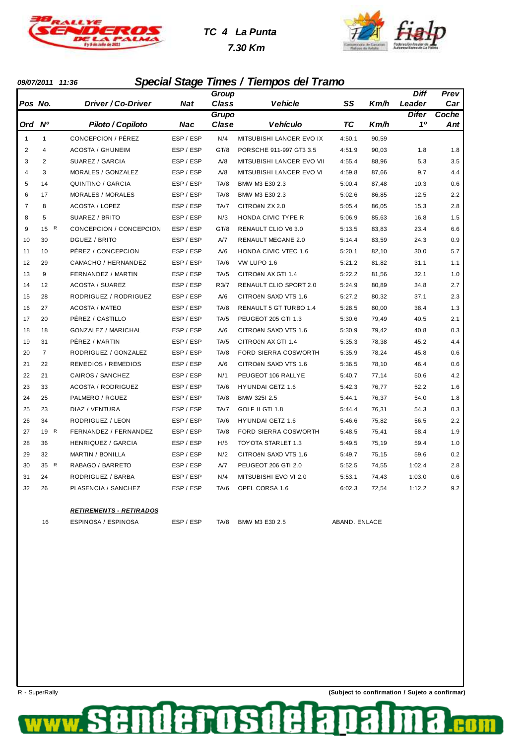

# **TC 4 La Punta**

 **7.30 Km**



#### **09/07/2011 11:36 Special Stage Times / Tiempos del Tramo**

|                |                |                                  |           | Group |                           |        |       | Diff         | Prev  |
|----------------|----------------|----------------------------------|-----------|-------|---------------------------|--------|-------|--------------|-------|
| Pos No.        |                | <i><b>Driver / Co-Driver</b></i> | Nat       | Class | <b>Vehicle</b>            | SS     | Km/h  | Leader       | Car   |
|                |                |                                  |           | Grupo |                           |        |       | <b>Difer</b> | Coche |
| Ord            | <b>N°</b>      | Piloto / Copiloto                | Nac       | Clase | <b>Vehículo</b>           | ТC     | Km/h  | 10           | Ant   |
| $\mathbf{1}$   | 1              | CONCEPCION / PÉREZ               | ESP / ESP | N/4   | MITSUBISHI LANCER EVO IX  | 4:50.1 | 90,59 |              |       |
| $\overline{2}$ | 4              | <b>ACOSTA / GHUNEIM</b>          | ESP / ESP | GT/8  | PORSCHE 911-997 GT3 3.5   | 4:51.9 | 90,03 | 1.8          | 1.8   |
| 3              | 2              | SUAREZ / GARCIA                  | ESP / ESP | A/8   | MITSUBISHI LANCER EVO VII | 4:55.4 | 88,96 | 5.3          | 3.5   |
| $\overline{4}$ | 3              | MORALES / GONZALEZ               | ESP / ESP | A/8   | MITSUBISHI LANCER EVO VI  | 4:59.8 | 87,66 | 9.7          | 4.4   |
| 5              | 14             | QUINTINO / GARCIA                | ESP / ESP | TA/8  | BMW M3 E30 2.3            | 5:00.4 | 87,48 | 10.3         | 0.6   |
| 6              | 17             | <b>MORALES / MORALES</b>         | ESP / ESP | TA/8  | BMW M3 E30 2.3            | 5:02.6 | 86,85 | 12.5         | 2.2   |
| $\overline{7}$ | 8              | <b>ACOSTA / LOPEZ</b>            | ESP / ESP | TA/7  | CITROËN ZX 2.0            | 5:05.4 | 86,05 | 15.3         | 2.8   |
| 8              | 5              | SUAREZ / BRITO                   | ESP / ESP | N/3   | HONDA CIVIC TYPE R        | 5:06.9 | 85,63 | 16.8         | 1.5   |
| 9              | 15 R           | CONCEPCION / CONCEPCION          | ESP / ESP | GT/8  | RENAULT CLIO V6 3.0       | 5:13.5 | 83,83 | 23.4         | 6.6   |
| 10             | 30             | DGUEZ / BRITO                    | ESP / ESP | A/7   | RENAULT MEGANE 2.0        | 5:14.4 | 83,59 | 24.3         | 0.9   |
| 11             | 10             | PÉREZ / CONCEPCION               | ESP / ESP | A/6   | HONDA CIVIC VTEC 1.6      | 5:20.1 | 82,10 | 30.0         | 5.7   |
| 12             | 29             | CAMACHO / HERNANDEZ              | ESP / ESP | TA/6  | VW LUPO 1.6               | 5:21.2 | 81,82 | 31.1         | 1.1   |
| 13             | 9              | FERNANDEZ / MARTIN               | ESP / ESP | TA/5  | CITROËN AX GTI 1.4        | 5:22.2 | 81,56 | 32.1         | 1.0   |
| 14             | 12             | <b>ACOSTA / SUAREZ</b>           | ESP / ESP | R3/7  | RENAULT CLIO SPORT 2.0    | 5:24.9 | 80,89 | 34.8         | 2.7   |
| 15             | 28             | RODRIGUEZ / RODRIGUEZ            | ESP / ESP | A/6   | CITROËN SAXO VTS 1.6      | 5:27.2 | 80,32 | 37.1         | 2.3   |
| 16             | 27             | <b>ACOSTA / MATEO</b>            | ESP / ESP | TA/8  | RENAULT 5 GT TURBO 1.4    | 5:28.5 | 80,00 | 38.4         | 1.3   |
| 17             | 20             | PÉREZ / CASTILLO                 | ESP / ESP | TA/5  | PEUGEOT 205 GTI 1.3       | 5:30.6 | 79,49 | 40.5         | 2.1   |
| 18             | 18             | <b>GONZALEZ / MARICHAL</b>       | ESP / ESP | A/6   | CITROËN SAXO VTS 1.6      | 5:30.9 | 79,42 | 40.8         | 0.3   |
| 19             | 31             | PÉREZ / MARTIN                   | ESP / ESP | TA/5  | CITROEN AX GTI 1.4        | 5:35.3 | 78,38 | 45.2         | 4.4   |
| 20             | $\overline{7}$ | RODRIGUEZ / GONZALEZ             | ESP / ESP | TA/8  | FORD SIERRA COSWORTH      | 5:35.9 | 78,24 | 45.8         | 0.6   |
| 21             | 22             | <b>REMEDIOS / REMEDIOS</b>       | ESP / ESP | A/6   | CITROËN SAXO VTS 1.6      | 5:36.5 | 78,10 | 46.4         | 0.6   |
| 22             | 21             | CAIROS / SANCHEZ                 | ESP / ESP | N/1   | PEUGEOT 106 RALLYE        | 5:40.7 | 77,14 | 50.6         | 4.2   |
| 23             | 33             | <b>ACOSTA / RODRIGUEZ</b>        | ESP / ESP | TA/6  | <b>HYUNDAI GETZ 1.6</b>   | 5:42.3 | 76,77 | 52.2         | 1.6   |
| 24             | 25             | PALMERO / RGUEZ                  | ESP / ESP | TA/8  | BMW 325I 2.5              | 5:44.1 | 76,37 | 54.0         | 1.8   |
| 25             | 23             | DIAZ / VENTURA                   | ESP / ESP | TA/7  | GOLF II GTI 1.8           | 5:44.4 | 76,31 | 54.3         | 0.3   |
| 26             | 34             | RODRIGUEZ / LEON                 | ESP / ESP | TA/6  | <b>HYUNDAI GETZ 1.6</b>   | 5:46.6 | 75,82 | 56.5         | 2.2   |
| 27             | 19 R           | FERNANDEZ / FERNANDEZ            | ESP / ESP | TA/8  | FORD SIERRA COSWORTH      | 5:48.5 | 75,41 | 58.4         | 1.9   |
| 28             | 36             | <b>HENRIQUEZ / GARCIA</b>        | ESP / ESP | H/5   | TOYOTA STARLET 1.3        | 5:49.5 | 75,19 | 59.4         | 1.0   |
| 29             | 32             | <b>MARTIN / BONILLA</b>          | ESP / ESP | N/2   | CITROËN SAXO VTS 1.6      | 5:49.7 | 75,15 | 59.6         | 0.2   |
| 30             | 35 R           | RABAGO / BARRETO                 | ESP / ESP | A/7   | PEUGEOT 206 GTI 2.0       | 5:52.5 | 74,55 | 1:02.4       | 2.8   |
| 31             | 24             | RODRIGUEZ / BARBA                | ESP / ESP | N/4   | MITSUBISHI EVO VI 2.0     | 5:53.1 | 74,43 | 1:03.0       | 0.6   |
| 32             | 26             | PLASENCIA / SANCHEZ              | ESP / ESP | TA/6  | OPEL CORSA 1.6            | 6:02.3 | 72,54 | 1:12.2       | 9.2   |
|                |                |                                  |           |       |                           |        |       |              |       |

#### **RETIREMENTS - RETIRADOS**

16 ESPINOSA / ESPINOSA ESP / ESP TA/8 BMW M3 E30 2.5 ABAND. ENLACE

denosd

f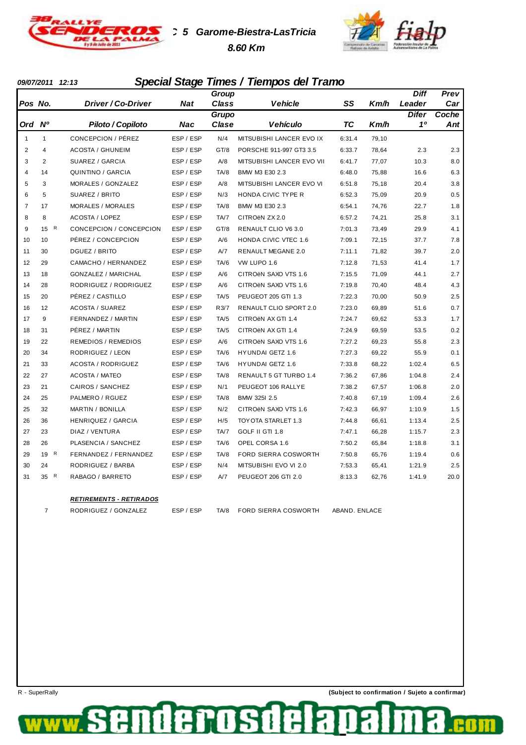

**TC 5 Garome-Biestra-LasTricia 8.60 Km**



#### **09/07/2011 12:13 Special Stage Times / Tiempos del Tramo**

|                |                    |                            |           | Group        |                             |           |       | Diff         | Prev  |
|----------------|--------------------|----------------------------|-----------|--------------|-----------------------------|-----------|-------|--------------|-------|
| Pos No.        |                    | Driver / Co-Driver         | Nat       | <b>Class</b> | <b>Vehicle</b>              | SS        | Km/h  | Leader       | Car   |
|                |                    |                            |           | <b>Grupo</b> |                             |           |       | <b>Difer</b> | Coche |
| Ord            | N <sup>o</sup>     | Piloto / Copiloto          | Nac       | Clase        | <b>Vehículo</b>             | <b>TC</b> | Km/h  | 10           | Ant   |
| 1              | $\mathbf{1}$       | CONCEPCION / PÉREZ         | ESP / ESP | N/4          | MITSUBISHI LANCER EVO IX    | 6:31.4    | 79,10 |              |       |
| $\overline{2}$ | 4                  | <b>ACOSTA / GHUNEIM</b>    | ESP / ESP | GT/8         | PORSCHE 911-997 GT3 3.5     | 6:33.7    | 78,64 | 2.3          | 2.3   |
| 3              | $\overline{2}$     | SUAREZ / GARCIA            | ESP / ESP | A/8          | MITSUBISHI LANCER EVO VII   | 6:41.7    | 77,07 | 10.3         | 8.0   |
| $\overline{4}$ | 14                 | <b>QUINTINO / GARCIA</b>   | ESP / ESP | TA/8         | BMW M3 E30 2.3              | 6:48.0    | 75,88 | 16.6         | 6.3   |
| 5              | 3                  | MORALES / GONZALEZ         | ESP / ESP | A/8          | MITSUBISHI LANCER EVO VI    | 6:51.8    | 75,18 | 20.4         | 3.8   |
| 6              | 5                  | SUAREZ / BRITO             | ESP / ESP | N/3          | HONDA CIVIC TYPE R          | 6:52.3    | 75,09 | 20.9         | 0.5   |
| $\overline{7}$ | 17                 | MORALES / MORALES          | ESP / ESP | TA/8         | BMW M3 E30 2.3              | 6:54.1    | 74,76 | 22.7         | 1.8   |
| 8              | 8                  | <b>ACOSTA / LOPEZ</b>      | ESP / ESP | TA/7         | CITROËN ZX 2.0              | 6:57.2    | 74,21 | 25.8         | 3.1   |
| 9              | $\mathsf{R}$<br>15 | CONCEPCION / CONCEPCION    | ESP / ESP | GT/8         | RENAULT CLIO V6 3.0         | 7:01.3    | 73,49 | 29.9         | 4.1   |
| 10             | 10                 | PÉREZ / CONCEPCION         | ESP / ESP | A/6          | <b>HONDA CIVIC VTEC 1.6</b> | 7:09.1    | 72,15 | 37.7         | 7.8   |
| 11             | 30                 | DGUEZ / BRITO              | ESP / ESP | A/7          | <b>RENAULT MEGANE 2.0</b>   | 7:11.1    | 71,82 | 39.7         | 2.0   |
| 12             | 29                 | CAMACHO / HERNANDEZ        | ESP / ESP | TA/6         | VW LUPO 1.6                 | 7:12.8    | 71,53 | 41.4         | 1.7   |
| 13             | 18                 | <b>GONZALEZ / MARICHAL</b> | ESP / ESP | A/6          | CITROËN SAXO VTS 1.6        | 7:15.5    | 71,09 | 44.1         | 2.7   |
| 14             | 28                 | RODRIGUEZ / RODRIGUEZ      | ESP / ESP | A/6          | CITROËN SAXO VTS 1.6        | 7:19.8    | 70,40 | 48.4         | 4.3   |
| 15             | 20                 | PÉREZ / CASTILLO           | ESP / ESP | TA/5         | PEUGEOT 205 GTI 1.3         | 7:22.3    | 70,00 | 50.9         | 2.5   |
| 16             | 12                 | <b>ACOSTA / SUAREZ</b>     | ESP / ESP | R3/7         | RENAULT CLIO SPORT 2.0      | 7:23.0    | 69,89 | 51.6         | 0.7   |
| 17             | 9                  | FERNANDEZ / MARTIN         | ESP / ESP | TA/5         | CITROEN AX GTI 1.4          | 7:24.7    | 69,62 | 53.3         | 1.7   |
| 18             | 31                 | PÉREZ / MARTIN             | ESP / ESP | TA/5         | CITROEN AX GTI 1.4          | 7:24.9    | 69,59 | 53.5         | 0.2   |
| 19             | 22                 | <b>REMEDIOS / REMEDIOS</b> | ESP / ESP | A/6          | CITROËN SAXO VTS 1.6        | 7:27.2    | 69,23 | 55.8         | 2.3   |
| 20             | 34                 | RODRIGUEZ / LEON           | ESP / ESP | TA/6         | HYUNDAI GETZ 1.6            | 7:27.3    | 69,22 | 55.9         | 0.1   |
| 21             | 33                 | <b>ACOSTA / RODRIGUEZ</b>  | ESP / ESP | TA/6         | <b>HYUNDAI GETZ 1.6</b>     | 7:33.8    | 68,22 | 1:02.4       | 6.5   |
| 22             | 27                 | <b>ACOSTA / MATEO</b>      | ESP / ESP | TA/8         | RENAULT 5 GT TURBO 1.4      | 7:36.2    | 67,86 | 1:04.8       | 2.4   |
| 23             | 21                 | CAIROS / SANCHEZ           | ESP / ESP | N/1          | PEUGEOT 106 RALLYE          | 7:38.2    | 67,57 | 1:06.8       | 2.0   |
| 24             | 25                 | PALMERO / RGUEZ            | ESP / ESP | TA/8         | BMW 325I 2.5                | 7:40.8    | 67,19 | 1:09.4       | 2.6   |
| 25             | 32                 | <b>MARTIN / BONILLA</b>    | ESP / ESP | N/2          | CITROËN SAXO VTS 1.6        | 7:42.3    | 66,97 | 1:10.9       | 1.5   |
| 26             | 36                 | <b>HENRIQUEZ / GARCIA</b>  | ESP / ESP | H/5          | TOYOTA STARLET 1.3          | 7:44.8    | 66,61 | 1:13.4       | 2.5   |
| 27             | 23                 | DIAZ / VENTURA             | ESP / ESP | TA/7         | GOLF II GTI 1.8             | 7:47.1    | 66,28 | 1:15.7       | 2.3   |
| 28             | 26                 | PLASENCIA / SANCHEZ        | ESP / ESP | TA/6         | OPEL CORSA 1.6              | 7:50.2    | 65,84 | 1:18.8       | 3.1   |
| 29             | 19 R               | FERNANDEZ / FERNANDEZ      | ESP / ESP | TA/8         | FORD SIERRA COSWORTH        | 7:50.8    | 65,76 | 1:19.4       | 0.6   |
| 30             | 24                 | RODRIGUEZ / BARBA          | ESP / ESP | N/4          | MITSUBISHI EVO VI 2.0       | 7:53.3    | 65,41 | 1:21.9       | 2.5   |
| 31             | R<br>35            | RABAGO / BARRETO           | ESP / ESP | A/7          | PEUGEOT 206 GTI 2.0         | 8:13.3    | 62,76 | 1:41.9       | 20.0  |
|                |                    |                            |           |              |                             |           |       |              |       |

#### **RETIREMENTS - RETIRADOS**



derosde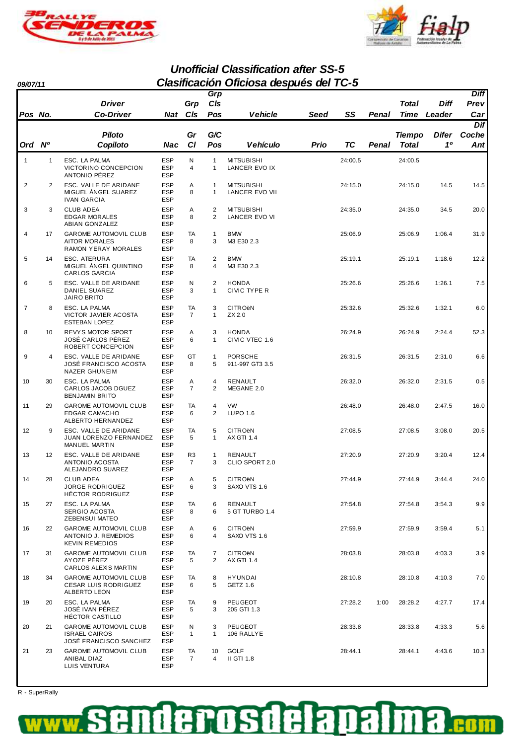



**Unofficial Classification after SS-5 09/07/11 Clasificación Oficiosa después del TC-5**

|                |                   |                                                                                |                                        |                      | Grp                          |                                                |      |           |       |               |              | <b>Diff</b> |
|----------------|-------------------|--------------------------------------------------------------------------------|----------------------------------------|----------------------|------------------------------|------------------------------------------------|------|-----------|-------|---------------|--------------|-------------|
|                |                   | <b>Driver</b>                                                                  |                                        | Grp                  | CIs                          |                                                |      |           |       | Total         | Diff         | Prev        |
| Pos No.        |                   | <b>Co-Driver</b>                                                               | Nat                                    | CIs                  | Pos                          | Vehicle                                        | Seed | SS        | Penal | Time          | Leader       | Car         |
|                |                   |                                                                                |                                        |                      |                              |                                                |      |           |       |               |              | Dif         |
|                |                   | <b>Piloto</b>                                                                  |                                        | Gr                   | G/C                          |                                                |      |           |       | <b>Tiempo</b> | <b>Difer</b> | Coche       |
| Ord Nº         |                   | Copiloto                                                                       | Nac                                    | <b>CI</b>            | Pos                          | <b>Vehículo</b>                                | Prio | <b>TC</b> | Penal | Total         | 10           | Antl        |
| $\mathbf{1}$   | $\mathbf{1}$      | ESC. LA PALMA                                                                  | <b>ESP</b>                             | N                    | $\mathbf{1}$                 | <b>MITSUBISHI</b>                              |      | 24:00.5   |       | 24:00.5       |              |             |
|                |                   | VICTORINO CONCEPCION<br>ANTONIO PÉREZ                                          | <b>ESP</b><br><b>ESP</b>               | 4                    | $\mathbf{1}$                 | LANCER EVO IX                                  |      |           |       |               |              |             |
| $\overline{2}$ | 2                 | ESC. VALLE DE ARIDANE<br>MIGUEL ANGEL SUAREZ<br><b>IVAN GARCIA</b>             | <b>ESP</b><br><b>ESP</b><br><b>ESP</b> | Α<br>8               | $\mathbf{1}$<br>$\mathbf{1}$ | <b>MITSUBISHI</b><br><b>LANCER EVO VII</b>     |      | 24:15.0   |       | 24:15.0       | 14.5         | 14.5        |
| 3              | 3                 | <b>CLUB ADEA</b><br><b>EDGAR MORALES</b><br>ABIAN GONZALEZ                     | <b>ESP</b><br><b>ESP</b><br><b>ESP</b> | Α<br>8               | $\overline{2}$<br>2          | <b>MITSUBISHI</b><br>LANCER EVO VI             |      | 24:35.0   |       | 24:35.0       | 34.5         | 20.0        |
| $\overline{4}$ | 17                | <b>GAROME AUTOMOVIL CLUB</b><br><b>AITOR MORALES</b><br>RAMON YERAY MORALES    | <b>ESP</b><br><b>ESP</b><br><b>ESP</b> | TA<br>8              | $\mathbf{1}$<br>3            | <b>BMW</b><br>M3 E30 2.3                       |      | 25:06.9   |       | 25:06.9       | 1:06.4       | 31.9        |
| 5              | 14                | ESC. ATERURA<br>MIGUEL ANGEL QUINTINO<br>CARLOS GARCIA                         | <b>ESP</b><br><b>ESP</b><br><b>ESP</b> | TA<br>8              | 2<br>$\overline{4}$          | <b>BMW</b><br>M3 E30 2.3                       |      | 25:19.1   |       | 25:19.1       | 1:18.6       | 12.2        |
| 6              | 5                 | ESC. VALLE DE ARIDANE<br><b>DANIEL SUAREZ</b><br>JAIRO BRITO                   | <b>ESP</b><br><b>ESP</b><br><b>ESP</b> | N<br>3               | 2<br>$\mathbf{1}$            | <b>HONDA</b><br>CIVIC TYPE R                   |      | 25:26.6   |       | 25:26.6       | 1:26.1       | 7.5         |
| $\overline{7}$ | 8                 | ESC. LA PALMA<br>VICTOR JAVIER ACOSTA<br><b>ESTEBAN LOPEZ</b>                  | <b>ESP</b><br><b>ESP</b><br><b>ESP</b> | TA<br>$\overline{7}$ | 3<br>$\mathbf{1}$            | <b>CITRO<sub>ëN</sub></b><br>ZX 2.0            |      | 25:32.6   |       | 25:32.6       | 1:32.1       | 6.0         |
| 8              | 10                | REVYS MOTOR SPORT<br>JOSÉ CARLOS PÉREZ<br>ROBERT CONCEPCION                    | <b>ESP</b><br><b>ESP</b><br><b>ESP</b> | Α<br>6               | 3<br>$\mathbf{1}$            | <b>HONDA</b><br>CIVIC VTEC 1.6                 |      | 26:24.9   |       | 26:24.9       | 2:24.4       | 52.3        |
| 9              | 4                 | ESC. VALLE DE ARIDANE<br>JOSÉ FRANCISCO ACOSTA<br><b>NAZER GHUNEIM</b>         | <b>ESP</b><br><b>ESP</b><br><b>ESP</b> | GT<br>8              | $\mathbf{1}$<br>5            | <b>PORSCHE</b><br>911-997 GT3 3.5              |      | 26:31.5   |       | 26:31.5       | 2:31.0       | 6.6         |
| 10             | 30                | ESC. LA PALMA<br>CARLOS JACOB DGUEZ<br><b>BENJAMIN BRITO</b>                   | <b>ESP</b><br><b>ESP</b><br><b>ESP</b> | Α<br>$\overline{7}$  | $\overline{4}$<br>2          | RENAULT<br>MEGANE 2.0                          |      | 26:32.0   |       | 26:32.0       | 2:31.5       | 0.5         |
| 11             | 29                | <b>GAROME AUTOMOVIL CLUB</b><br><b>EDGAR CAMACHO</b><br>ALBERTO HERNANDEZ      | <b>ESP</b><br><b>ESP</b><br><b>ESP</b> | TA<br>6              | 4<br>2                       | <b>VW</b><br><b>LUPO 1.6</b>                   |      | 26:48.0   |       | 26:48.0       | 2:47.5       | 16.0        |
| 12             | 9                 | ESC. VALLE DE ARIDANE<br><b>JUAN LORENZO FERNANDEZ</b><br>MANUEL MARTIN        | <b>ESP</b><br><b>ESP</b><br><b>ESP</b> | TA<br>5              | 5<br>1                       | <b>CITRO<sub>ëN</sub></b><br><b>AX GTI 1.4</b> |      | 27:08.5   |       | 27:08.5       | 3:08.0       | 20.5        |
| 13             | $12 \overline{ }$ | ESC. VALLE DE ARIDANE<br>ANTONIO ACOSTA<br>ALEJANDRO SUAREZ                    | <b>ESP</b><br><b>ESP</b><br><b>ESP</b> | R3<br>$\overline{7}$ | $\mathbf{1}$<br>3            | RENAULT<br>CLIO SPORT 2.0                      |      | 27:20.9   |       | 27:20.9       | 3:20.4       | 12.4        |
| 14             | 28                | <b>CLUB ADEA</b><br><b>JORGE RODRIGUEZ</b><br>HÉCTOR RODRIGUEZ                 | <b>ESP</b><br>ESP<br><b>ESP</b>        | Α<br>6               | 5<br>3                       | <b>CITRO<sub>ë</sub>N</b><br>SAXO VTS 1.6      |      | 27:44.9   |       | 27:44.9       | 3:44.4       | 24.0        |
| 15             | 27                | ESC. LA PALMA<br>SERGIO ACOSTA<br>ZEBENSUI MATEO                               | <b>ESP</b><br><b>ESP</b><br><b>ESP</b> | TA<br>8              | 6<br>6                       | RENAULT<br>5 GT TURBO 1.4                      |      | 27:54.8   |       | 27:54.8       | 3:54.3       | 9.9         |
| 16             | 22                | <b>GAROME AUTOMOVIL CLUB</b><br>ANTONIO J. REMEDIOS<br><b>KEVIN REMEDIOS</b>   | <b>ESP</b><br><b>ESP</b><br><b>ESP</b> | Α<br>6               | 6<br>$\overline{4}$          | <b>CITRO<sub>ë</sub>N</b><br>SAXO VTS 1.6      |      | 27:59.9   |       | 27:59.9       | 3:59.4       | 5.1         |
| 17             | 31                | <b>GAROME AUTOMOVIL CLUB</b><br>AYOZE PÊREZ<br>CARLOS ALEXIS MARTIN            | <b>ESP</b><br><b>ESP</b><br><b>ESP</b> | TA<br>5              | 7<br>2                       | <b>CITRO<sub>ë</sub>N</b><br>AX GTI 1.4        |      | 28:03.8   |       | 28:03.8       | 4:03.3       | 3.9         |
| 18             | 34                | <b>GAROME AUTOMOVIL CLUB</b><br><b>CESAR LUIS RODRIGUEZ</b><br>ALBERTO LEON    | <b>ESP</b><br><b>ESP</b><br><b>ESP</b> | TA<br>6              | 8<br>5                       | <b>HYUNDAI</b><br>GETZ 1.6                     |      | 28:10.8   |       | 28:10.8       | 4:10.3       | 7.0         |
| 19             | 20                | ESC. LA PALMA<br>JOSÉ IVAN PÉREZ<br>HÉCTOR CASTILLO                            | <b>ESP</b><br><b>ESP</b><br><b>ESP</b> | TA<br>5              | 9<br>3                       | PEUGEOT<br>205 GTI 1.3                         |      | 27:28.2   | 1:00  | 28:28.2       | 4:27.7       | 17.4        |
| 20             | 21                | <b>GAROME AUTOMOVIL CLUB</b><br><b>ISRAEL CAIROS</b><br>JOSÉ FRANCISCO SANCHEZ | <b>ESP</b><br><b>ESP</b><br><b>ESP</b> | N<br>$\mathbf{1}$    | 3<br>$\mathbf{1}$            | PEUGEOT<br>106 RALLYE                          |      | 28:33.8   |       | 28:33.8       | 4:33.3       | 5.6         |
| 21             | 23                | <b>GAROME AUTOMOVIL CLUB</b><br>ANIBAL DIAZ<br>LUIS VENTURA                    | <b>ESP</b><br>ESP<br><b>ESP</b>        | TA<br>$\overline{7}$ | 10<br>4                      | <b>GOLF</b><br><b>II GTI 1.8</b>               |      | 28:44.1   |       | 28:44.1       | 4:43.6       | 10.3        |

R - SuperRally

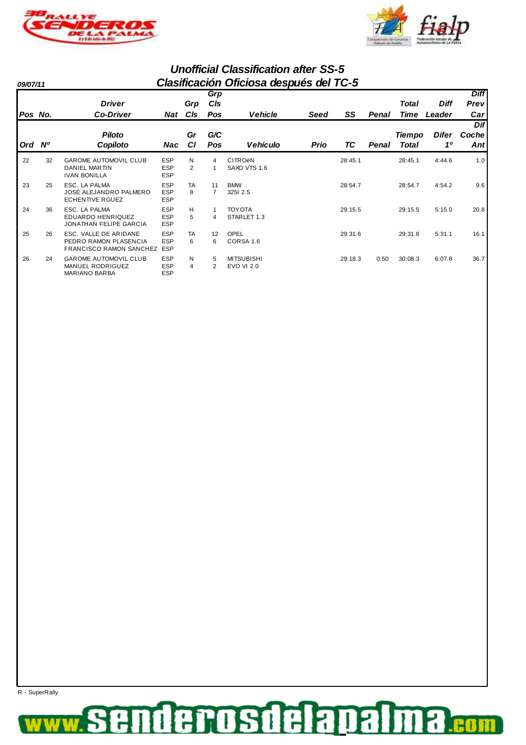



|          |           |                                                                                  |                                        |                |                      | <b>Unofficial Classification after SS-5</b> |      |         |       |               |             |             |
|----------|-----------|----------------------------------------------------------------------------------|----------------------------------------|----------------|----------------------|---------------------------------------------|------|---------|-------|---------------|-------------|-------------|
| 09/07/11 |           |                                                                                  |                                        |                |                      | Clasificación Oficiosa después del TC-5     |      |         |       |               |             |             |
|          |           |                                                                                  |                                        |                | Grp                  |                                             |      |         |       |               |             | <b>Diff</b> |
|          |           | <b>Driver</b>                                                                    |                                        | Grp            | CIs                  |                                             |      |         |       | Total         | <b>Diff</b> | Prev        |
| Pos No.  |           | <b>Co-Driver</b>                                                                 | Nat                                    | <b>CIs</b>     | Pos                  | <b>Vehicle</b>                              | Seed | SS      | Penal | Time          | Leader      | Car         |
|          |           |                                                                                  |                                        |                |                      |                                             |      |         |       |               |             | Dif         |
|          |           | <b>Piloto</b>                                                                    |                                        | Gr             | G/C                  |                                             |      |         |       | <b>Tiempo</b> | Difer       | Coche       |
| Ord      | <b>N°</b> | Copiloto                                                                         | Nac                                    | <b>CI</b>      | Pos                  | <b>Vehículo</b>                             | Prio | ТC      | Penal | Total         | 10          | Ant         |
| 22       | 32        | <b>GAROME AUTOMOVIL CLUB</b><br><b>DANIEL MARTIN</b><br><b>IVAN BONILLA</b>      | <b>ESP</b><br><b>ESP</b><br><b>ESP</b> | N<br>2         | 4                    | <b>CITRO<sub>ë</sub>N</b><br>SAXO VTS 1.6   |      | 28:45.1 |       | 28:45.1       | 4:44.6      | 1.0         |
| 23       | 25        | ESC. LA PALMA<br>JOSÉ ALEJANDRO PALMERO<br><b>ECHENTIVE RGUEZ</b>                | <b>ESP</b><br><b>ESP</b><br><b>ESP</b> | <b>TA</b><br>8 | 11<br>$\overline{7}$ | <b>BMW</b><br>3251 2.5                      |      | 28:54.7 |       | 28:54.7       | 4:54.2      | 9.6         |
| 24       | 36        | ESC. LA PALMA<br><b>EDUARDO HENRIQUEZ</b><br><b>JONATHAN FELIPE GARCIA</b>       | <b>ESP</b><br><b>ESP</b><br><b>ESP</b> | н<br>5         | 4                    | <b>TOY OTA</b><br>STARLET 1.3               |      | 29:15.5 |       | 29:15.5       | 5:15.0      | 20.8        |
| 25       | 26        | ESC. VALLE DE ARIDANE<br>PEDRO RAMON PLASENCIA<br><b>FRANCISCO RAMON SANCHEZ</b> | <b>ESP</b><br>ESP<br><b>ESP</b>        | TA<br>6        | 12<br>6              | OPEL<br>CORSA 1.6                           |      | 29:31.6 |       | 29:31.6       | 5:31.1      | 16.1        |
| 26       | 24        | <b>GAROME AUTOMOVIL CLUB</b><br><b>MANUEL RODRIGUEZ</b><br><b>MARIANO BARBA</b>  | <b>ESP</b><br><b>ESP</b><br><b>ESP</b> | N<br>4         | 5<br>$\overline{2}$  | <b>MITSUBISHI</b><br><b>EVO VI 2.0</b>      |      | 29:18.3 | 0:50  | 30:08.3       | 6:07.8      | 36.7        |

R - SuperRally

#### derosdelapal 3 ş **.com**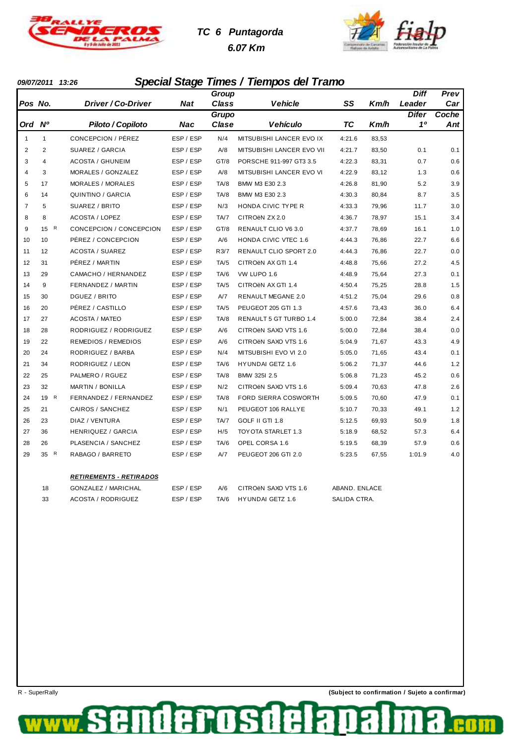

# **TC 6 Puntagorda 6.07 Km**



### **09/07/2011 13:26 Special Stage Times / Tiempos del Tramo**

|                |                |                                  |           | Group        |                           |               |       | <b>Diff</b>  | Prev  |
|----------------|----------------|----------------------------------|-----------|--------------|---------------------------|---------------|-------|--------------|-------|
| Pos No.        |                | <i><b>Driver / Co-Driver</b></i> | Nat       | <b>Class</b> | Vehicle                   | SS            | Km/h  | Leader       | Car   |
|                |                |                                  |           | Grupo        |                           |               |       | <b>Difer</b> | Coche |
| Ord Nº         |                | Piloto / Copiloto                | Nac       | Clase        | <b>Vehículo</b>           | ТC            | Km/h  | 10           | Ant   |
| 1              | $\mathbf{1}$   | CONCEPCION / PÉREZ               | ESP / ESP | N/4          | MITSUBISHI LANCER EVO IX  | 4:21.6        | 83,53 |              |       |
| $\overline{2}$ | $\overline{2}$ | SUAREZ / GARCIA                  | ESP / ESP | A/8          | MITSUBISHI LANCER EVO VII | 4:21.7        | 83,50 | 0.1          | 0.1   |
| 3              | 4              | <b>ACOSTA / GHUNEIM</b>          | ESP / ESP | GT/8         | PORSCHE 911-997 GT3 3.5   | 4:22.3        | 83,31 | 0.7          | 0.6   |
| 4              | 3              | MORALES / GONZALEZ               | ESP / ESP | A/8          | MITSUBISHI LANCER EVO VI  | 4:22.9        | 83,12 | 1.3          | 0.6   |
| 5              | 17             | <b>MORALES / MORALES</b>         | ESP / ESP | TA/8         | BMW M3 E30 2.3            | 4:26.8        | 81,90 | 5.2          | 3.9   |
| 6              | 14             | QUINTINO / GARCIA                | ESP / ESP | TA/8         | BMW M3 E30 2.3            | 4:30.3        | 80,84 | 8.7          | 3.5   |
| $\overline{7}$ | 5              | SUAREZ / BRITO                   | ESP / ESP | N/3          | HONDA CIVIC TYPE R        | 4:33.3        | 79,96 | 11.7         | 3.0   |
| 8              | 8              | <b>ACOSTA / LOPEZ</b>            | ESP / ESP | TA/7         | CITROËN ZX 2.0            | 4:36.7        | 78,97 | 15.1         | 3.4   |
| 9              | R<br>15        | CONCEPCION / CONCEPCION          | ESP / ESP | GT/8         | RENAULT CLIO V6 3.0       | 4:37.7        | 78,69 | 16.1         | 1.0   |
| 10             | 10             | PÉREZ / CONCEPCION               | ESP / ESP | A/6          | HONDA CIVIC VTEC 1.6      | 4:44.3        | 76,86 | 22.7         | 6.6   |
| 11             | 12             | <b>ACOSTA / SUAREZ</b>           | ESP / ESP | R3/7         | RENAULT CLIO SPORT 2.0    | 4:44.3        | 76,86 | 22.7         | 0.0   |
| 12             | 31             | PÉREZ / MARTIN                   | ESP / ESP | TA/5         | CITROËN AX GTI 1.4        | 4:48.8        | 75,66 | 27.2         | 4.5   |
| 13             | 29             | CAMACHO / HERNANDEZ              | ESP / ESP | TA/6         | VW LUPO 1.6               | 4:48.9        | 75,64 | 27.3         | 0.1   |
| 14             | 9              | FERNANDEZ / MARTIN               | ESP / ESP | TA/5         | CITROEN AX GTI 1.4        | 4:50.4        | 75,25 | 28.8         | 1.5   |
| 15             | 30             | DGUEZ / BRITO                    | ESP / ESP | A/7          | RENAULT MEGANE 2.0        | 4:51.2        | 75,04 | 29.6         | 0.8   |
| 16             | 20             | PÉREZ / CASTILLO                 | ESP / ESP | TA/5         | PEUGEOT 205 GTI 1.3       | 4:57.6        | 73,43 | 36.0         | 6.4   |
| 17             | 27             | <b>ACOSTA / MATEO</b>            | ESP / ESP | TA/8         | RENAULT 5 GT TURBO 1.4    | 5:00.0        | 72,84 | 38.4         | 2.4   |
| 18             | 28             | RODRIGUEZ / RODRIGUEZ            | ESP / ESP | A/6          | CITROËN SAXO VTS 1.6      | 5:00.0        | 72,84 | 38.4         | 0.0   |
| 19             | 22             | <b>REMEDIOS / REMEDIOS</b>       | ESP / ESP | A/6          | CITROËN SAXO VTS 1.6      | 5:04.9        | 71,67 | 43.3         | 4.9   |
| 20             | 24             | RODRIGUEZ / BARBA                | ESP / ESP | N/4          | MITSUBISHI EVO VI 2.0     | 5:05.0        | 71,65 | 43.4         | 0.1   |
| 21             | 34             | RODRIGUEZ / LEON                 | ESP / ESP | TA/6         | <b>HYUNDAI GETZ 1.6</b>   | 5:06.2        | 71,37 | 44.6         | 1.2   |
| 22             | 25             | PALMERO / RGUEZ                  | ESP / ESP | TA/8         | BMW 325I 2.5              | 5:06.8        | 71,23 | 45.2         | 0.6   |
| 23             | 32             | <b>MARTIN / BONILLA</b>          | ESP / ESP | N/2          | CITROËN SAXO VTS 1.6      | 5:09.4        | 70,63 | 47.8         | 2.6   |
| 24             | 19 R           | FERNANDEZ / FERNANDEZ            | ESP / ESP | TA/8         | FORD SIERRA COSWORTH      | 5:09.5        | 70,60 | 47.9         | 0.1   |
| 25             | 21             | CAIROS / SANCHEZ                 | ESP / ESP | N/1          | PEUGEOT 106 RALLYE        | 5:10.7        | 70,33 | 49.1         | 1.2   |
| 26             | 23             | DIAZ / VENTURA                   | ESP / ESP | TA/7         | GOLF II GTI 1.8           | 5:12.5        | 69,93 | 50.9         | 1.8   |
| 27             | 36             | <b>HENRIQUEZ / GARCIA</b>        | ESP / ESP | H/5          | TOYOTA STARLET 1.3        | 5:18.9        | 68,52 | 57.3         | 6.4   |
| 28             | 26             | PLASENCIA / SANCHEZ              | ESP / ESP | TA/6         | OPEL CORSA 1.6            | 5:19.5        | 68,39 | 57.9         | 0.6   |
| 29             | 35 R           | RABAGO / BARRETO                 | ESP / ESP | A/7          | PEUGEOT 206 GTI 2.0       | 5:23.5        | 67,55 | 1:01.9       | 4.0   |
|                |                |                                  |           |              |                           |               |       |              |       |
|                |                | <b>RETIREMENTS - RETIRADOS</b>   |           |              |                           |               |       |              |       |
|                | 18             | <b>GONZALEZ / MARICHAL</b>       | ESP / ESP | A/6          | CITROËN SAXO VTS 1.6      | ABAND. ENLACE |       |              |       |
|                | 33             | <b>ACOSTA / RODRIGUEZ</b>        | ESP / ESP | TA/6         | <b>HYUNDAI GETZ 1.6</b>   | SALIDA CTRA.  |       |              |       |

rosd

G

de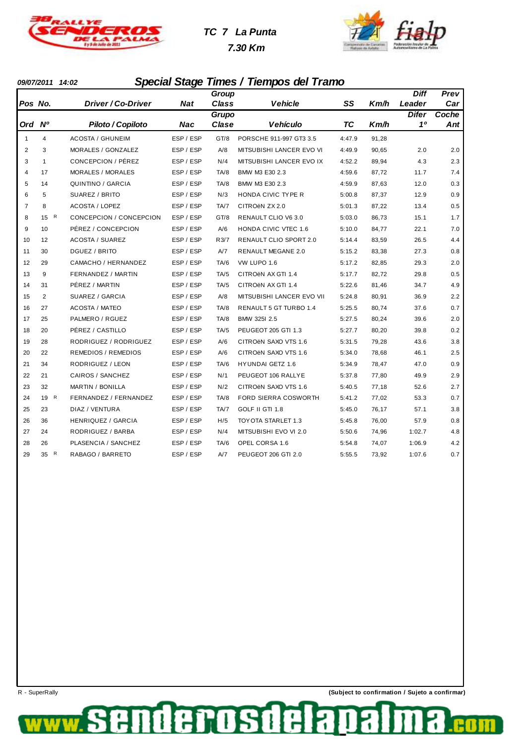

# **TC 7 La Punta**

 **7.30 Km**



### **09/07/2011 14:02 Special Stage Times / Tiempos del Tramo**

|                |              |                            |            | Group |                               |        |       | <b>Diff</b>  | Prev  |
|----------------|--------------|----------------------------|------------|-------|-------------------------------|--------|-------|--------------|-------|
| Pos No.        |              | Driver / Co-Driver         | <b>Nat</b> | Class | <b>Vehicle</b>                | SS     | Km/h  | Leader       | Car   |
|                |              |                            |            | Grupo |                               |        |       | <b>Difer</b> | Coche |
| Ord Nº         |              | Piloto / Copiloto          | <b>Nac</b> | Clase | <b>Vehículo</b>               | TC     | Km/h  | 10           | Ant   |
| $\mathbf{1}$   | 4            | <b>ACOSTA / GHUNEIM</b>    | ESP / ESP  | GT/8  | PORSCHE 911-997 GT3 3.5       | 4:47.9 | 91,28 |              |       |
| $\overline{2}$ | 3            | MORALES / GONZALEZ         | ESP / ESP  | A/8   | MITSUBISHI LANCER EVO VI      | 4:49.9 | 90,65 | 2.0          | 2.0   |
| 3              | $\mathbf{1}$ | CONCEPCION / PÉREZ         | ESP / ESP  | N/4   | MITSUBISHI LANCER EVO IX      | 4:52.2 | 89,94 | 4.3          | 2.3   |
| $\overline{4}$ | 17           | <b>MORALES / MORALES</b>   | ESP / ESP  | TA/8  | BMW M3 E30 2.3                | 4:59.6 | 87,72 | 11.7         | 7.4   |
| 5              | 14           | QUINTINO / GARCIA          | ESP / ESP  | TA/8  | BMW M3 E30 2.3                | 4:59.9 | 87,63 | 12.0         | 0.3   |
| 6              | 5            | SUAREZ / BRITO             | ESP / ESP  | N/3   | HONDA CIVIC TYPE R            | 5:00.8 | 87,37 | 12.9         | 0.9   |
| $\overline{7}$ | 8            | <b>ACOSTA / LOPEZ</b>      | ESP / ESP  | TA/7  | CITROËN ZX 2.0                | 5:01.3 | 87,22 | 13.4         | 0.5   |
| 8              | 15 R         | CONCEPCION / CONCEPCION    | ESP / ESP  | GT/8  | RENAULT CLIO V6 3.0           | 5:03.0 | 86,73 | 15.1         | 1.7   |
| 9              | 10           | PÉREZ / CONCEPCION         | ESP / ESP  | A/6   | <b>HONDA CIVIC VTEC 1.6</b>   | 5:10.0 | 84,77 | 22.1         | 7.0   |
| 10             | 12           | <b>ACOSTA / SUAREZ</b>     | ESP / ESP  | R3/7  | <b>RENAULT CLIO SPORT 2.0</b> | 5:14.4 | 83,59 | 26.5         | 4.4   |
| 11             | 30           | DGUEZ / BRITO              | ESP / ESP  | A/7   | <b>RENAULT MEGANE 2.0</b>     | 5:15.2 | 83,38 | 27.3         | 0.8   |
| 12             | 29           | CAMACHO / HERNANDEZ        | ESP / ESP  | TA/6  | VW LUPO 1.6                   | 5:17.2 | 82,85 | 29.3         | 2.0   |
| 13             | 9            | FERNANDEZ / MARTIN         | ESP / ESP  | TA/5  | CITROËN AX GTI 1.4            | 5:17.7 | 82,72 | 29.8         | 0.5   |
| 14             | 31           | PÉREZ / MARTIN             | ESP / ESP  | TA/5  | CITROËN AX GTI 1.4            | 5:22.6 | 81,46 | 34.7         | 4.9   |
| 15             | 2            | SUAREZ / GARCIA            | ESP / ESP  | A/8   | MITSUBISHI LANCER EVO VII     | 5:24.8 | 80,91 | 36.9         | 2.2   |
| 16             | 27           | <b>ACOSTA / MATEO</b>      | ESP / ESP  | TA/8  | RENAULT 5 GT TURBO 1.4        | 5:25.5 | 80,74 | 37.6         | 0.7   |
| 17             | 25           | PALMERO / RGUEZ            | ESP / ESP  | TA/8  | BMW 325I 2.5                  | 5:27.5 | 80,24 | 39.6         | 2.0   |
| 18             | 20           | PÉREZ / CASTILLO           | ESP / ESP  | TA/5  | PEUGEOT 205 GTI 1.3           | 5:27.7 | 80,20 | 39.8         | 0.2   |
| 19             | 28           | RODRIGUEZ / RODRIGUEZ      | ESP / ESP  | A/6   | CITROËN SAXO VTS 1.6          | 5:31.5 | 79,28 | 43.6         | 3.8   |
| 20             | 22           | <b>REMEDIOS / REMEDIOS</b> | ESP / ESP  | A/6   | CITROËN SAXO VTS 1.6          | 5:34.0 | 78,68 | 46.1         | 2.5   |
| 21             | 34           | RODRIGUEZ / LEON           | ESP / ESP  | TA/6  | <b>HYUNDAI GETZ 1.6</b>       | 5:34.9 | 78,47 | 47.0         | 0.9   |
| 22             | 21           | CAIROS / SANCHEZ           | ESP / ESP  | N/1   | PEUGEOT 106 RALLYE            | 5:37.8 | 77,80 | 49.9         | 2.9   |
| 23             | 32           | <b>MARTIN / BONILLA</b>    | ESP / ESP  | N/2   | CITROËN SAXO VTS 1.6          | 5:40.5 | 77,18 | 52.6         | 2.7   |
| 24             | 19 R         | FERNANDEZ / FERNANDEZ      | ESP / ESP  | TA/8  | FORD SIERRA COSWORTH          | 5:41.2 | 77,02 | 53.3         | 0.7   |
| 25             | 23           | DIAZ / VENTURA             | ESP / ESP  | TA/7  | GOLF II GTI 1.8               | 5:45.0 | 76,17 | 57.1         | 3.8   |
| 26             | 36           | HENRIQUEZ / GARCIA         | ESP / ESP  | H/5   | TOYOTA STARLET 1.3            | 5:45.8 | 76,00 | 57.9         | 0.8   |
| 27             | 24           | RODRIGUEZ / BARBA          | ESP / ESP  | N/4   | MITSUBISHI EVO VI 2.0         | 5:50.6 | 74,96 | 1:02.7       | 4.8   |
| 28             | 26           | PLASENCIA / SANCHEZ        | ESP / ESP  | TA/6  | OPEL CORSA 1.6                | 5:54.8 | 74,07 | 1:06.9       | 4.2   |
| 29             | 35<br>R      | RABAGO / BARRETO           | ESP / ESP  | A/7   | PEUGEOT 206 GTI 2.0           | 5:55.5 | 73,92 | 1:07.6       | 0.7   |

**POSLE** 

de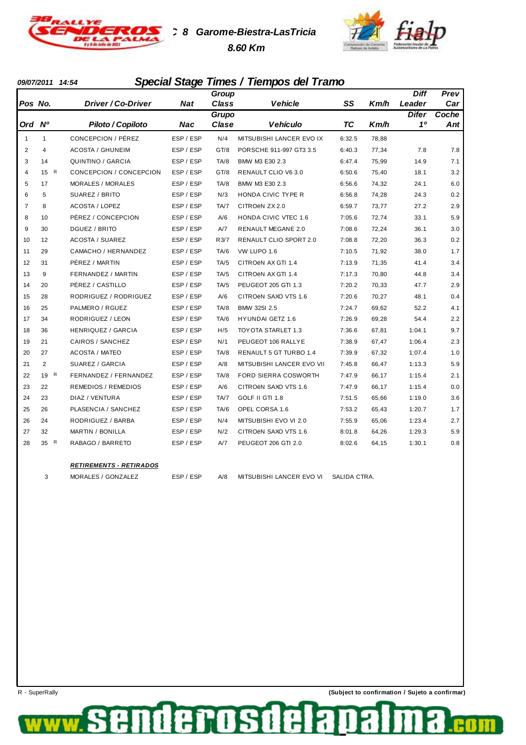

**TC 8 Garome-Biestra-LasTricia 8.60 Km**



### **09/07/2011 14:54 Special Stage Times / Tiempos del Tramo**

|                |                |                                |            | Group        |                               |              |       | <b>Diff</b>  | Prev  |
|----------------|----------------|--------------------------------|------------|--------------|-------------------------------|--------------|-------|--------------|-------|
| Pos No.        |                | Driver / Co-Driver             | <b>Nat</b> | <b>Class</b> | <b>Vehicle</b>                | SS           | Km/h  | Leader       | Car   |
|                |                |                                |            | Grupo        |                               |              |       | <b>Difer</b> | Coche |
| Ord            | N <sup>o</sup> | Piloto / Copiloto              | Nac        | Clase        | <b>Vehículo</b>               | <b>TC</b>    | Km/h  | 10           | Ant   |
| $\mathbf{1}$   | 1              | CONCEPCION / PÉREZ             | ESP / ESP  | N/4          | MITSUBISHI LANCER EVO IX      | 6:32.5       | 78,88 |              |       |
| $\overline{2}$ | 4              | <b>ACOSTA / GHUNEIM</b>        | ESP / ESP  | GT/8         | PORSCHE 911-997 GT3 3.5       | 6:40.3       | 77,34 | 7.8          | 7.8   |
| 3              | 14             | QUINTINO / GARCIA              | ESP / ESP  | TA/8         | BMW M3 E30 2.3                | 6:47.4       | 75,99 | 14.9         | 7.1   |
| $\overline{4}$ | 15 R           | CONCEPCION / CONCEPCION        | ESP / ESP  | GT/8         | RENAULT CLIO V6 3.0           | 6:50.6       | 75,40 | 18.1         | 3.2   |
| 5              | 17             | MORALES / MORALES              | ESP / ESP  | TA/8         | BMW M3 E30 2.3                | 6:56.6       | 74,32 | 24.1         | 6.0   |
| 6              | 5              | SUAREZ / BRITO                 | ESP / ESP  | N/3          | HONDA CIVIC TYPE R            | 6:56.8       | 74,28 | 24.3         | 0.2   |
| 7              | 8              | <b>ACOSTA / LOPEZ</b>          | ESP / ESP  | TA/7         | CITROEN ZX 2.0                | 6:59.7       | 73,77 | 27.2         | 2.9   |
| 8              | 10             | PÉREZ / CONCEPCION             | ESP / ESP  | A/6          | HONDA CIVIC VTEC 1.6          | 7:05.6       | 72,74 | 33.1         | 5.9   |
| 9              | 30             | DGUEZ / BRITO                  | ESP / ESP  | A/7          | <b>RENAULT MEGANE 2.0</b>     | 7:08.6       | 72,24 | 36.1         | 3.0   |
| 10             | 12             | <b>ACOSTA / SUAREZ</b>         | ESP / ESP  | R3/7         | <b>RENAULT CLIO SPORT 2.0</b> | 7:08.8       | 72,20 | 36.3         | 0.2   |
| 11             | 29             | CAMACHO / HERNANDEZ            | ESP / ESP  | TA/6         | VW LUPO 1.6                   | 7:10.5       | 71,92 | 38.0         | 1.7   |
| 12             | 31             | PÉREZ / MARTIN                 | ESP / ESP  | TA/5         | CITROËN AX GTI 1.4            | 7:13.9       | 71,35 | 41.4         | 3.4   |
| 13             | 9              | FERNANDEZ / MARTIN             | ESP / ESP  | TA/5         | CITROËN AX GTI 1.4            | 7:17.3       | 70,80 | 44.8         | 3.4   |
| 14             | 20             | PÊREZ / CASTILLO               | ESP / ESP  | TA/5         | PEUGEOT 205 GTI 1.3           | 7:20.2       | 70,33 | 47.7         | 2.9   |
| 15             | 28             | RODRIGUEZ / RODRIGUEZ          | ESP / ESP  | A/6          | CITROËN SAXO VTS 1.6          | 7:20.6       | 70,27 | 48.1         | 0.4   |
| 16             | 25             | PALMERO / RGUEZ                | ESP / ESP  | TA/8         | BMW 3251 2.5                  | 7:24.7       | 69,62 | 52.2         | 4.1   |
| 17             | 34             | RODRIGUEZ / LEON               | ESP / ESP  | TA/6         | HYUNDAI GETZ 1.6              | 7:26.9       | 69,28 | 54.4         | 2.2   |
| 18             | 36             | HENRIQUEZ / GARCIA             | ESP / ESP  | H/5          | TOYOTA STARLET 1.3            | 7:36.6       | 67,81 | 1:04.1       | 9.7   |
| 19             | 21             | CAIROS / SANCHEZ               | ESP / ESP  | N/1          | PEUGEOT 106 RALLYE            | 7:38.9       | 67,47 | 1:06.4       | 2.3   |
| 20             | 27             | <b>ACOSTA / MATEO</b>          | ESP / ESP  | TA/8         | RENAULT 5 GT TURBO 1.4        | 7:39.9       | 67,32 | 1:07.4       | 1.0   |
| 21             | 2              | SUAREZ / GARCIA                | ESP / ESP  | A/8          | MITSUBISHI LANCER EVO VII     | 7:45.8       | 66,47 | 1:13.3       | 5.9   |
| 22             | 19 R           | FERNANDEZ / FERNANDEZ          | ESP / ESP  | TA/8         | FORD SIERRA COSWORTH          | 7:47.9       | 66,17 | 1:15.4       | 2.1   |
| 23             | 22             | <b>REMEDIOS / REMEDIOS</b>     | ESP / ESP  | A/6          | CITROËN SAXO VTS 1.6          | 7:47.9       | 66,17 | 1:15.4       | 0.0   |
| 24             | 23             | DIAZ / VENTURA                 | ESP / ESP  | TA/7         | GOLF II GTI 1.8               | 7:51.5       | 65,66 | 1:19.0       | 3.6   |
| 25             | 26             | PLASENCIA / SANCHEZ            | ESP / ESP  | TA/6         | OPEL CORSA 1.6                | 7:53.2       | 65,43 | 1:20.7       | 1.7   |
| 26             | 24             | RODRIGUEZ / BARBA              | ESP / ESP  | N/4          | MITSUBISHI EVO VI 2.0         | 7:55.9       | 65,06 | 1:23.4       | 2.7   |
| 27             | 32             | <b>MARTIN / BONILLA</b>        | ESP / ESP  | N/2          | CITROËN SAXO VTS 1.6          | 8:01.8       | 64,26 | 1:29.3       | 5.9   |
| 28             | 35 R           | RABAGO / BARRETO               | ESP / ESP  | A/7          | PEUGEOT 206 GTI 2.0           | 8:02.6       | 64,15 | 1:30.1       | 0.8   |
|                |                | <b>RETIREMENTS - RETIRADOS</b> |            |              |                               |              |       |              |       |
|                | 3              | MORALES / GONZALEZ             | ESP / ESP  | A/8          | MITSUBISHI LANCER EVO VI      | SALIDA CTRA. |       |              |       |

E

**10S1**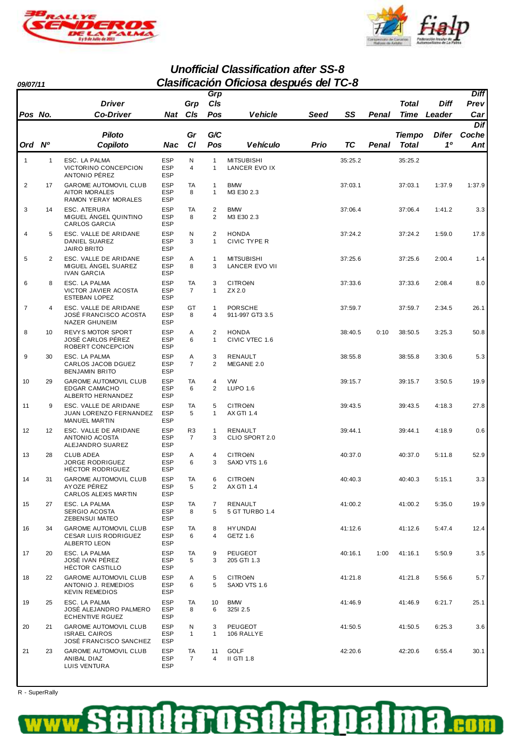



**Unofficial Classification after SS-8 09/07/11 Clasificación Oficiosa después del TC-8**

|                |    | <b>Driver</b>                                                                      |                                        | Grp                              | <b>Grp</b><br>CIs                |                                                |      |         |       | Total         | Diff         | <b>Diff</b><br>Prev |
|----------------|----|------------------------------------------------------------------------------------|----------------------------------------|----------------------------------|----------------------------------|------------------------------------------------|------|---------|-------|---------------|--------------|---------------------|
| Pos No.        |    | <b>Co-Driver</b>                                                                   | Nat                                    | CIs                              | Pos                              | Vehicle                                        | Seed | SS      | Penal | <b>Time</b>   | Leader       | Car                 |
|                |    |                                                                                    |                                        |                                  |                                  |                                                |      |         |       |               |              | Dif                 |
|                |    | <b>Piloto</b>                                                                      |                                        | Gr                               | G/C                              |                                                |      |         |       | <b>Tiempo</b> | <b>Difer</b> | Coche               |
| Ord            | N° | Copiloto                                                                           | Nac                                    | <b>CI</b>                        | Pos                              | <b>Vehículo</b>                                | Prio | ТC      | Penal | Total         | 10           | Ant                 |
| $\mathbf{1}$   | 1  | ESC. LA PALMA<br>VICTORINO CONCEPCION<br>ANTONIO PÉREZ                             | <b>ESP</b><br><b>ESP</b><br><b>ESP</b> | N<br>$\overline{4}$              | $\mathbf{1}$<br>$\mathbf{1}$     | <b>MITSUBISHI</b><br>LANCER EVO IX             |      | 35:25.2 |       | 35:25.2       |              |                     |
| $\overline{2}$ | 17 | <b>GAROME AUTOMOVIL CLUB</b><br><b>AITOR MORALES</b><br><b>RAMON YERAY MORALES</b> | <b>ESP</b><br><b>ESP</b><br><b>ESP</b> | <b>TA</b><br>8                   | $\mathbf{1}$<br>1                | <b>BMW</b><br>M3 E30 2.3                       |      | 37:03.1 |       | 37:03.1       | 1:37.9       | 1:37.9              |
| 3              | 14 | <b>ESC. ATERURA</b><br>MIGUEL ÁNGEL QUINTINO<br><b>CARLOS GARCIA</b>               | <b>ESP</b><br><b>ESP</b><br><b>ESP</b> | TA<br>8                          | $\overline{2}$<br>$\overline{2}$ | <b>BMW</b><br>M3 E30 2.3                       |      | 37:06.4 |       | 37:06.4       | 1:41.2       | 3.3                 |
| 4              | 5  | ESC. VALLE DE ARIDANE<br>DANIEL SUAREZ<br><b>JAIRO BRITO</b>                       | <b>ESP</b><br><b>ESP</b><br><b>ESP</b> | N<br>3                           | $\overline{2}$<br>1              | <b>HONDA</b><br>CIVIC TYPE R                   |      | 37:24.2 |       | 37:24.2       | 1:59.0       | 17.8                |
| 5              | 2  | ESC. VALLE DE ARIDANE<br>MIGUEL ÁNGEL SUAREZ<br><b>IVAN GARCIA</b>                 | <b>ESP</b><br><b>ESP</b><br><b>ESP</b> | Α<br>8                           | $\mathbf{1}$<br>3                | <b>MITSUBISHI</b><br>LANCER EVO VII            |      | 37:25.6 |       | 37:25.6       | 2:00.4       | 1.4                 |
| 6              | 8  | ESC. LA PALMA<br><b>VICTOR JAVIER ACOSTA</b><br><b>ESTEBAN LOPEZ</b>               | <b>ESP</b><br><b>ESP</b><br><b>ESP</b> | TA<br>$\overline{7}$             | 3<br>1                           | <b>CITRO<sub>ëN</sub></b><br>ZX 2.0            |      | 37:33.6 |       | 37:33.6       | 2:08.4       | 8.0                 |
| $\overline{7}$ | 4  | ESC. VALLE DE ARIDANE<br>JOSÉ FRANCISCO ACOSTA<br>NAZER GHUNEIM                    | <b>ESP</b><br><b>ESP</b><br><b>ESP</b> | GT<br>8                          | $\mathbf{1}$<br>4                | <b>PORSCHE</b><br>911-997 GT3 3.5              |      | 37:59.7 |       | 37:59.7       | 2:34.5       | 26.1                |
| 8              | 10 | REVYS MOTOR SPORT<br>JOSÉ CARLOS PÉREZ<br>ROBERT CONCEPCION                        | <b>ESP</b><br><b>ESP</b><br><b>ESP</b> | Α<br>6                           | $\overline{2}$<br>1              | <b>HONDA</b><br>CIVIC VTEC 1.6                 |      | 38:40.5 | 0:10  | 38:50.5       | 3:25.3       | 50.8                |
| 9              | 30 | ESC. LA PALMA<br>CARLOS JACOB DGUEZ<br><b>BENJAMIN BRITO</b>                       | <b>ESP</b><br><b>ESP</b><br><b>ESP</b> | Α<br>$\overline{7}$              | 3<br>$\overline{2}$              | RENAULT<br>MEGANE 2.0                          |      | 38:55.8 |       | 38:55.8       | 3:30.6       | 5.3                 |
| 10             | 29 | <b>GAROME AUTOMOVIL CLUB</b><br><b>EDGAR CAMACHO</b><br>ALBERTO HERNANDEZ          | <b>ESP</b><br><b>ESP</b><br><b>ESP</b> | TA<br>6                          | 4<br>2                           | <b>VW</b><br><b>LUPO 1.6</b>                   |      | 39:15.7 |       | 39:15.7       | 3:50.5       | 19.9                |
| 11             | 9  | ESC. VALLE DE ARIDANE<br>JUAN LORENZO FERNANDEZ<br>MANUEL MARTIN                   | <b>ESP</b><br><b>ESP</b><br><b>ESP</b> | TA<br>5                          | 5<br>$\mathbf{1}$                | <b>CITRO<sub>ë</sub>N</b><br><b>AX GTI 1.4</b> |      | 39:43.5 |       | 39:43.5       | 4:18.3       | 27.8                |
| 12             | 12 | ESC. VALLE DE ARIDANE<br><b>ANTONIO ACOSTA</b><br>ALEJANDRO SUAREZ                 | <b>ESP</b><br><b>ESP</b><br><b>ESP</b> | R <sub>3</sub><br>$\overline{7}$ | $\mathbf{1}$<br>3                | RENAULT<br>CLIO SPORT 2.0                      |      | 39:44.1 |       | 39:44.1       | 4:18.9       | 0.6                 |
| 13             | 28 | <b>CLUB ADEA</b><br><b>JORGE RODRIGUEZ</b><br>HÉCTOR RODRIGUEZ                     | <b>ESP</b><br><b>ESP</b><br><b>ESP</b> | Α<br>6                           | 4<br>3                           | <b>CITRO<sub>ë</sub>N</b><br>SAXO VTS 1.6      |      | 40:37.0 |       | 40:37.0       | 5:11.8       | 52.9                |
| 14             | 31 | GAROME AUTOMOVIL CLUB<br>AYOZE PEREZ<br>CARLOS ALEXIS MARTIN                       | <b>ESP</b><br>ESP<br><b>ESP</b>        | TA<br>5                          | 6<br>$\overline{\mathbf{c}}$     | <b>CITRO<sub>ë</sub>N</b><br>AX GTI 1.4        |      | 40:40.3 |       | 40:40.3       | 5:15.1       | 3.3                 |
| 15             | 27 | ESC. LA PALMA<br>SERGIO ACOSTA<br>ZEBENSUI MATEO                                   | <b>ESP</b><br><b>ESP</b><br>ESP        | TA<br>8                          | 7<br>5                           | RENAULT<br>5 GT TURBO 1.4                      |      | 41:00.2 |       | 41:00.2       | 5:35.0       | 19.9                |
| 16             | 34 | <b>GAROME AUTOMOVIL CLUB</b><br>CESAR LUIS RODRIGUEZ<br>ALBERTO LEON               | <b>ESP</b><br><b>ESP</b><br><b>ESP</b> | TA<br>6                          | 8<br>4                           | <b>HYUNDAI</b><br>GETZ 1.6                     |      | 41:12.6 |       | 41:12.6       | 5:47.4       | 12.4                |
| 17             | 20 | ESC. LA PALMA<br>JOSÉ IVAN PÉREZ<br><b>HÉCTOR CASTILLO</b>                         | <b>ESP</b><br><b>ESP</b><br><b>ESP</b> | TA<br>5                          | 9<br>3                           | PEUGEOT<br>205 GTI 1.3                         |      | 40:16.1 | 1:00  | 41:16.1       | 5:50.9       | 3.5                 |
| 18             | 22 | <b>GAROME AUTOMOVIL CLUB</b><br>ANTONIO J. REMEDIOS<br><b>KEVIN REMEDIOS</b>       | <b>ESP</b><br>ESP<br><b>ESP</b>        | A<br>6                           | 5<br>5                           | <b>CITRO<sub>ë</sub>N</b><br>SAXO VTS 1.6      |      | 41:21.8 |       | 41:21.8       | 5:56.6       | 5.7                 |
| 19             | 25 | ESC. LA PALMA<br>JOSĖ ALEJANDRO PALMERO<br><b>ECHENTIVE RGUEZ</b>                  | <b>ESP</b><br><b>ESP</b><br>ESP        | TA<br>8                          | 10<br>6                          | <b>BMW</b><br>325I 2.5                         |      | 41:46.9 |       | 41:46.9       | 6:21.7       | 25.1                |
| 20             | 21 | <b>GAROME AUTOMOVIL CLUB</b><br><b>ISRAEL CAIROS</b><br>JOSÉ FRANCISCO SANCHEZ     | <b>ESP</b><br><b>ESP</b><br><b>ESP</b> | N<br>$\mathbf{1}$                | 3<br>$\mathbf{1}$                | <b>PEUGEOT</b><br>106 RALLYE                   |      | 41:50.5 |       | 41:50.5       | 6:25.3       | 3.6                 |
| 21             | 23 | GAROME AUTOMOVIL CLUB<br>ANIBAL DIAZ<br>LUIS VENTURA                               | ESP<br><b>ESP</b><br><b>ESP</b>        | TA<br>$\overline{7}$             | 11<br>4                          | <b>GOLF</b><br>II GTI 1.8                      |      | 42:20.6 |       | 42:20.6       | 6:55.4       | 30.1                |

R - SuperRally

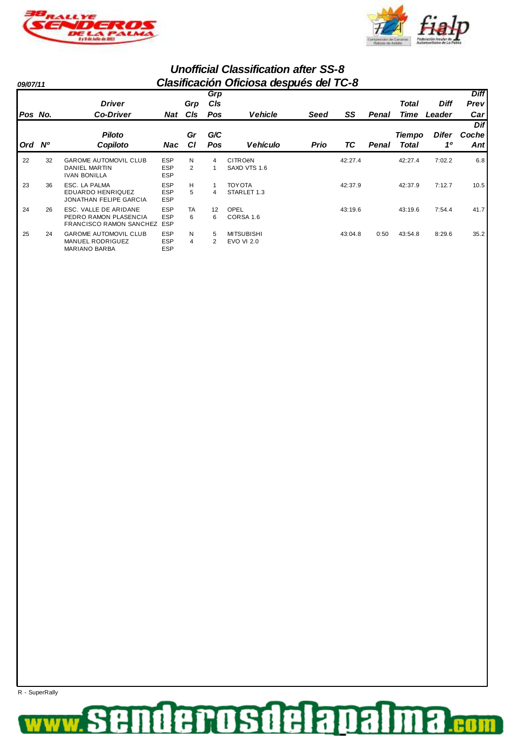



| 09/07/11 |    | Clasificación Oficiosa después del TC-8                                          |                                        |                     |                   |                                           |             |         |       |                               |                       |                            |
|----------|----|----------------------------------------------------------------------------------|----------------------------------------|---------------------|-------------------|-------------------------------------------|-------------|---------|-------|-------------------------------|-----------------------|----------------------------|
| Pos No.  |    | <b>Driver</b><br><b>Co-Driver</b>                                                | Nat                                    | Grp<br><b>CIs</b>   | Grp<br>CIs<br>Pos | <b>Vehicle</b>                            | Seed        | SS      | Penal | Total<br>Time                 | <b>Diff</b><br>Leader | <b>Diff</b><br>Prev<br>Car |
| Ord Nº   |    | <b>Piloto</b><br>Copiloto                                                        | Nac                                    | Gr<br>СI            | G/C<br>Pos        | <b>Vehículo</b>                           | <b>Prio</b> | TC      | Penal | <b>Tiempo</b><br><b>Total</b> | <b>Difer</b><br>10    | Dif<br>Coche<br>Ant        |
| 22       | 32 | <b>GAROME AUTOMOVIL CLUB</b><br><b>DANIEL MARTIN</b><br><b>IVAN BONILLA</b>      | <b>ESP</b><br><b>ESP</b><br><b>ESP</b> | N<br>$\overline{2}$ | 4                 | <b>CITRO<sub>ë</sub>N</b><br>SAXO VTS 1.6 |             | 42:27.4 |       | 42:27.4                       | 7:02.2                | 6.8                        |
| 23       | 36 | ESC. LA PALMA<br><b>EDUARDO HENRIQUEZ</b><br><b>JONATHAN FELIPE GARCIA</b>       | <b>ESP</b><br><b>ESP</b><br><b>ESP</b> | н<br>5              | Δ                 | <b>TOY OTA</b><br>STARLET 1.3             |             | 42:37.9 |       | 42:37.9                       | 7:12.7                | 10.5                       |
| 24       | 26 | ESC. VALLE DE ARIDANE<br>PEDRO RAMON PLASENCIA<br><b>FRANCISCO RAMON SANCHEZ</b> | <b>ESP</b><br><b>ESP</b><br><b>ESP</b> | TA<br>6             | 12<br>6           | OPEL<br>CORSA 1.6                         |             | 43:19.6 |       | 43:19.6                       | 7:54.4                | 41.7                       |
| 25       | 24 | <b>GAROME AUTOMOVIL CLUB</b><br><b>MANUEL RODRIGUEZ</b><br>MARIANO BARBA         | <b>ESP</b><br><b>ESP</b><br><b>ESP</b> | N<br>4              | 5<br>2            | <b>MITSUBISHI</b><br><b>EVO VI 2.0</b>    |             | 43:04.8 | 0:50  | 43:54.8                       | 8:29.6                | 35.2                       |

R - SuperRally

#### denosdelapal 8 ş E **COM**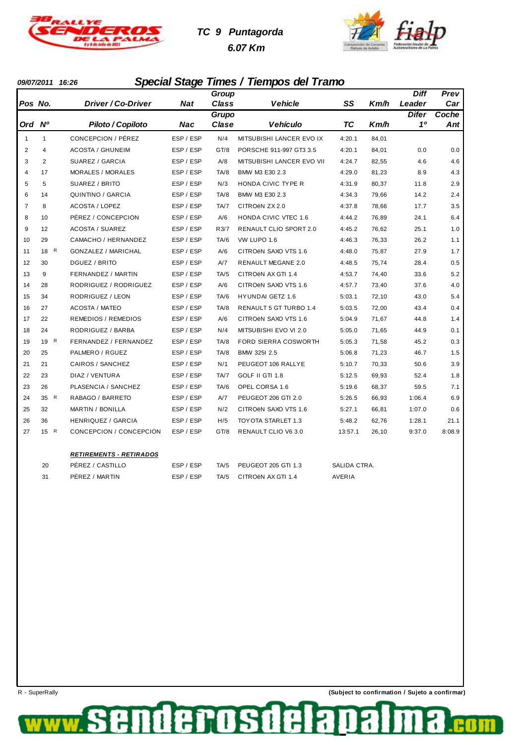

# **TC 9 Puntagorda 6.07 Km**



### **09/07/2011 16:26 Special Stage Times / Tiempos del Tramo**

|                |                |                                |            | Group        |                             |         |       | <b>Diff</b>  | Prev   |
|----------------|----------------|--------------------------------|------------|--------------|-----------------------------|---------|-------|--------------|--------|
| Pos No.        |                | Driver / Co-Driver             | <b>Nat</b> | <b>Class</b> | <b>Vehicle</b>              | SS      | Km/h  | Leader       | Car    |
|                |                |                                |            | <b>Grupo</b> |                             |         |       | <b>Difer</b> | Coche  |
| Ord Nº         |                | Piloto / Copiloto              | <b>Nac</b> | Clase        | <b>Vehículo</b>             | TC      | Km/h  | 10           | Ant    |
| $\mathbf{1}$   | 1              | CONCEPCION / PÉREZ             | ESP / ESP  | N/4          | MITSUBISHI LANCER EVO IX    | 4:20.1  | 84,01 |              |        |
| 2              | 4              | <b>ACOSTA / GHUNEIM</b>        | ESP / ESP  | GT/8         | PORSCHE 911-997 GT3 3.5     | 4:20.1  | 84,01 | 0.0          | 0.0    |
| 3              | $\overline{2}$ | SUAREZ / GARCIA                | ESP / ESP  | A/8          | MITSUBISHI LANCER EVO VII   | 4:24.7  | 82,55 | 4.6          | 4.6    |
| $\overline{4}$ | 17             | MORALES / MORALES              | ESP / ESP  | TA/8         | BMW M3 E30 2.3              | 4:29.0  | 81,23 | 8.9          | 4.3    |
| 5              | 5              | SUAREZ / BRITO                 | ESP / ESP  | N/3          | HONDA CIVIC TYPE R          | 4:31.9  | 80,37 | 11.8         | 2.9    |
| 6              | 14             | QUINTINO / GARCIA              | ESP / ESP  | TA/8         | BMW M3 E30 2.3              | 4:34.3  | 79,66 | 14.2         | 2.4    |
| $\overline{7}$ | 8              | <b>ACOSTA / LOPEZ</b>          | ESP / ESP  | TA/7         | CITROËN ZX 2.0              | 4:37.8  | 78,66 | 17.7         | 3.5    |
| 8              | 10             | PÉREZ / CONCEPCION             | ESP / ESP  | A/6          | <b>HONDA CIVIC VTEC 1.6</b> | 4:44.2  | 76,89 | 24.1         | 6.4    |
| 9              | 12             | <b>ACOSTA / SUAREZ</b>         | ESP / ESP  | R3/7         | RENAULT CLIO SPORT 2.0      | 4:45.2  | 76,62 | 25.1         | 1.0    |
| 10             | 29             | CAMACHO / HERNANDEZ            | ESP / ESP  | TA/6         | VW LUPO 1.6                 | 4:46.3  | 76,33 | 26.2         | 1.1    |
| 11             | 18 R           | <b>GONZALEZ / MARICHAL</b>     | ESP / ESP  | A/6          | CITROËN SAXO VTS 1.6        | 4:48.0  | 75,87 | 27.9         | 1.7    |
| 12             | 30             | DGUEZ / BRITO                  | ESP / ESP  | A/7          | RENAULT MEGANE 2.0          | 4:48.5  | 75,74 | 28.4         | 0.5    |
| 13             | 9              | FERNANDEZ / MARTIN             | ESP / ESP  | TA/5         | CITROËN AX GTI 1.4          | 4:53.7  | 74,40 | 33.6         | 5.2    |
| 14             | 28             | RODRIGUEZ / RODRIGUEZ          | ESP / ESP  | A/6          | CITROËN SAXO VTS 1.6        | 4:57.7  | 73,40 | 37.6         | 4.0    |
| 15             | 34             | RODRIGUEZ / LEON               | ESP / ESP  | TA/6         | <b>HYUNDAI GETZ 1.6</b>     | 5:03.1  | 72,10 | 43.0         | 5.4    |
| 16             | 27             | <b>ACOSTA / MATEO</b>          | ESP / ESP  | TA/8         | RENAULT 5 GT TURBO 1.4      | 5:03.5  | 72,00 | 43.4         | 0.4    |
| 17             | 22             | <b>REMEDIOS / REMEDIOS</b>     | ESP / ESP  | A/6          | CITROËN SAXO VTS 1.6        | 5:04.9  | 71,67 | 44.8         | 1.4    |
| 18             | 24             | RODRIGUEZ / BARBA              | ESP / ESP  | N/4          | MITSUBISHI EVO VI 2.0       | 5:05.0  | 71,65 | 44.9         | 0.1    |
| 19             | 19 R           | FERNANDEZ / FERNANDEZ          | ESP / ESP  | TA/8         | FORD SIERRA COSWORTH        | 5:05.3  | 71,58 | 45.2         | 0.3    |
| 20             | 25             | PALMERO / RGUEZ                | ESP / ESP  | TA/8         | BMW 325I 2.5                | 5:06.8  | 71,23 | 46.7         | 1.5    |
| 21             | 21             | CAIROS / SANCHEZ               | ESP / ESP  | N/1          | PEUGEOT 106 RALLYE          | 5:10.7  | 70,33 | 50.6         | 3.9    |
| 22             | 23             | DIAZ / VENTURA                 | ESP / ESP  | TA/7         | GOLF II GTI 1.8             | 5:12.5  | 69,93 | 52.4         | 1.8    |
| 23             | 26             | PLASENCIA / SANCHEZ            | ESP / ESP  | TA/6         | OPEL CORSA 1.6              | 5:19.6  | 68,37 | 59.5         | 7.1    |
| 24             | 35 R           | RABAGO / BARRETO               | ESP / ESP  | A/7          | PEUGEOT 206 GTI 2.0         | 5:26.5  | 66,93 | 1:06.4       | 6.9    |
| 25             | 32             | <b>MARTIN / BONILLA</b>        | ESP / ESP  | N/2          | CITROËN SAXO VTS 1.6        | 5:27.1  | 66,81 | 1:07.0       | 0.6    |
| 26             | 36             | HENRIQUEZ / GARCIA             | ESP / ESP  | H/5          | TOY OTA STARLET 1.3         | 5:48.2  | 62,76 | 1:28.1       | 21.1   |
| 27             | 15 R           | CONCEPCION / CONCEPCION        | ESP / ESP  | GT/8         | RENAULT CLIO V6 3.0         | 13:57.1 | 26,10 | 9:37.0       | 8:08.9 |
|                |                |                                |            |              |                             |         |       |              |        |
|                |                | <b>RETIREMENTS - RETIRADOS</b> |            |              |                             |         |       |              |        |

| - 20 | PÉREZ / CASTILLO | ESP / ESP | TA/5 PEUGEOT 205 GTI 1.3 | SALIDA CTRA. |
|------|------------------|-----------|--------------------------|--------------|
| - 31 | PÉREZ / MARTIN   | ESP / ESP | TA/5 CITROËN AX GTI 1.4  | AVERIA       |

**POSLE** 

de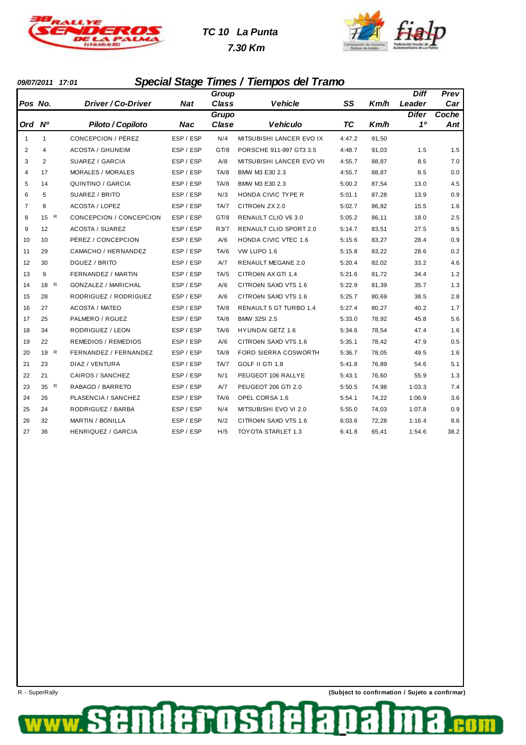

# **TC 10 La Punta**





### **09/07/2011 17:01 Special Stage Times / Tiempos del Tramo**

|                |                |                            |            | Group        |                             |        |       | <b>Diff</b>  | Prev  |
|----------------|----------------|----------------------------|------------|--------------|-----------------------------|--------|-------|--------------|-------|
| Pos No.        |                | Driver / Co-Driver         | <b>Nat</b> | Class        | <b>Vehicle</b>              | SS     | Km/h  | Leader       | Car   |
|                |                |                            |            | <b>Grupo</b> |                             |        |       | <b>Difer</b> | Coche |
| Ord Nº         |                | Piloto / Copiloto          | Nac        | Clase        | <b>Vehículo</b>             | TC     | Km/h  | 10           | Ant   |
| $\mathbf{1}$   | 1              | CONCEPCION / PÉREZ         | ESP / ESP  | N/4          | MITSUBISHI LANCER EVO IX    | 4:47.2 | 91,50 |              |       |
| $\overline{2}$ | $\overline{4}$ | <b>ACOSTA / GHUNEIM</b>    | ESP / ESP  | GT/8         | PORSCHE 911-997 GT3 3.5     | 4:48.7 | 91,03 | 1.5          | 1.5   |
| 3              | 2              | SUAREZ / GARCIA            | ESP / ESP  | A/8          | MITSUBISHI LANCER EVO VII   | 4:55.7 | 88,87 | 8.5          | 7.0   |
| $\overline{4}$ | 17             | MORALES / MORALES          | ESP / ESP  | TA/8         | BMW M3 E30 2.3              | 4:55.7 | 88,87 | 8.5          | 0.0   |
| 5              | 14             | QUINTINO / GARCIA          | ESP / ESP  | TA/8         | BMW M3 E30 2.3              | 5:00.2 | 87,54 | 13.0         | 4.5   |
| 6              | 5              | SUAREZ / BRITO             | ESP / ESP  | N/3          | HONDA CIVIC TYPE R          | 5:01.1 | 87,28 | 13.9         | 0.9   |
| $\overline{7}$ | 8              | <b>ACOSTA / LOPEZ</b>      | ESP / ESP  | TA/7         | CITROEN ZX 2.0              | 5:02.7 | 86,82 | 15.5         | 1.6   |
| 8              | R<br>15        | CONCEPCION / CONCEPCION    | ESP / ESP  | GT/8         | RENAULT CLIO V6 3.0         | 5:05.2 | 86,11 | 18.0         | 2.5   |
| 9              | 12             | <b>ACOSTA / SUAREZ</b>     | ESP / ESP  | R3/7         | RENAULT CLIO SPORT 2.0      | 5:14.7 | 83,51 | 27.5         | 9.5   |
| 10             | 10             | PÉREZ / CONCEPCION         | ESP / ESP  | A/6          | <b>HONDA CIVIC VTEC 1.6</b> | 5:15.6 | 83,27 | 28.4         | 0.9   |
| 11             | 29             | CAMACHO / HERNANDEZ        | ESP / ESP  | TA/6         | VW LUPO 1.6                 | 5:15.8 | 83,22 | 28.6         | 0.2   |
| 12             | 30             | DGUEZ / BRITO              | ESP / ESP  | A/7          | RENAULT MEGANE 2.0          | 5:20.4 | 82,02 | 33.2         | 4.6   |
| 13             | 9              | FERNANDEZ / MARTIN         | ESP / ESP  | TA/5         | CITROEN AX GTI 1.4          | 5:21.6 | 81,72 | 34.4         | 1.2   |
| 14             | 18 R           | <b>GONZALEZ / MARICHAL</b> | ESP / ESP  | A/6          | CITROËN SAXO VTS 1.6        | 5:22.9 | 81,39 | 35.7         | 1.3   |
| 15             | 28             | RODRIGUEZ / RODRIGUEZ      | ESP / ESP  | A/6          | CITROËN SAXO VTS 1.6        | 5:25.7 | 80,69 | 38.5         | 2.8   |
| 16             | 27             | <b>ACOSTA / MATEO</b>      | ESP / ESP  | TA/8         | RENAULT 5 GT TURBO 1.4      | 5:27.4 | 80,27 | 40.2         | 1.7   |
| 17             | 25             | PALMERO / RGUEZ            | ESP / ESP  | TA/8         | BMW 325I 2.5                | 5:33.0 | 78,92 | 45.8         | 5.6   |
| 18             | 34             | RODRIGUEZ / LEON           | ESP / ESP  | TA/6         | HYUNDAI GETZ 1.6            | 5:34.6 | 78,54 | 47.4         | 1.6   |
| 19             | 22             | <b>REMEDIOS / REMEDIOS</b> | ESP / ESP  | A/6          | CITROEN SAXO VTS 1.6        | 5:35.1 | 78,42 | 47.9         | 0.5   |
| 20             | 19 R           | FERNANDEZ / FERNANDEZ      | ESP / ESP  | TA/8         | FORD SIERRA COSWORTH        | 5:36.7 | 78,05 | 49.5         | 1.6   |
| 21             | 23             | DIAZ / VENTURA             | ESP / ESP  | TA/7         | GOLF II GTI 1.8             | 5:41.8 | 76,89 | 54.6         | 5.1   |
| 22             | 21             | CAIROS / SANCHEZ           | ESP / ESP  | N/1          | PEUGEOT 106 RALLYE          | 5:43.1 | 76,60 | 55.9         | 1.3   |
| 23             | 35 R           | RABAGO / BARRETO           | ESP / ESP  | A/7          | PEUGEOT 206 GTI 2.0         | 5:50.5 | 74,98 | 1:03.3       | 7.4   |
| 24             | 26             | PLASENCIA / SANCHEZ        | ESP / ESP  | TA/6         | OPEL CORSA 1.6              | 5:54.1 | 74,22 | 1:06.9       | 3.6   |
| 25             | 24             | RODRIGUEZ / BARBA          | ESP / ESP  | N/4          | MITSUBISHI EVO VI 2.0       | 5:55.0 | 74,03 | 1:07.8       | 0.9   |
| 26             | 32             | <b>MARTIN / BONILLA</b>    | ESP / ESP  | N/2          | CITROËN SAXO VTS 1.6        | 6:03.6 | 72,28 | 1:16.4       | 8.6   |
| 27             | 36             | <b>HENRIQUEZ / GARCIA</b>  | ESP / ESP  | H/5          | TOY OTA STARLET 1.3         | 6:41.8 | 65,41 | 1:54.6       | 38.2  |

derosde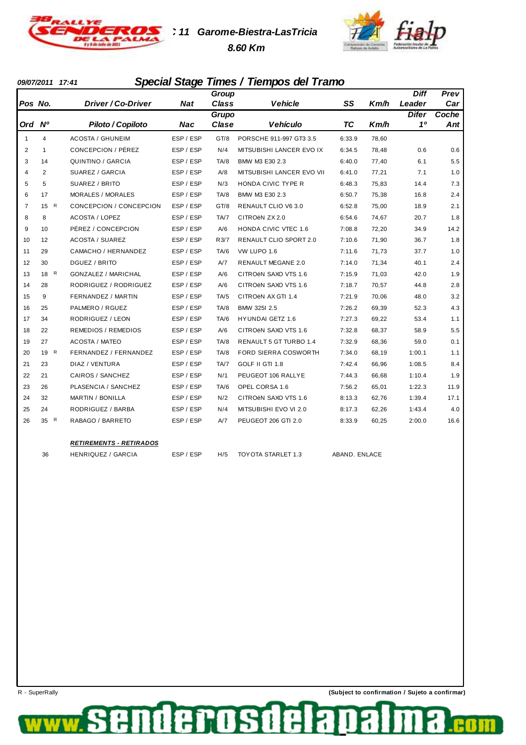

**TC 11 Garome-Biestra-LasTricia 8.60 Km**



#### **09/07/2011 17:41 Special Stage Times / Tiempos del Tramo**

|                |                |                            |            | Group |                             |           |       | <b>Diff</b>  | Prev  |
|----------------|----------------|----------------------------|------------|-------|-----------------------------|-----------|-------|--------------|-------|
| Pos No.        |                | Driver / Co-Driver         | <b>Nat</b> | Class | <b>Vehicle</b>              | SS        | Km/h  | Leader       | Car   |
|                |                |                            |            | Grupo |                             |           |       | <b>Difer</b> | Coche |
| Ord Nº         |                | Piloto / Copiloto          | Nac        | Clase | <b>Vehículo</b>             | <b>TC</b> | Km/h  | 10           | Ant   |
| $\mathbf{1}$   | 4              | <b>ACOSTA / GHUNEIM</b>    | ESP / ESP  | GT/8  | PORSCHE 911-997 GT3 3.5     | 6:33.9    | 78,60 |              |       |
| 2              | 1              | CONCEPCION / PÉREZ         | ESP / ESP  | N/4   | MITSUBISHI LANCER EVO IX    | 6:34.5    | 78,48 | 0.6          | 0.6   |
| 3              | 14             | QUINTINO / GARCIA          | ESP / ESP  | TA/8  | BMW M3 E30 2.3              | 6:40.0    | 77,40 | 6.1          | 5.5   |
| $\overline{4}$ | $\overline{2}$ | SUAREZ / GARCIA            | ESP / ESP  | A/8   | MITSUBISHI LANCER EVO VII   | 6:41.0    | 77,21 | 7.1          | 1.0   |
| 5              | 5              | SUAREZ / BRITO             | ESP / ESP  | N/3   | HONDA CIVIC TYPE R          | 6:48.3    | 75,83 | 14.4         | 7.3   |
| 6              | 17             | <b>MORALES / MORALES</b>   | ESP / ESP  | TA/8  | BMW M3 E30 2.3              | 6:50.7    | 75,38 | 16.8         | 2.4   |
| $\overline{7}$ | 15 R           | CONCEPCION / CONCEPCION    | ESP / ESP  | GT/8  | RENAULT CLIO V6 3.0         | 6:52.8    | 75,00 | 18.9         | 2.1   |
| 8              | 8              | <b>ACOSTA / LOPEZ</b>      | ESP / ESP  | TA/7  | CITROËN ZX 2.0              | 6:54.6    | 74,67 | 20.7         | 1.8   |
| 9              | 10             | PÉREZ / CONCEPCION         | ESP / ESP  | A/6   | <b>HONDA CIVIC VTEC 1.6</b> | 7:08.8    | 72,20 | 34.9         | 14.2  |
| 10             | 12             | <b>ACOSTA / SUAREZ</b>     | ESP / ESP  | R3/7  | RENAULT CLIO SPORT 2.0      | 7:10.6    | 71,90 | 36.7         | 1.8   |
| 11             | 29             | CAMACHO / HERNANDEZ        | ESP / ESP  | TA/6  | VW LUPO 1.6                 | 7:11.6    | 71,73 | 37.7         | 1.0   |
| 12             | 30             | DGUEZ / BRITO              | ESP / ESP  | A/7   | <b>RENAULT MEGANE 2.0</b>   | 7:14.0    | 71,34 | 40.1         | 2.4   |
| 13             | 18 R           | <b>GONZALEZ / MARICHAL</b> | ESP / ESP  | A/6   | CITROËN SAXO VTS 1.6        | 7:15.9    | 71,03 | 42.0         | 1.9   |
| 14             | 28             | RODRIGUEZ / RODRIGUEZ      | ESP / ESP  | A/6   | CITROËN SAXO VTS 1.6        | 7:18.7    | 70,57 | 44.8         | 2.8   |
| 15             | 9              | FERNANDEZ / MARTIN         | ESP / ESP  | TA/5  | CITROËN AX GTI 1.4          | 7:21.9    | 70,06 | 48.0         | 3.2   |
| 16             | 25             | PALMERO / RGUEZ            | ESP / ESP  | TA/8  | BMW 325I 2.5                | 7:26.2    | 69,39 | 52.3         | 4.3   |
| 17             | 34             | RODRIGUEZ / LEON           | ESP / ESP  | TA/6  | <b>HYUNDAI GETZ 1.6</b>     | 7:27.3    | 69,22 | 53.4         | 1.1   |
| 18             | 22             | <b>REMEDIOS / REMEDIOS</b> | ESP / ESP  | A/6   | CITROËN SAXO VTS 1.6        | 7:32.8    | 68,37 | 58.9         | 5.5   |
| 19             | 27             | <b>ACOSTA / MATEO</b>      | ESP / ESP  | TA/8  | RENAULT 5 GT TURBO 1.4      | 7:32.9    | 68,36 | 59.0         | 0.1   |
| 20             | 19 R           | FERNANDEZ / FERNANDEZ      | ESP / ESP  | TA/8  | FORD SIERRA COSWORTH        | 7:34.0    | 68,19 | 1:00.1       | 1.1   |
| 21             | 23             | DIAZ / VENTURA             | ESP / ESP  | TA/7  | GOLF II GTI 1.8             | 7:42.4    | 66,96 | 1:08.5       | 8.4   |
| 22             | 21             | CAIROS / SANCHEZ           | ESP / ESP  | N/1   | PEUGEOT 106 RALLYE          | 7:44.3    | 66,68 | 1:10.4       | 1.9   |
| 23             | 26             | PLASENCIA / SANCHEZ        | ESP / ESP  | TA/6  | OPEL CORSA 1.6              | 7:56.2    | 65,01 | 1:22.3       | 11.9  |
| 24             | 32             | <b>MARTIN / BONILLA</b>    | ESP / ESP  | N/2   | CITROËN SAXO VTS 1.6        | 8:13.3    | 62,76 | 1:39.4       | 17.1  |
| 25             | 24             | RODRIGUEZ / BARBA          | ESP / ESP  | N/4   | MITSUBISHI EVO VI 2.0       | 8:17.3    | 62,26 | 1:43.4       | 4.0   |
| 26             | 35 R           | RABAGO / BARRETO           | ESP / ESP  | A/7   | PEUGEOT 206 GTI 2.0         | 8:33.9    | 60,25 | 2:00.0       | 16.6  |
|                |                |                            |            |       |                             |           |       |              |       |

#### **RETIREMENTS - RETIRADOS**

36 HENRIQUEZ / GARCIA ESP / ESP H/5 TOYOTA STARLET 1.3 ABAND. ENLACE

derosd

Œ